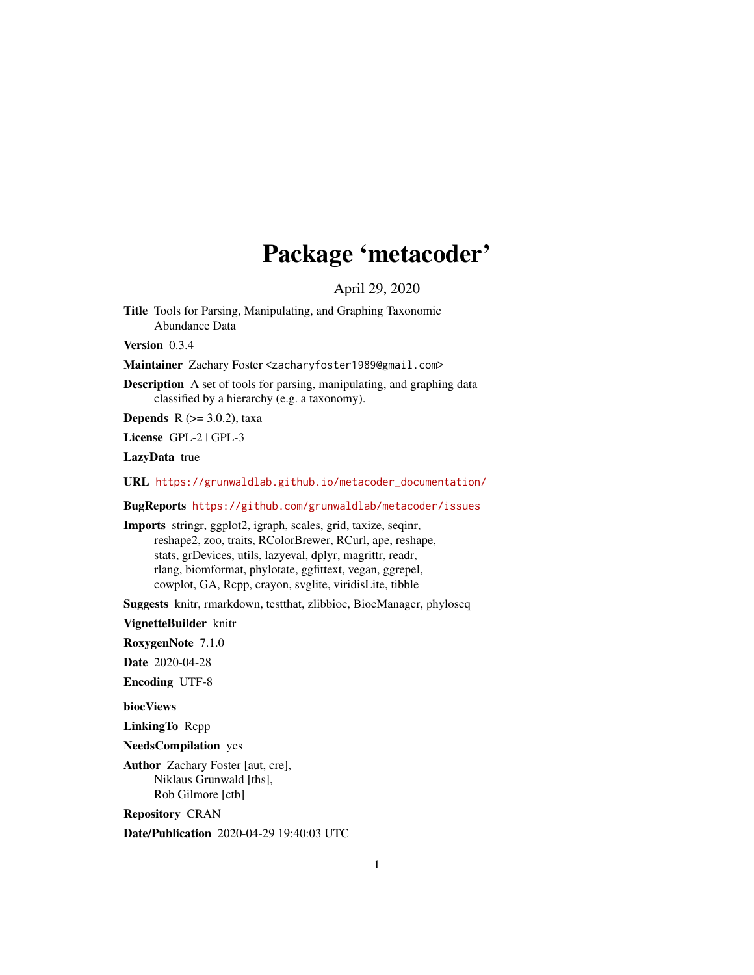## Package 'metacoder'

April 29, 2020

<span id="page-0-0"></span>Title Tools for Parsing, Manipulating, and Graphing Taxonomic Abundance Data

Version 0.3.4

Maintainer Zachary Foster <zacharyfoster1989@gmail.com>

Description A set of tools for parsing, manipulating, and graphing data classified by a hierarchy (e.g. a taxonomy).

**Depends** R  $(>= 3.0.2)$ , taxa

License GPL-2 | GPL-3

LazyData true

URL [https://grunwaldlab.github.io/metacoder\\_documentation/](https://grunwaldlab.github.io/metacoder_documentation/)

BugReports <https://github.com/grunwaldlab/metacoder/issues>

Imports stringr, ggplot2, igraph, scales, grid, taxize, seqinr, reshape2, zoo, traits, RColorBrewer, RCurl, ape, reshape, stats, grDevices, utils, lazyeval, dplyr, magrittr, readr, rlang, biomformat, phylotate, ggfittext, vegan, ggrepel, cowplot, GA, Rcpp, crayon, svglite, viridisLite, tibble

Suggests knitr, rmarkdown, testthat, zlibbioc, BiocManager, phyloseq

VignetteBuilder knitr

RoxygenNote 7.1.0

Date 2020-04-28

Encoding UTF-8

biocViews

LinkingTo Rcpp

NeedsCompilation yes

Author Zachary Foster [aut, cre], Niklaus Grunwald [ths], Rob Gilmore [ctb]

Repository CRAN

Date/Publication 2020-04-29 19:40:03 UTC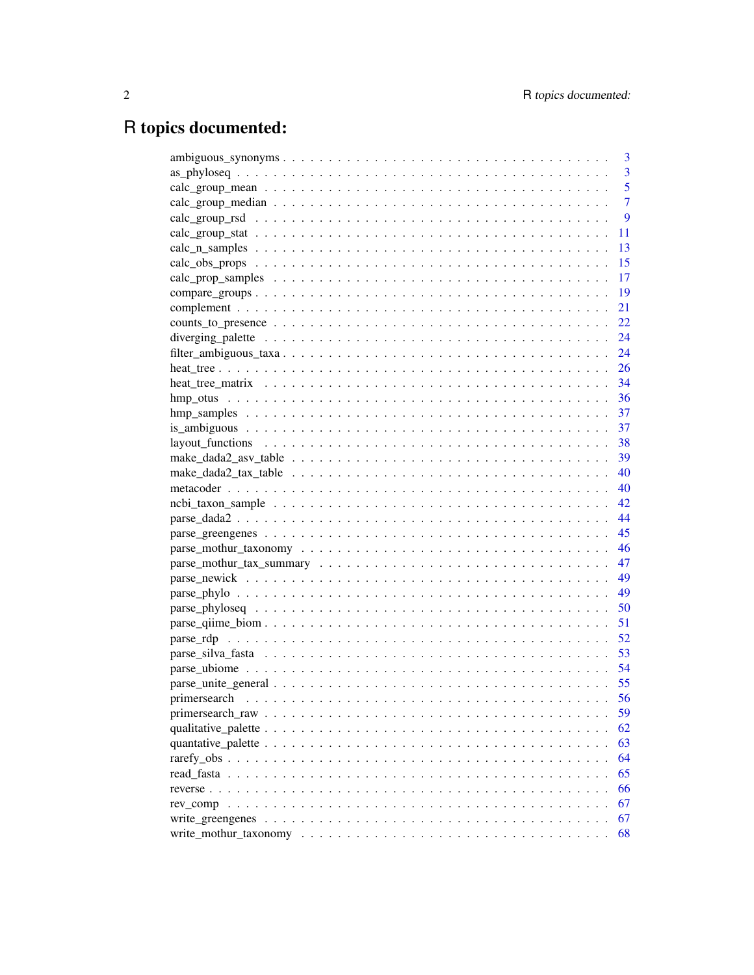# R topics documented:

|      | 3              |
|------|----------------|
|      | $\overline{3}$ |
|      | 5              |
|      | $\overline{7}$ |
|      | 9              |
| 11   |                |
| 13   |                |
| 15   |                |
| 17   |                |
| 19   |                |
| 21   |                |
| 22   |                |
| 24   |                |
| 24   |                |
|      |                |
|      |                |
|      |                |
|      |                |
|      |                |
|      |                |
|      |                |
|      |                |
|      |                |
|      |                |
|      |                |
| 45   |                |
| - 46 |                |
|      |                |
|      |                |
|      |                |
|      |                |
| 51   |                |
| 52   |                |
| 53   |                |
|      |                |
| 55   |                |
| 56   |                |
| 59   |                |
| 62   |                |
| 63   |                |
| 64   |                |
| 65   |                |
| 66   |                |
| 67   |                |
| 67   |                |
| 68   |                |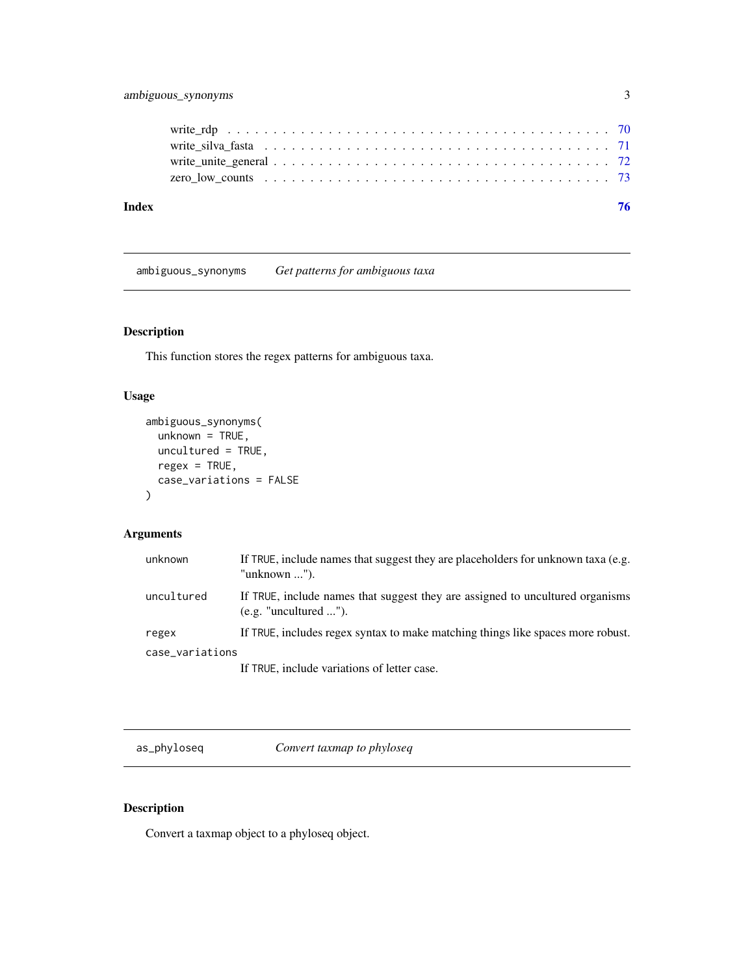<span id="page-2-0"></span>

ambiguous\_synonyms *Get patterns for ambiguous taxa*

### Description

This function stores the regex patterns for ambiguous taxa.

### Usage

```
ambiguous_synonyms(
  unknown = TRUE,
  uncultured = TRUE,
  regex = TRUE,case_variations = FALSE
\mathcal{L}
```
### Arguments

| unknown         | If TRUE, include names that suggest they are placeholders for unknown taxa (e.g.<br>"unknown $\ldots$ "). |
|-----------------|-----------------------------------------------------------------------------------------------------------|
| uncultured      | If TRUE, include names that suggest they are assigned to uncultured organisms<br>(e.g. "uncultured ").    |
| regex           | If TRUE, includes regex syntax to make matching things like spaces more robust.                           |
| case_variations |                                                                                                           |
|                 | If TRUE, include variations of letter case.                                                               |

as\_phyloseq *Convert taxmap to phyloseq*

### Description

Convert a taxmap object to a phyloseq object.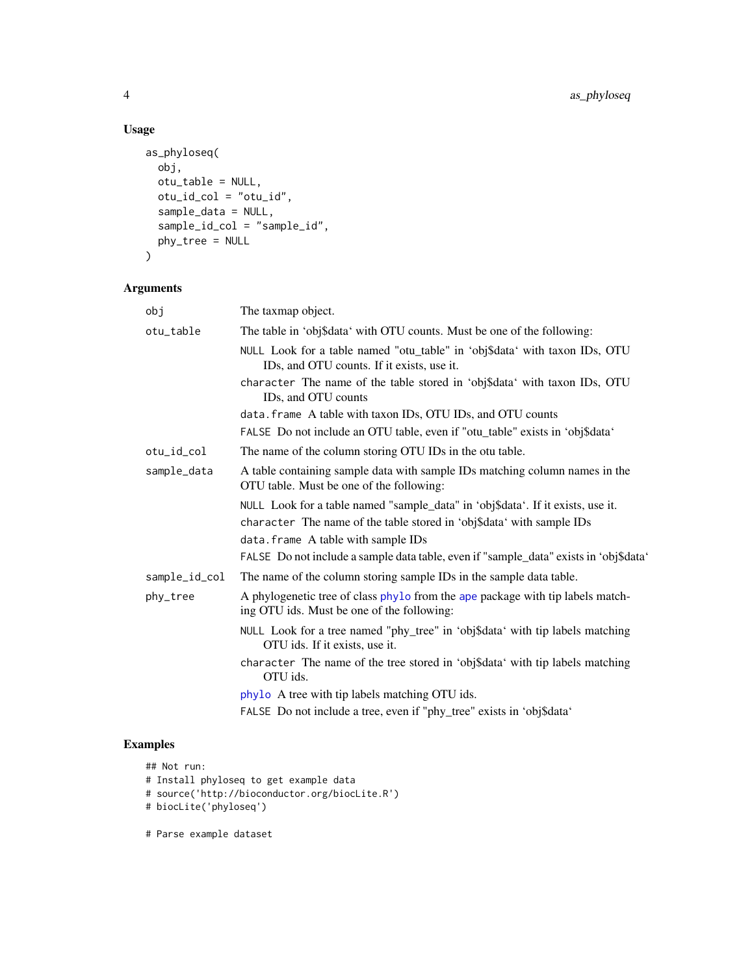### Usage

```
as_phyloseq(
 obj,
 otu_table = NULL,
 otu_id_col = "otu_id",
 sample_data = NULL,
  sample_id_col = "sample_id",
 phy_tree = NULL
\mathcal{L}
```
### Arguments

| obj           | The taxmap object.                                                                                                           |
|---------------|------------------------------------------------------------------------------------------------------------------------------|
| otu_table     | The table in 'obj\$data' with OTU counts. Must be one of the following:                                                      |
|               | NULL Look for a table named "otu_table" in 'obj\$data' with taxon IDs, OTU<br>IDs, and OTU counts. If it exists, use it.     |
|               | character The name of the table stored in 'obj\$data' with taxon IDs, OTU<br>ID <sub>s</sub> , and OTU counts                |
|               | data. frame A table with taxon IDs, OTU IDs, and OTU counts                                                                  |
|               | FALSE Do not include an OTU table, even if "otu_table" exists in 'obj\$data'                                                 |
| otu_id_col    | The name of the column storing OTU IDs in the otu table.                                                                     |
| sample_data   | A table containing sample data with sample IDs matching column names in the<br>OTU table. Must be one of the following:      |
|               | NULL Look for a table named "sample_data" in 'obj\$data'. If it exists, use it.                                              |
|               | character The name of the table stored in 'obj\$data' with sample IDs                                                        |
|               | data. frame A table with sample IDs                                                                                          |
|               | FALSE Do not include a sample data table, even if "sample_data" exists in 'obj\$data'                                        |
| sample_id_col | The name of the column storing sample IDs in the sample data table.                                                          |
| phy_tree      | A phylogenetic tree of class phylo from the ape package with tip labels match-<br>ing OTU ids. Must be one of the following: |
|               | NULL Look for a tree named "phy_tree" in 'obj\$data' with tip labels matching<br>OTU ids. If it exists, use it.              |
|               | character The name of the tree stored in 'obj\$data' with tip labels matching<br>OTU ids.                                    |
|               | phylo A tree with tip labels matching OTU ids.                                                                               |
|               | FALSE Do not include a tree, even if "phy_tree" exists in 'obj\$data'                                                        |

- ## Not run:
- # Install phyloseq to get example data
- # source('http://bioconductor.org/biocLite.R')
- # biocLite('phyloseq')
- # Parse example dataset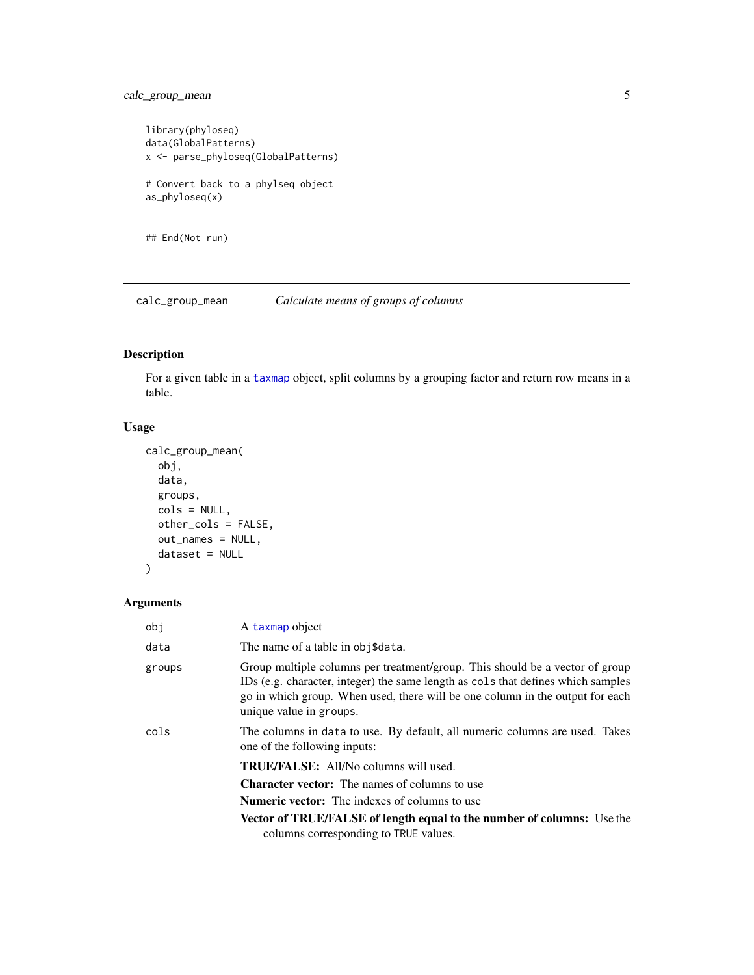### <span id="page-4-0"></span>calc\_group\_mean 5

```
library(phyloseq)
data(GlobalPatterns)
x <- parse_phyloseq(GlobalPatterns)
# Convert back to a phylseq object
as_phyloseq(x)
## End(Not run)
```
<span id="page-4-1"></span>calc\_group\_mean *Calculate means of groups of columns*

### Description

For a given table in a [taxmap](#page-0-0) object, split columns by a grouping factor and return row means in a table.

### Usage

```
calc_group_mean(
  obj,
  data,
  groups,
  cols = NULL,other_cols = FALSE,
  out_names = NULL,
  dataset = NULL\mathcal{L}
```

| obi    | A taxmap object                                                                                                                                                                                                                                                              |
|--------|------------------------------------------------------------------------------------------------------------------------------------------------------------------------------------------------------------------------------------------------------------------------------|
| data   | The name of a table in obj\$data.                                                                                                                                                                                                                                            |
| groups | Group multiple columns per treatment/group. This should be a vector of group<br>IDs (e.g. character, integer) the same length as cols that defines which samples<br>go in which group. When used, there will be one column in the output for each<br>unique value in groups. |
| cols   | The columns in data to use. By default, all numeric columns are used. Takes<br>one of the following inputs:                                                                                                                                                                  |
|        | <b>TRUE/FALSE:</b> All/No columns will used.                                                                                                                                                                                                                                 |
|        | <b>Character vector:</b> The names of columns to use                                                                                                                                                                                                                         |
|        | <b>Numeric vector:</b> The indexes of columns to use                                                                                                                                                                                                                         |
|        | <b>Vector of TRUE/FALSE of length equal to the number of columns:</b> Use the<br>columns corresponding to TRUE values.                                                                                                                                                       |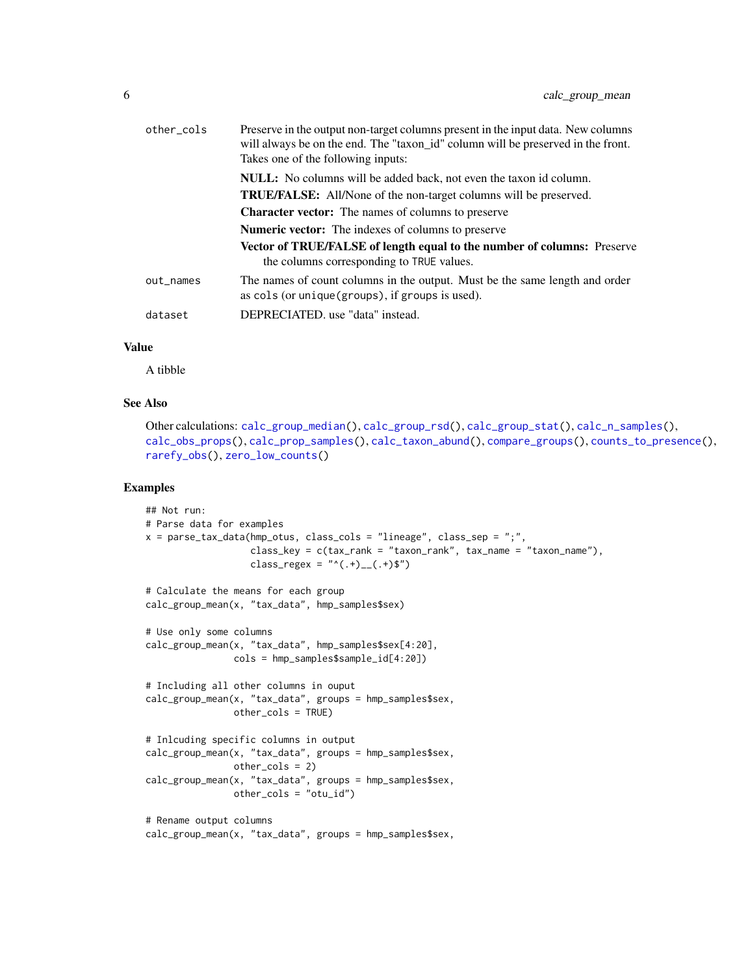| other_cols | Preserve in the output non-target columns present in the input data. New columns<br>will always be on the end. The "taxon_id" column will be preserved in the front.<br>Takes one of the following inputs: |
|------------|------------------------------------------------------------------------------------------------------------------------------------------------------------------------------------------------------------|
|            | <b>NULL:</b> No columns will be added back, not even the taxon id column.                                                                                                                                  |
|            | <b>TRUE/FALSE:</b> All/None of the non-target columns will be preserved.                                                                                                                                   |
|            | <b>Character vector:</b> The names of columns to preserve                                                                                                                                                  |
|            | <b>Numeric vector:</b> The indexes of columns to preserve                                                                                                                                                  |
|            | <b>Vector of TRUE/FALSE of length equal to the number of columns:</b> Preserve<br>the columns corresponding to TRUE values.                                                                                |
| out_names  | The names of count columns in the output. Must be the same length and order<br>as cols (or unique (groups), if groups is used).                                                                            |
| dataset    | DEPRECIATED. use "data" instead.                                                                                                                                                                           |

A tibble

### See Also

```
Other calculations: calc_group_median(), calc_group_rsd(), calc_group_stat(), calc_n_samples(),
calc_obs_props(), calc_prop_samples(), calc_taxon_abund(), compare_groups(), counts_to_presence(),
rarefy_obs(), zero_low_counts()
```

```
## Not run:
# Parse data for examples
x = parse\_tax\_data(hmp\_otus, class\_cols = "lineage", class_sep = ",",class_key = c(tax_rank = "taxon_rank", tax_name = "taxon_name"),
                   class_regex = "^(.+)__(.+)$")
# Calculate the means for each group
calc_group_mean(x, "tax_data", hmp_samples$sex)
# Use only some columns
calc_group_mean(x, "tax_data", hmp_samples$sex[4:20],
                cols = hmp_samples$sample_id[4:20])
# Including all other columns in ouput
calc_group_mean(x, "tax_data", groups = hmp_samples$sex,
                other_cols = TRUE)
# Inlcuding specific columns in output
calc_group_mean(x, "tax_data", groups = hmp_samples$sex,
                other_cols = 2)
calc_group_mean(x, "tax_data", groups = hmp_samples$sex,
               other_cols = "otu_id")
# Rename output columns
calc_group_mean(x, "tax_data", groups = hmp_samples$sex,
```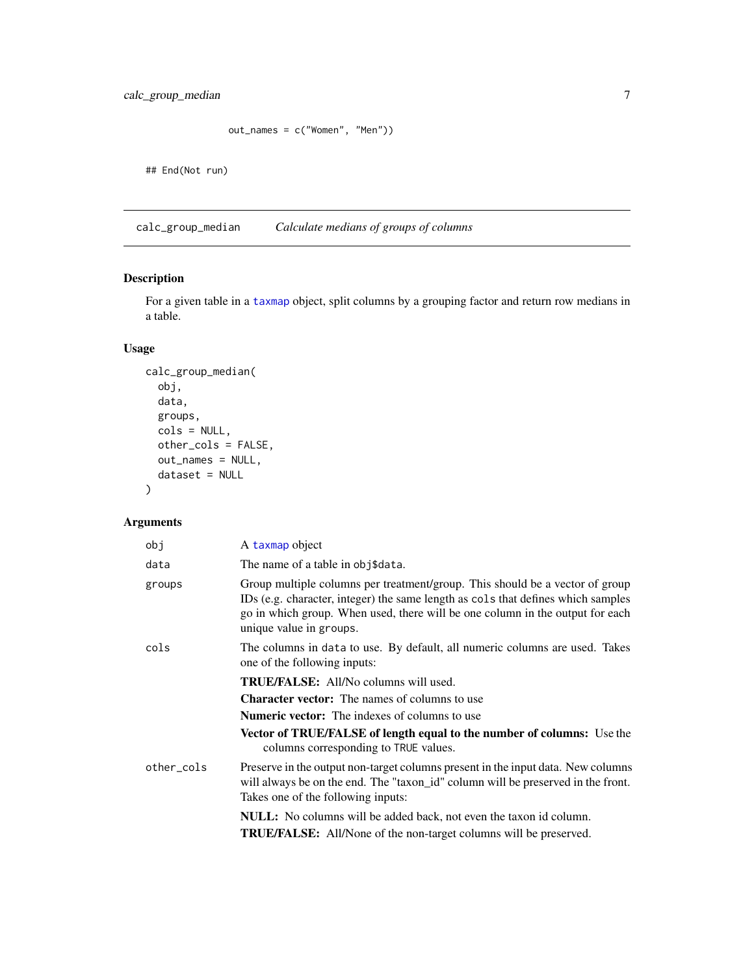<span id="page-6-0"></span>calc\_group\_median 7

```
out_names = c("Women", "Men"))
```
## End(Not run)

<span id="page-6-1"></span>calc\_group\_median *Calculate medians of groups of columns*

### Description

For a given table in a [taxmap](#page-0-0) object, split columns by a grouping factor and return row medians in a table.

### Usage

```
calc_group_median(
  obj,
  data,
  groups,
  cols = NULL,
  other_cols = FALSE,
  out_names = NULL,
  dataset = NULL
\mathcal{L}
```

| A taxmap object                                                                                                                                                                                                                                                              |
|------------------------------------------------------------------------------------------------------------------------------------------------------------------------------------------------------------------------------------------------------------------------------|
| The name of a table in obj\$data.                                                                                                                                                                                                                                            |
| Group multiple columns per treatment/group. This should be a vector of group<br>IDs (e.g. character, integer) the same length as cols that defines which samples<br>go in which group. When used, there will be one column in the output for each<br>unique value in groups. |
| The columns in data to use. By default, all numeric columns are used. Takes<br>one of the following inputs:                                                                                                                                                                  |
| <b>TRUE/FALSE:</b> All/No columns will used.                                                                                                                                                                                                                                 |
| <b>Character vector:</b> The names of columns to use                                                                                                                                                                                                                         |
| <b>Numeric vector:</b> The indexes of columns to use                                                                                                                                                                                                                         |
| <b>Vector of TRUE/FALSE of length equal to the number of columns:</b> Use the<br>columns corresponding to TRUE values.                                                                                                                                                       |
| Preserve in the output non-target columns present in the input data. New columns<br>will always be on the end. The "taxon_id" column will be preserved in the front.<br>Takes one of the following inputs:                                                                   |
| <b>NULL:</b> No columns will be added back, not even the taxon id column.                                                                                                                                                                                                    |
| <b>TRUE/FALSE:</b> All/None of the non-target columns will be preserved.                                                                                                                                                                                                     |
|                                                                                                                                                                                                                                                                              |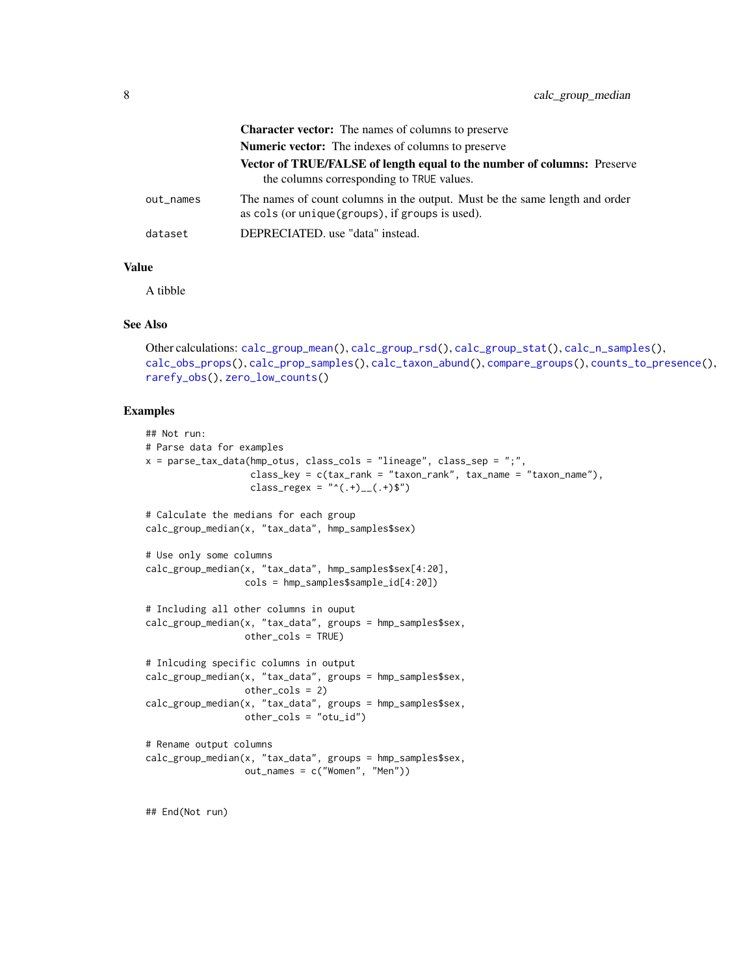|           | <b>Character vector:</b> The names of columns to preserve                                                                       |
|-----------|---------------------------------------------------------------------------------------------------------------------------------|
|           | <b>Numeric vector:</b> The indexes of columns to preserve                                                                       |
|           | <b>Vector of TRUE/FALSE of length equal to the number of columns:</b> Preserve<br>the columns corresponding to TRUE values.     |
| out_names | The names of count columns in the output. Must be the same length and order<br>as cols (or unique (groups), if groups is used). |
| dataset   | DEPRECIATED. use "data" instead.                                                                                                |

A tibble

#### See Also

```
Other calculations: calc_group_mean(), calc_group_rsd(), calc_group_stat(), calc_n_samples(),
calc_obs_props(), calc_prop_samples(), calc_taxon_abund(), compare_groups(), counts_to_presence(),
rarefy_obs(), zero_low_counts()
```

```
## Not run:
# Parse data for examples
x = parse_tax_data(hmp_otus, class_cols = "lineage", class_sep = ";",
                   class_key = c(tax_rank = "taxon_rank", tax_name = "taxon_name"),
                  class_regex = "^(.+)__(.+)$")
# Calculate the medians for each group
calc_group_median(x, "tax_data", hmp_samples$sex)
# Use only some columns
calc_group_median(x, "tax_data", hmp_samples$sex[4:20],
                 cols = hmp_samples$sample_id[4:20])
# Including all other columns in ouput
calc_group_median(x, "tax_data", groups = hmp_samples$sex,
                 other_cols = TRUE)
# Inlcuding specific columns in output
calc_group_median(x, "tax_data", groups = hmp_samples$sex,
                 other_cols = 2)
calc_group_median(x, "tax_data", groups = hmp_samples$sex,
                 other_cols = "otu_id")
# Rename output columns
calc_group_median(x, "tax_data", groups = hmp_samples$sex,
                 out_names = c("Women", "Men"))
```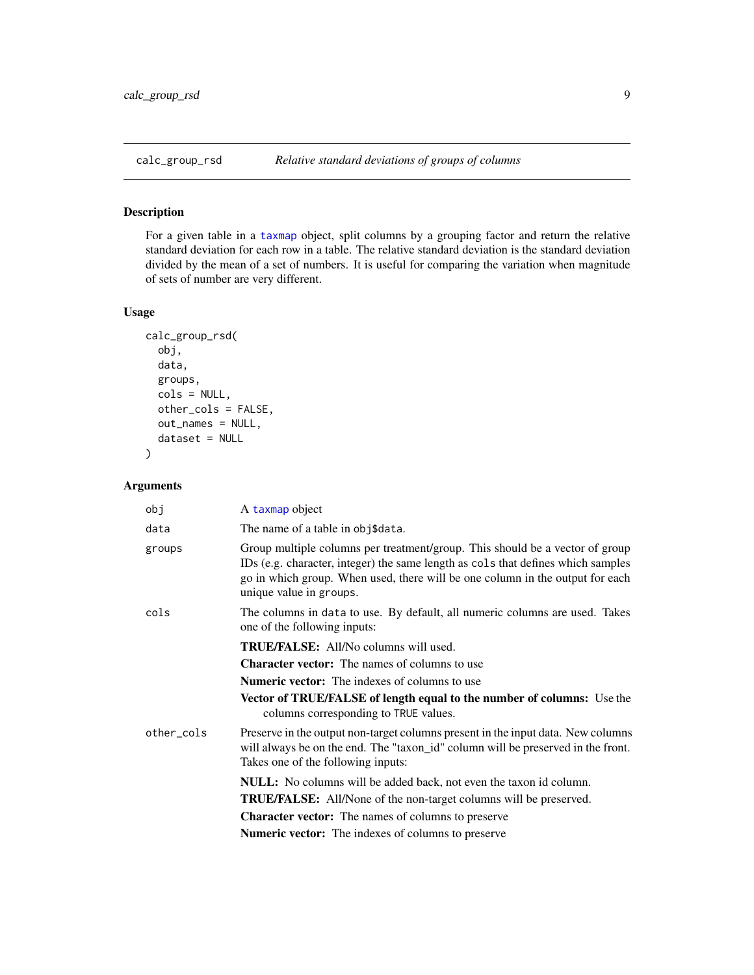<span id="page-8-1"></span><span id="page-8-0"></span>

### Description

For a given table in a [taxmap](#page-0-0) object, split columns by a grouping factor and return the relative standard deviation for each row in a table. The relative standard deviation is the standard deviation divided by the mean of a set of numbers. It is useful for comparing the variation when magnitude of sets of number are very different.

#### Usage

```
calc_group_rsd(
  obj,
  data,
  groups,
  cols = NULL,other_cols = FALSE,
  out_names = NULL,
  dataset = NULL
\mathcal{E}
```

| obj        | A taxmap object                                                                                                                                                                                                                                                              |
|------------|------------------------------------------------------------------------------------------------------------------------------------------------------------------------------------------------------------------------------------------------------------------------------|
| data       | The name of a table in obj\$data.                                                                                                                                                                                                                                            |
| groups     | Group multiple columns per treatment/group. This should be a vector of group<br>IDs (e.g. character, integer) the same length as cols that defines which samples<br>go in which group. When used, there will be one column in the output for each<br>unique value in groups. |
| cols       | The columns in data to use. By default, all numeric columns are used. Takes<br>one of the following inputs:                                                                                                                                                                  |
|            | <b>TRUE/FALSE:</b> All/No columns will used.                                                                                                                                                                                                                                 |
|            | <b>Character vector:</b> The names of columns to use                                                                                                                                                                                                                         |
|            | <b>Numeric vector:</b> The indexes of columns to use                                                                                                                                                                                                                         |
|            | Vector of TRUE/FALSE of length equal to the number of columns: Use the<br>columns corresponding to TRUE values.                                                                                                                                                              |
| other_cols | Preserve in the output non-target columns present in the input data. New columns<br>will always be on the end. The "taxon_id" column will be preserved in the front.<br>Takes one of the following inputs:                                                                   |
|            | <b>NULL:</b> No columns will be added back, not even the taxon id column.                                                                                                                                                                                                    |
|            | <b>TRUE/FALSE:</b> All/None of the non-target columns will be preserved.                                                                                                                                                                                                     |
|            | <b>Character vector:</b> The names of columns to preserve                                                                                                                                                                                                                    |
|            | <b>Numeric vector:</b> The indexes of columns to preserve                                                                                                                                                                                                                    |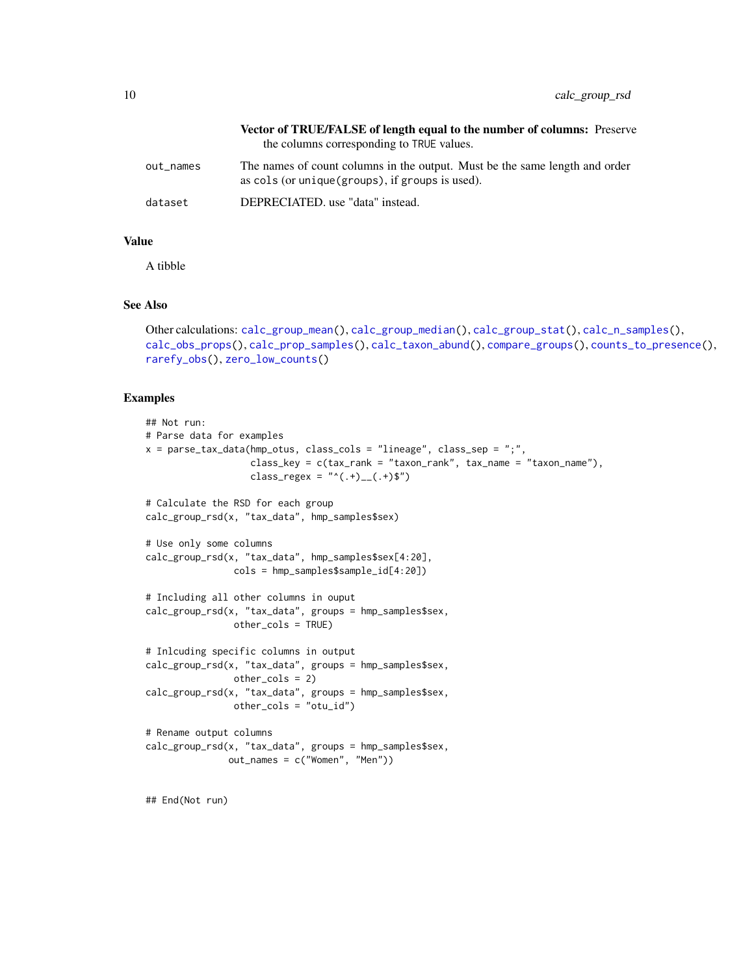|           | <b>Vector of TRUE/FALSE of length equal to the number of columns:</b> Preserve<br>the columns corresponding to TRUE values.     |
|-----------|---------------------------------------------------------------------------------------------------------------------------------|
|           |                                                                                                                                 |
| out names | The names of count columns in the output. Must be the same length and order<br>as cols (or unique (groups), if groups is used). |
| dataset   | DEPRECIATED. use "data" instead.                                                                                                |

A tibble

### See Also

```
Other calculations: calc_group_mean(), calc_group_median(), calc_group_stat(), calc_n_samples(),
calc_obs_props(), calc_prop_samples(), calc_taxon_abund(), compare_groups(), counts_to_presence(),
rarefy_obs(), zero_low_counts()
```
#### Examples

```
## Not run:
# Parse data for examples
x = parse\_tax\_data(hmp\_otus, class\_cols = "lineage", class_sep = ";"class_key = c(tax_rank = "taxon_rank", tax_name = "taxon_name"),
                   class_regex = "^(.+)__(.+)$")
# Calculate the RSD for each group
calc_group_rsd(x, "tax_data", hmp_samples$sex)
# Use only some columns
calc_group_rsd(x, "tax_data", hmp_samples$sex[4:20],
                cols = hmp_samples$sample_id[4:20])
# Including all other columns in ouput
calc_group_rsd(x, "tax_data", groups = hmp_samples$sex,
                other_cols = TRUE)
# Inlcuding specific columns in output
calc_group_rsd(x, "tax_data", groups = hmp_samples$sex,
                other_cols = 2)
calc_group_rsd(x, "tax_data", groups = hmp_samples$sex,
                other_cols = "otu_id")
# Rename output columns
calc_group_rsd(x, "tax_data", groups = hmp_samples$sex,
               out_names = c("Women", "Men"))
```
## End(Not run)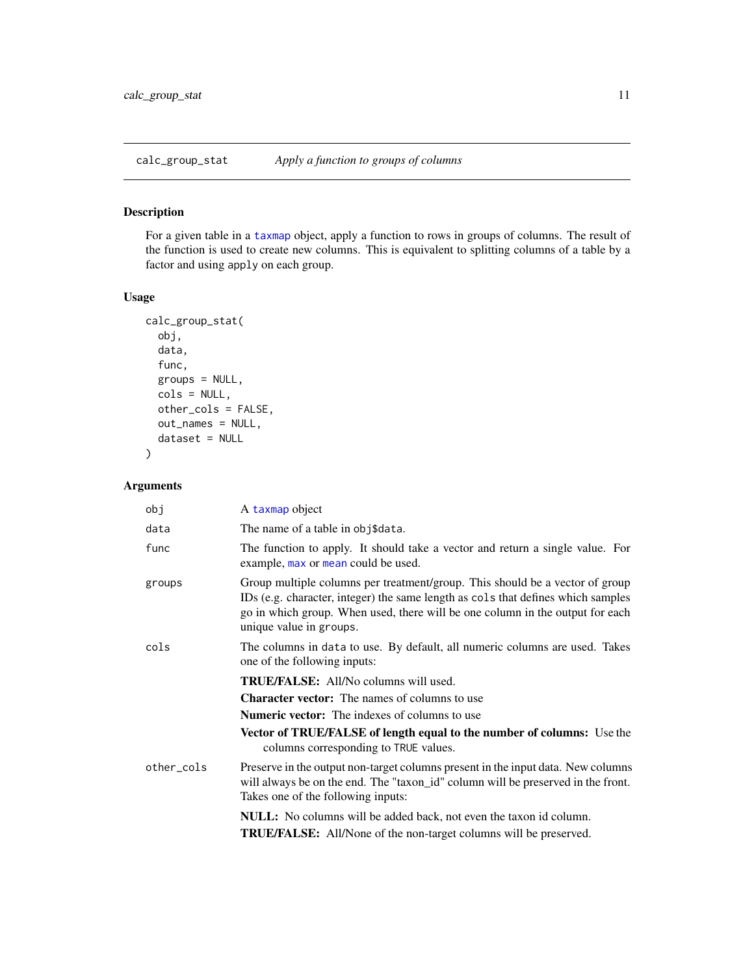<span id="page-10-1"></span><span id="page-10-0"></span>calc\_group\_stat *Apply a function to groups of columns*

### Description

For a given table in a [taxmap](#page-0-0) object, apply a function to rows in groups of columns. The result of the function is used to create new columns. This is equivalent to splitting columns of a table by a factor and using apply on each group.

### Usage

```
calc_group_stat(
  obj,
  data,
  func,
  groups = NULL,
  cols = NULL,other_cols = FALSE,
  out_names = NULL,
  dataset = NULL
)
```

| obj        | A taxmap object                                                                                                                                                                                                                                                              |
|------------|------------------------------------------------------------------------------------------------------------------------------------------------------------------------------------------------------------------------------------------------------------------------------|
| data       | The name of a table in obj\$data.                                                                                                                                                                                                                                            |
| func       | The function to apply. It should take a vector and return a single value. For<br>example, max or mean could be used.                                                                                                                                                         |
| groups     | Group multiple columns per treatment/group. This should be a vector of group<br>IDs (e.g. character, integer) the same length as cols that defines which samples<br>go in which group. When used, there will be one column in the output for each<br>unique value in groups. |
| cols       | The columns in data to use. By default, all numeric columns are used. Takes<br>one of the following inputs:                                                                                                                                                                  |
|            | <b>TRUE/FALSE:</b> All/No columns will used.                                                                                                                                                                                                                                 |
|            | <b>Character vector:</b> The names of columns to use                                                                                                                                                                                                                         |
|            | <b>Numeric vector:</b> The indexes of columns to use                                                                                                                                                                                                                         |
|            | Vector of TRUE/FALSE of length equal to the number of columns: Use the<br>columns corresponding to TRUE values.                                                                                                                                                              |
| other_cols | Preserve in the output non-target columns present in the input data. New columns<br>will always be on the end. The "taxon_id" column will be preserved in the front.<br>Takes one of the following inputs:                                                                   |
|            | <b>NULL:</b> No columns will be added back, not even the taxon id column.                                                                                                                                                                                                    |
|            | TRUE/FALSE: All/None of the non-target columns will be preserved.                                                                                                                                                                                                            |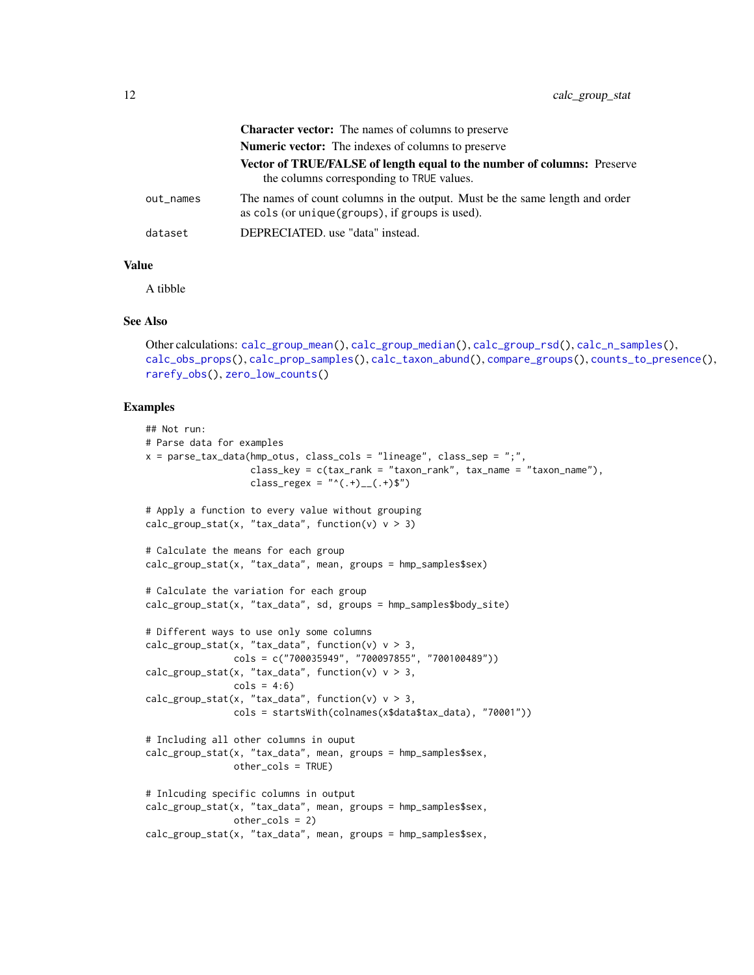|           | <b>Character vector:</b> The names of columns to preserve                                                                       |
|-----------|---------------------------------------------------------------------------------------------------------------------------------|
|           | <b>Numeric vector:</b> The indexes of columns to preserve                                                                       |
|           | Vector of TRUE/FALSE of length equal to the number of columns: Preserve<br>the columns corresponding to TRUE values.            |
| out_names | The names of count columns in the output. Must be the same length and order<br>as cols (or unique (groups), if groups is used). |
| dataset   | DEPRECIATED, use "data" instead.                                                                                                |

A tibble

#### See Also

```
Other calculations: calc_group_mean(), calc_group_median(), calc_group_rsd(), calc_n_samples(),
calc_obs_props(), calc_prop_samples(), calc_taxon_abund(), compare_groups(), counts_to_presence(),
rarefy_obs(), zero_low_counts()
```

```
## Not run:
# Parse data for examples
x = parse\_tax\_data(hmp\_otus, class\_cols = "lineage", class_sep = ";",class_key = c(tax_rank = "taxon_rank", tax_name = "taxon_name"),
                   class_regex = "^(.+)__(.+)$")
# Apply a function to every value without grouping
calc_group_stat(x, "tax_data", function(v) v > 3)
# Calculate the means for each group
calc_group_stat(x, "tax_data", mean, groups = hmp_samples$sex)
# Calculate the variation for each group
calc_group_stat(x, "tax_data", sd, groups = hmp_samples$body_site)
# Different ways to use only some columns
calc_group_stat(x, "tax_data", function(v) v > 3,
                cols = c("700035949", "700097855", "700100489"))
calc_group_stat(x, "tax_data", function(v) v > 3,
                \text{cols} = 4:6calc_group_stat(x, "tax_data", function(v) v > 3,
                cols = startsWith(colnames(x$data$tax_data), "70001"))
# Including all other columns in ouput
calc_group_stat(x, "tax_data", mean, groups = hmp_samples$sex,
                other_cols = TRUE)
# Inlcuding specific columns in output
calc_group_stat(x, "tax_data", mean, groups = hmp_samples$sex,
               other_cols = 2)
calc_group_stat(x, "tax_data", mean, groups = hmp_samples$sex,
```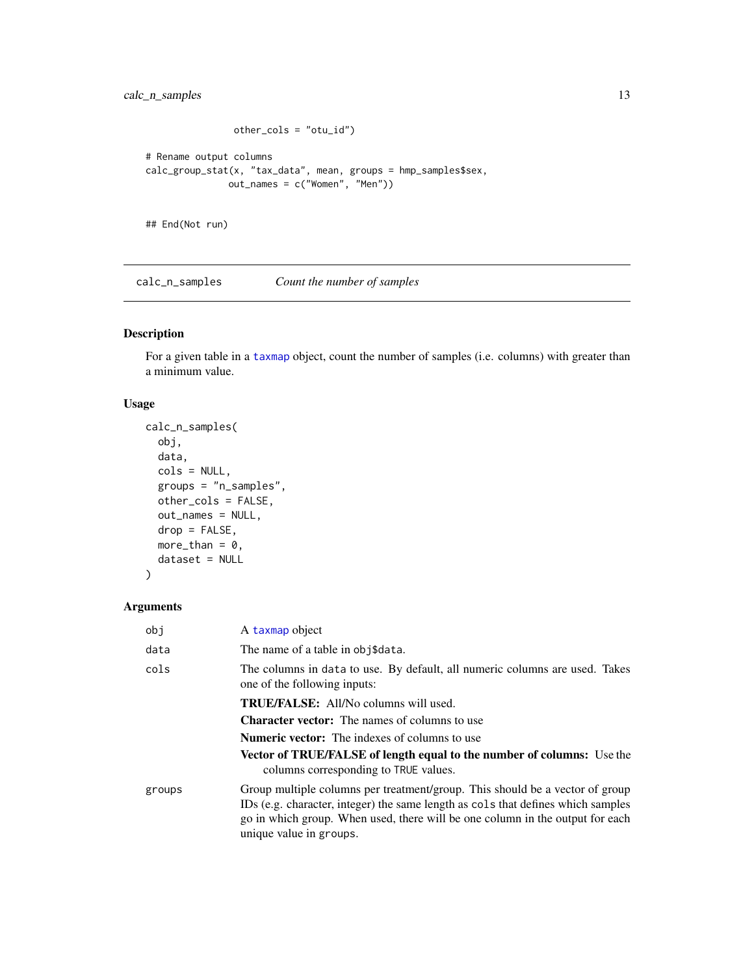```
other_cols = "otu_id")
# Rename output columns
calc_group_stat(x, "tax_data", mean, groups = hmp_samples$sex,
              out_names = c("Women", "Men"))
```
## End(Not run)

<span id="page-12-1"></span>calc\_n\_samples *Count the number of samples*

### Description

For a given table in a [taxmap](#page-0-0) object, count the number of samples (i.e. columns) with greater than a minimum value.

### Usage

```
calc_n_samples(
 obj,
  data,
  cols = NULL,groups = "n_samples",
 other_cols = FALSE,
 out_names = NULL,
 drop = FALSE,
 more_than = 0,
 dataset = NULL
)
```

| obi    | A taxmap object                                                                                                                                                                                                                                                              |
|--------|------------------------------------------------------------------------------------------------------------------------------------------------------------------------------------------------------------------------------------------------------------------------------|
| data   | The name of a table in obj\$data.                                                                                                                                                                                                                                            |
| cols   | The columns in data to use. By default, all numeric columns are used. Takes<br>one of the following inputs:                                                                                                                                                                  |
|        | <b>TRUE/FALSE:</b> All/No columns will used.                                                                                                                                                                                                                                 |
|        | <b>Character vector:</b> The names of columns to use                                                                                                                                                                                                                         |
|        | <b>Numeric vector:</b> The indexes of columns to use                                                                                                                                                                                                                         |
|        | <b>Vector of TRUE/FALSE of length equal to the number of columns:</b> Use the<br>columns corresponding to TRUE values.                                                                                                                                                       |
| groups | Group multiple columns per treatment/group. This should be a vector of group<br>IDs (e.g. character, integer) the same length as cols that defines which samples<br>go in which group. When used, there will be one column in the output for each<br>unique value in groups. |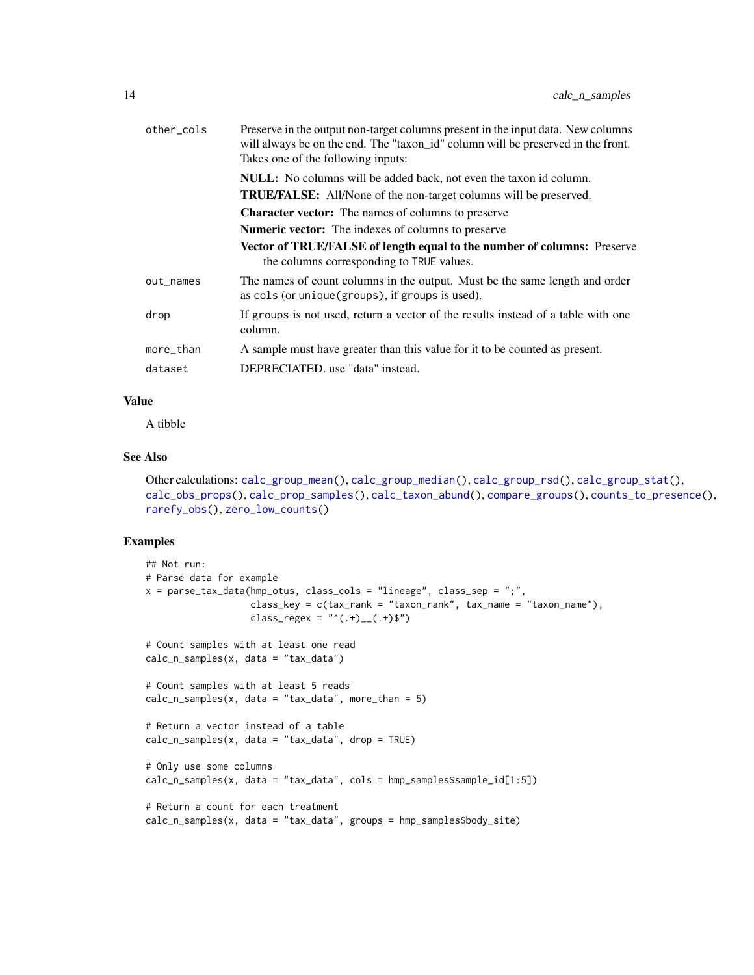| other_cols | Preserve in the output non-target columns present in the input data. New columns<br>will always be on the end. The "taxon_id" column will be preserved in the front.<br>Takes one of the following inputs: |
|------------|------------------------------------------------------------------------------------------------------------------------------------------------------------------------------------------------------------|
|            | NULL: No columns will be added back, not even the taxon id column.                                                                                                                                         |
|            | <b>TRUE/FALSE:</b> All/None of the non-target columns will be preserved.                                                                                                                                   |
|            | <b>Character vector:</b> The names of columns to preserve                                                                                                                                                  |
|            | Numeric vector: The indexes of columns to preserve                                                                                                                                                         |
|            | <b>Vector of TRUE/FALSE of length equal to the number of columns:</b> Preserve<br>the columns corresponding to TRUE values.                                                                                |
| out_names  | The names of count columns in the output. Must be the same length and order<br>as cols (or unique (groups), if groups is used).                                                                            |
| drop       | If groups is not used, return a vector of the results instead of a table with one<br>column.                                                                                                               |
| more_than  | A sample must have greater than this value for it to be counted as present.                                                                                                                                |
| dataset    | DEPRECIATED. use "data" instead.                                                                                                                                                                           |

A tibble

#### See Also

```
Other calculations: calc_group_mean(), calc_group_median(), calc_group_rsd(), calc_group_stat(),
calc_obs_props(), calc_prop_samples(), calc_taxon_abund(), compare_groups(), counts_to_presence(),
rarefy_obs(), zero_low_counts()
```

```
## Not run:
# Parse data for example
x = parse\_tax\_data(hmp\_otus, class\_cols = "lineage", class_sep = ";",class_key = c(tax_rank = "taxon_rank", tax_name = "taxon_name"),
                   class_regex = "^(.+)__(.+)$")
# Count samples with at least one read
calc_n_samples(x, data = "tax_data")
# Count samples with at least 5 reads
calc_n_samples(x, data = "tax_data", more_than = 5)
# Return a vector instead of a table
calc_n_samples(x, data = "tax_data", drop = TRUE)
# Only use some columns
calc_n_samples(x, data = "tax_data", cols = hmp_samples$sample_id[1:5])
# Return a count for each treatment
calc_n_samples(x, data = "tax_data", groups = hmp_samples$body_site)
```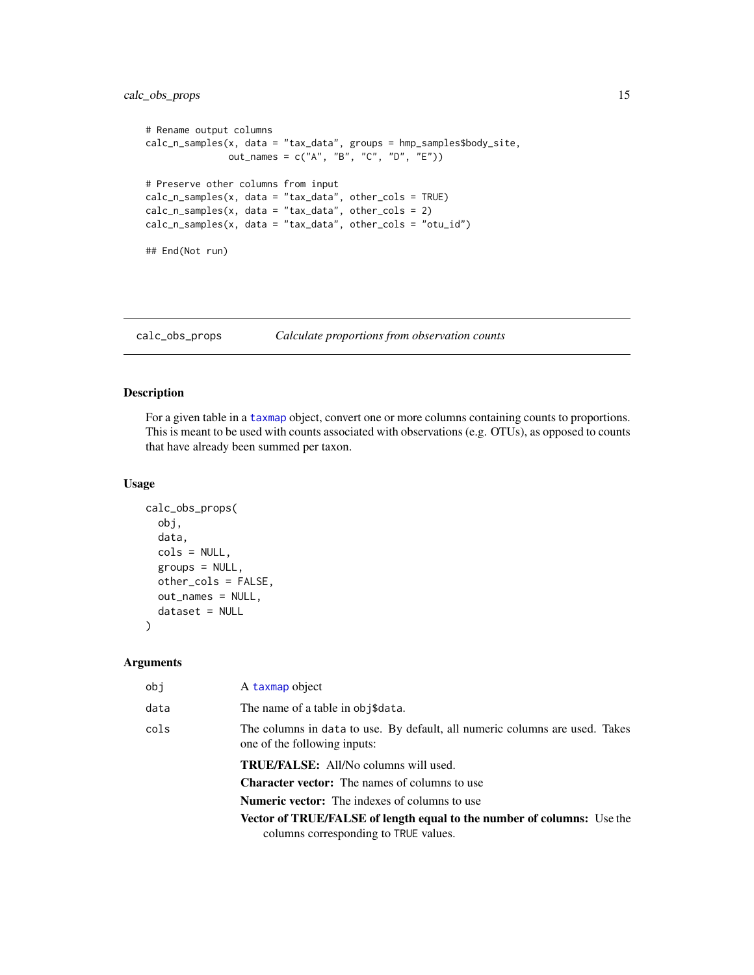### <span id="page-14-0"></span>calc\_obs\_props 15

```
# Rename output columns
calc_n_samples(x, data = "tax_data", groups = hmp_samples$body_site,
               out_names = c("A", "B", "C", "D", "E"))
# Preserve other columns from input
calc_n_samples(x, data = "tax_data", other_cols = TRUE)
calc_n_samples(x, data = "tax_data", other_cols = 2)
calc_n_samples(x, data = "tax_data", other_cols = "otu_id")
## End(Not run)
```
<span id="page-14-1"></span>calc\_obs\_props *Calculate proportions from observation counts*

### Description

For a given table in a [taxmap](#page-0-0) object, convert one or more columns containing counts to proportions. This is meant to be used with counts associated with observations (e.g. OTUs), as opposed to counts that have already been summed per taxon.

#### Usage

```
calc_obs_props(
  obj,
  data,
  cols = NULL,
  groups = NULL,
  other_cols = FALSE,
 out_names = NULL,
  dataset = NULL
)
```

| obj  | A taxmap object                                                                                             |
|------|-------------------------------------------------------------------------------------------------------------|
| data | The name of a table in obj\$data.                                                                           |
| cols | The columns in data to use. By default, all numeric columns are used. Takes<br>one of the following inputs: |
|      | <b>TRUE/FALSE:</b> All/No columns will used.                                                                |
|      | <b>Character vector:</b> The names of columns to use                                                        |
|      | <b>Numeric vector:</b> The indexes of columns to use                                                        |
|      | <b>Vector of TRUE/FALSE of length equal to the number of columns:</b> Use the                               |
|      | columns corresponding to TRUE values.                                                                       |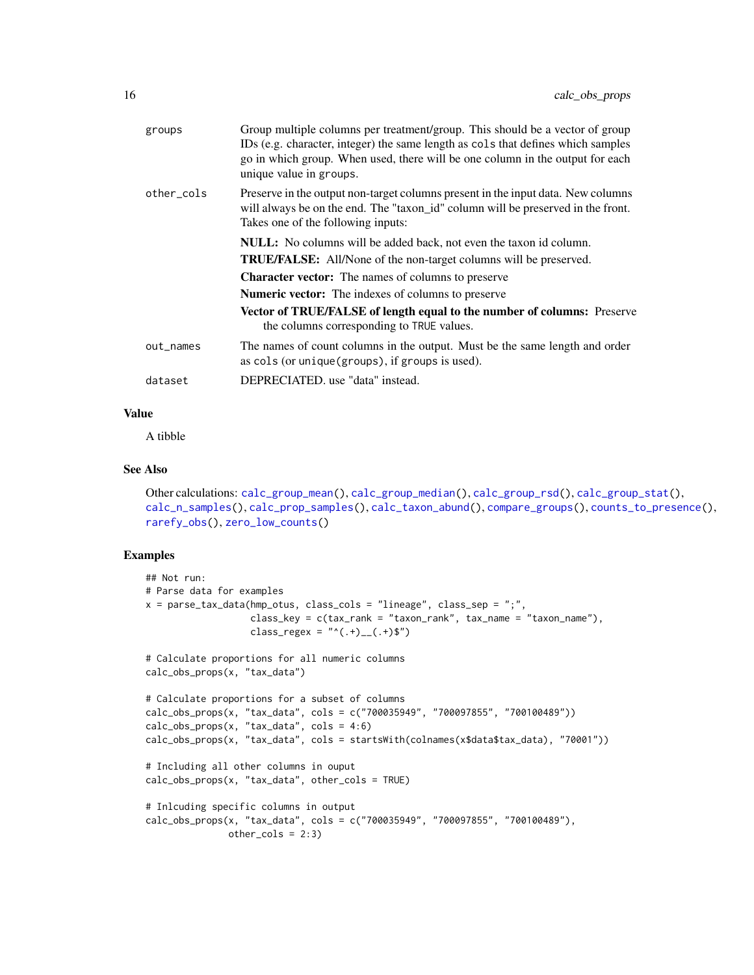| groups     | Group multiple columns per treatment/group. This should be a vector of group<br>IDs (e.g. character, integer) the same length as cols that defines which samples<br>go in which group. When used, there will be one column in the output for each<br>unique value in groups. |
|------------|------------------------------------------------------------------------------------------------------------------------------------------------------------------------------------------------------------------------------------------------------------------------------|
| other_cols | Preserve in the output non-target columns present in the input data. New columns<br>will always be on the end. The "taxon_id" column will be preserved in the front.<br>Takes one of the following inputs:                                                                   |
|            | <b>NULL:</b> No columns will be added back, not even the taxon id column.                                                                                                                                                                                                    |
|            | <b>TRUE/FALSE:</b> All/None of the non-target columns will be preserved.                                                                                                                                                                                                     |
|            | <b>Character vector:</b> The names of columns to preserve                                                                                                                                                                                                                    |
|            | <b>Numeric vector:</b> The indexes of columns to preserve                                                                                                                                                                                                                    |
|            | Vector of TRUE/FALSE of length equal to the number of columns: Preserve<br>the columns corresponding to TRUE values.                                                                                                                                                         |
| out_names  | The names of count columns in the output. Must be the same length and order<br>as cols (or unique (groups), if groups is used).                                                                                                                                              |
| dataset    | DEPRECIATED. use "data" instead.                                                                                                                                                                                                                                             |

A tibble

#### See Also

```
Other calculations: calc_group_mean(), calc_group_median(), calc_group_rsd(), calc_group_stat(),
calc_n_samples(), calc_prop_samples(), calc_taxon_abund(), compare_groups(), counts_to_presence(),
rarefy_obs(), zero_low_counts()
```

```
## Not run:
# Parse data for examples
x = parse\_tax\_data(hmp\_otus, class\_cols = "lineage", class_sep = ",",class_key = c(tax\_rank = "taxon\_rank", tax_name = "taxon_name"),class_regex = "^(.+)__(.+)$")
# Calculate proportions for all numeric columns
calc_obs_props(x, "tax_data")
# Calculate proportions for a subset of columns
calc_obs_props(x, "tax_data", cols = c("700035949", "700097855", "700100489"))
calc\_obs\_props(x, "tax_data", cols = 4:6)calc_obs_props(x, "tax_data", cols = startsWith(colnames(x$data$tax_data), "70001"))
# Including all other columns in ouput
calc_obs_props(x, "tax_data", other_cols = TRUE)
# Inlcuding specific columns in output
calc_obs_props(x, "tax_data", cols = c("700035949", "700097855", "700100489"),
              other\_cols = 2:3)
```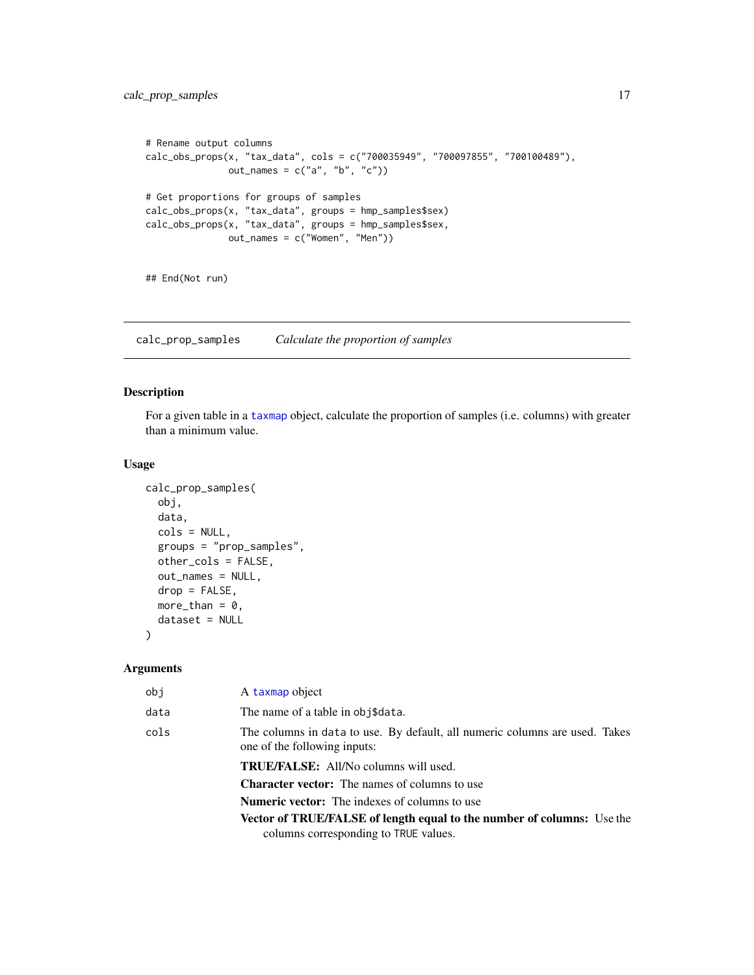```
# Rename output columns
calc_obs_props(x, "tax_data", cols = c("700035949", "700097855", "700100489"),
              out_names = c("a", "b", "c")# Get proportions for groups of samples
calc_obs_props(x, "tax_data", groups = hmp_samples$sex)
calc_obs_props(x, "tax_data", groups = hmp_samples$sex,
              out_names = c("Women", "Men"))
```
## End(Not run)

<span id="page-16-1"></span>calc\_prop\_samples *Calculate the proportion of samples*

### Description

For a given table in a [taxmap](#page-0-0) object, calculate the proportion of samples (i.e. columns) with greater than a minimum value.

#### Usage

```
calc_prop_samples(
  obj,
  data,
  cols = NULL,
  groups = "prop_samples",
 other_cols = FALSE,
 out_names = NULL,
  drop = FALSE,
 more_than = 0,
 dataset = NULL
)
```

| obj  | A taxmap object                                                                                                        |
|------|------------------------------------------------------------------------------------------------------------------------|
| data | The name of a table in obj\$data.                                                                                      |
| cols | The columns in data to use. By default, all numeric columns are used. Takes<br>one of the following inputs:            |
|      | <b>TRUE/FALSE:</b> All/No columns will used.                                                                           |
|      | <b>Character vector:</b> The names of columns to use                                                                   |
|      | <b>Numeric vector:</b> The indexes of columns to use                                                                   |
|      | <b>Vector of TRUE/FALSE of length equal to the number of columns:</b> Use the<br>columns corresponding to TRUE values. |
|      |                                                                                                                        |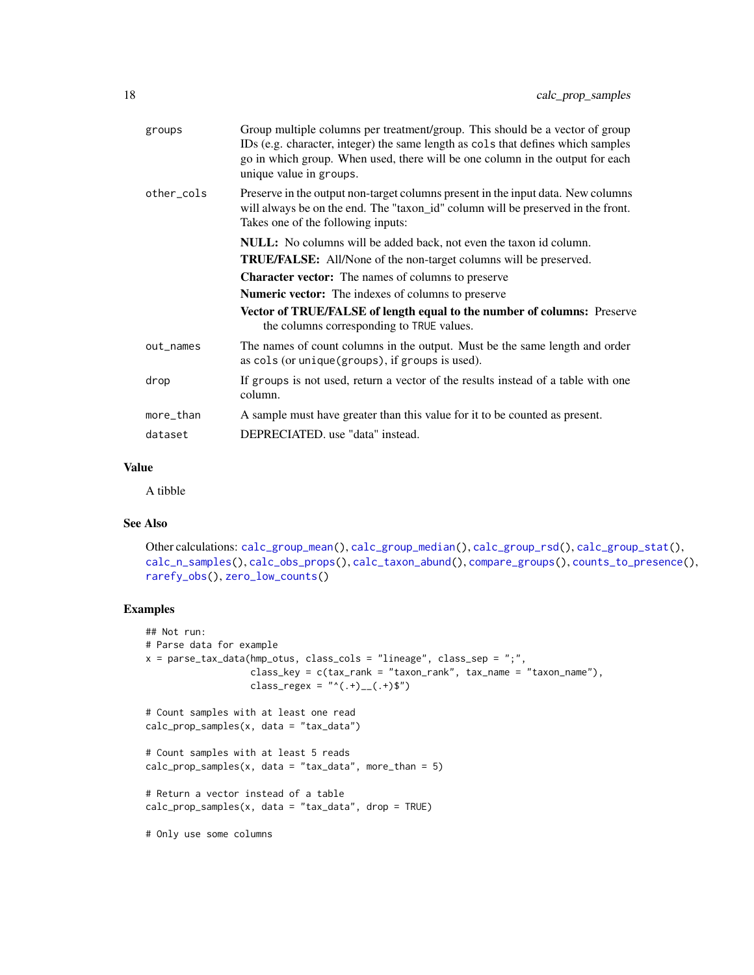| groups     | Group multiple columns per treatment/group. This should be a vector of group<br>IDs (e.g. character, integer) the same length as cols that defines which samples<br>go in which group. When used, there will be one column in the output for each<br>unique value in groups. |
|------------|------------------------------------------------------------------------------------------------------------------------------------------------------------------------------------------------------------------------------------------------------------------------------|
| other cols | Preserve in the output non-target columns present in the input data. New columns<br>will always be on the end. The "taxon_id" column will be preserved in the front.<br>Takes one of the following inputs:                                                                   |
|            | NULL: No columns will be added back, not even the taxon id column.                                                                                                                                                                                                           |
|            | <b>TRUE/FALSE:</b> All/None of the non-target columns will be preserved.                                                                                                                                                                                                     |
|            | <b>Character vector:</b> The names of columns to preserve                                                                                                                                                                                                                    |
|            | <b>Numeric vector:</b> The indexes of columns to preserve                                                                                                                                                                                                                    |
|            | <b>Vector of TRUE/FALSE of length equal to the number of columns:</b> Preserve<br>the columns corresponding to TRUE values.                                                                                                                                                  |
| out_names  | The names of count columns in the output. Must be the same length and order<br>as cols (or unique (groups), if groups is used).                                                                                                                                              |
| drop       | If groups is not used, return a vector of the results instead of a table with one<br>column.                                                                                                                                                                                 |
| more_than  | A sample must have greater than this value for it to be counted as present.                                                                                                                                                                                                  |
| dataset    | DEPRECIATED, use "data" instead.                                                                                                                                                                                                                                             |
|            |                                                                                                                                                                                                                                                                              |

A tibble

### See Also

```
Other calculations: calc_group_mean(), calc_group_median(), calc_group_rsd(), calc_group_stat(),
calc_n_samples(), calc_obs_props(), calc_taxon_abund(), compare_groups(), counts_to_presence(),
rarefy_obs(), zero_low_counts()
```

```
## Not run:
# Parse data for example
x = parse\_tax\_data(hmp\_otus, class\_cols = "lineage", class_sep = ";"class_key = c(tax_rank = "taxon_rank", tax_name = "taxon_name"),
                   class_regex = "^(.+)__(.+)$")
# Count samples with at least one read
calc_prop_samples(x, data = "tax_data")
# Count samples with at least 5 reads
calc\_prop\_samples(x, data = "tax_data", more_than = 5)# Return a vector instead of a table
calc\_prop\_samples(x, data = "tax_data", drop = TRUE)# Only use some columns
```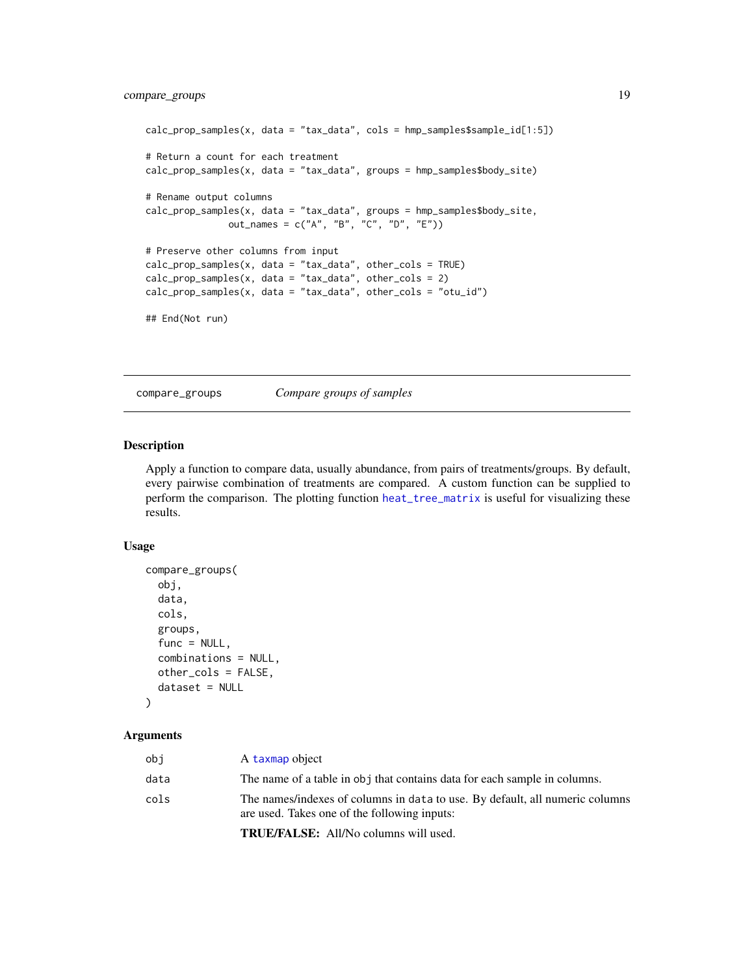```
calc_prop_samples(x, data = "tax_data", cols = hmp_samples$sample_id[1:5])
# Return a count for each treatment
calc_prop_samples(x, data = "tax_data", groups = hmp_samples$body_site)
# Rename output columns
calc_prop_samples(x, data = "tax_data", groups = hmp_samples$body_site,
               out_names = c("A", "B", "C", "D", "E"))
# Preserve other columns from input
calc_prop_samples(x, data = "tax_data", other_cols = TRUE)
calc\_prop\_samples(x, data = "tax_data", other\_cols = 2)calc_prop_samples(x, data = "tax_data", other_cols = "otu_id")
## End(Not run)
```
<span id="page-18-1"></span>compare\_groups *Compare groups of samples*

### Description

Apply a function to compare data, usually abundance, from pairs of treatments/groups. By default, every pairwise combination of treatments are compared. A custom function can be supplied to perform the comparison. The plotting function [heat\\_tree\\_matrix](#page-33-1) is useful for visualizing these results.

#### Usage

```
compare_groups(
  obj,
  data,
  cols,
  groups,
  func = NULL,combinations = NULL,
  other_cols = FALSE,
  dataset = NULL
)
```
#### Arguments

| obj  | A taxmap object                                                                                                              |
|------|------------------------------------------------------------------------------------------------------------------------------|
| data | The name of a table in obj that contains data for each sample in columns.                                                    |
| cols | The names/indexes of columns in data to use. By default, all numeric columns<br>are used. Takes one of the following inputs: |
|      | $\mathbf{m}\mathbf{n}$ $\mathbf{m}\mathbf{n}$                                                                                |

TRUE/FALSE: All/No columns will used.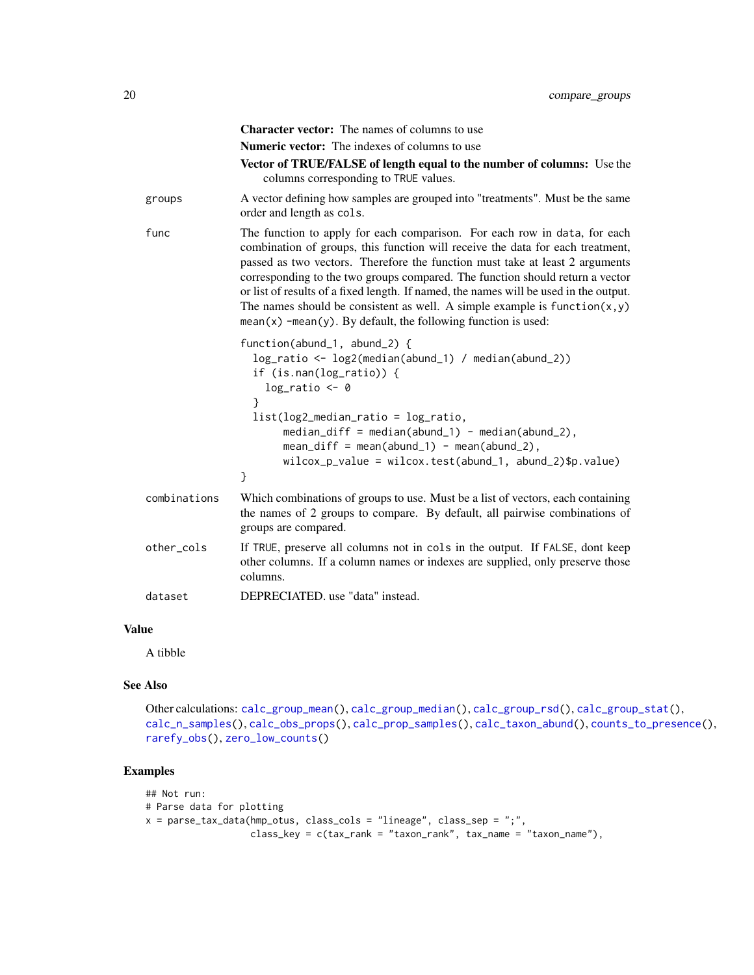|              | <b>Character vector:</b> The names of columns to use                                                                                                                                                                                                                                                                                                                                                                                                                                                                                                                     |
|--------------|--------------------------------------------------------------------------------------------------------------------------------------------------------------------------------------------------------------------------------------------------------------------------------------------------------------------------------------------------------------------------------------------------------------------------------------------------------------------------------------------------------------------------------------------------------------------------|
|              | <b>Numeric vector:</b> The indexes of columns to use                                                                                                                                                                                                                                                                                                                                                                                                                                                                                                                     |
|              | Vector of TRUE/FALSE of length equal to the number of columns: Use the<br>columns corresponding to TRUE values.                                                                                                                                                                                                                                                                                                                                                                                                                                                          |
| groups       | A vector defining how samples are grouped into "treatments". Must be the same<br>order and length as cols.                                                                                                                                                                                                                                                                                                                                                                                                                                                               |
| func         | The function to apply for each comparison. For each row in data, for each<br>combination of groups, this function will receive the data for each treatment,<br>passed as two vectors. Therefore the function must take at least 2 arguments<br>corresponding to the two groups compared. The function should return a vector<br>or list of results of a fixed length. If named, the names will be used in the output.<br>The names should be consistent as well. A simple example is $function(x, y)$<br>$mean(x)$ -mean(y). By default, the following function is used: |
|              | function(abund_1, abund_2) {<br>log_ratio <- log2(median(abund_1) / median(abund_2))<br>if $(is.\nnan(log\_ratio))$ {<br>$log\_ratio \leftarrow 0$<br>ł<br>$list(log2_{median\_ratio} = log\_ratio,$                                                                                                                                                                                                                                                                                                                                                                     |
|              | $median\_diff = median(abund_1) - median(abund_2),$<br>$mean\_diff = mean(abund_1) - mean(abund_2),$<br>$wilcox_p_value = wilcox.test(abund_1, abund_2)\$<br>}                                                                                                                                                                                                                                                                                                                                                                                                           |
| combinations | Which combinations of groups to use. Must be a list of vectors, each containing<br>the names of 2 groups to compare. By default, all pairwise combinations of<br>groups are compared.                                                                                                                                                                                                                                                                                                                                                                                    |
| other_cols   | If TRUE, preserve all columns not in cols in the output. If FALSE, dont keep<br>other columns. If a column names or indexes are supplied, only preserve those<br>columns.                                                                                                                                                                                                                                                                                                                                                                                                |
| dataset      | DEPRECIATED, use "data" instead.                                                                                                                                                                                                                                                                                                                                                                                                                                                                                                                                         |

A tibble

### See Also

```
Other calculations: calc_group_mean(), calc_group_median(), calc_group_rsd(), calc_group_stat(),
calc_n_samples(), calc_obs_props(), calc_prop_samples(), calc_taxon_abund(), counts_to_presence(),
rarefy_obs(), zero_low_counts()
```

```
## Not run:
# Parse data for plotting
x = parse\_tax\_data(hmp\_otus, class\_cols = "lineage", class_sep = ",",class_key = c(tax_rank = "taxon_rank", tax_name = "taxon_name"),
```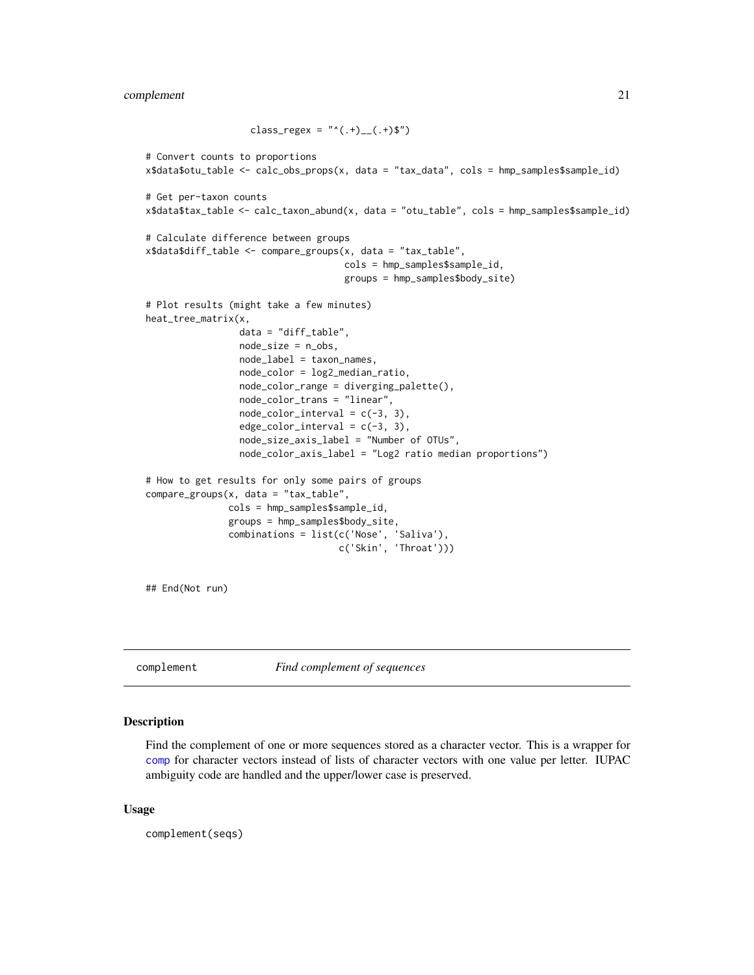```
class_regex = "^(.+)__(.+)$")
# Convert counts to proportions
x$data$otu_table <- calc_obs_props(x, data = "tax_data", cols = hmp_samples$sample_id)
# Get per-taxon counts
x$data$tax_table <- calc_taxon_abund(x, data = "otu_table", cols = hmp_samples$sample_id)
# Calculate difference between groups
x$data$diff_table <- compare_groups(x, data = "tax_table",
                                    cols = hmp_samples$sample_id,
                                    groups = hmp_samples$body_site)
# Plot results (might take a few minutes)
heat_tree_matrix(x,
                 data = "diff_table",
                 node_size = n_obs,
                 node_label = taxon_names,
                 node_color = log2_median_ratio,
                 node_color_range = diverging_palette(),
                 node_color_trans = "linear",
                 node\_color\_interval = c(-3, 3),
                 edge\_color\_interval = c(-3, 3),
                 node_size_axis_label = "Number of OTUs",
                 node_color_axis_label = "Log2 ratio median proportions")
# How to get results for only some pairs of groups
compare_groups(x, data = "tax_table",
               cols = hmp_samples$sample_id,
               groups = hmp_samples$body_site,
               combinations = list(c('Nose', 'Saliva'),
                                    c('Skin', 'Throat')))
```
## End(Not run)

complement *Find complement of sequences*

#### Description

Find the complement of one or more sequences stored as a character vector. This is a wrapper for [comp](#page-0-0) for character vectors instead of lists of character vectors with one value per letter. IUPAC ambiguity code are handled and the upper/lower case is preserved.

#### Usage

complement(seqs)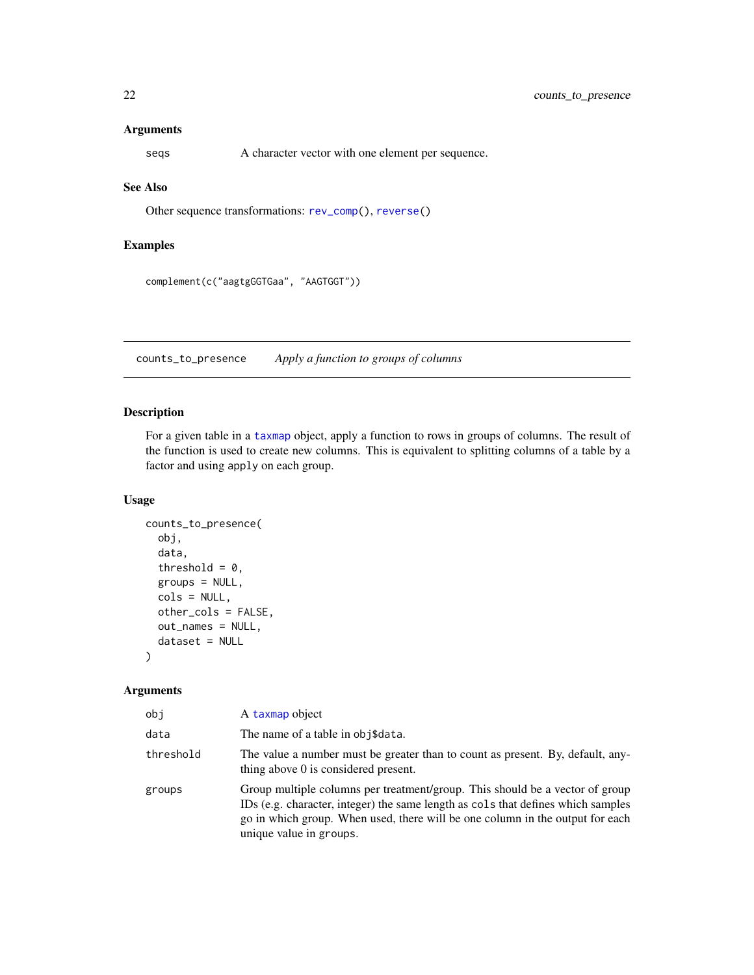#### <span id="page-21-0"></span>Arguments

seqs A character vector with one element per sequence.

### See Also

Other sequence transformations: [rev\\_comp\(](#page-66-1)), [reverse\(](#page-65-1))

#### Examples

complement(c("aagtgGGTGaa", "AAGTGGT"))

<span id="page-21-1"></span>counts\_to\_presence *Apply a function to groups of columns*

#### Description

For a given table in a [taxmap](#page-0-0) object, apply a function to rows in groups of columns. The result of the function is used to create new columns. This is equivalent to splitting columns of a table by a factor and using apply on each group.

#### Usage

```
counts_to_presence(
  obj,
  data,
  threshold = 0,
 groups = NULL,
  cols = NULL,other_cols = FALSE,
 out_names = NULL,
  dataset = NULL)
```

| obj       | A taxmap object                                                                                                                                                                                                                                                              |
|-----------|------------------------------------------------------------------------------------------------------------------------------------------------------------------------------------------------------------------------------------------------------------------------------|
| data      | The name of a table in obj\$data.                                                                                                                                                                                                                                            |
| threshold | The value a number must be greater than to count as present. By, default, any-<br>thing above 0 is considered present.                                                                                                                                                       |
| groups    | Group multiple columns per treatment/group. This should be a vector of group<br>IDs (e.g. character, integer) the same length as cols that defines which samples<br>go in which group. When used, there will be one column in the output for each<br>unique value in groups. |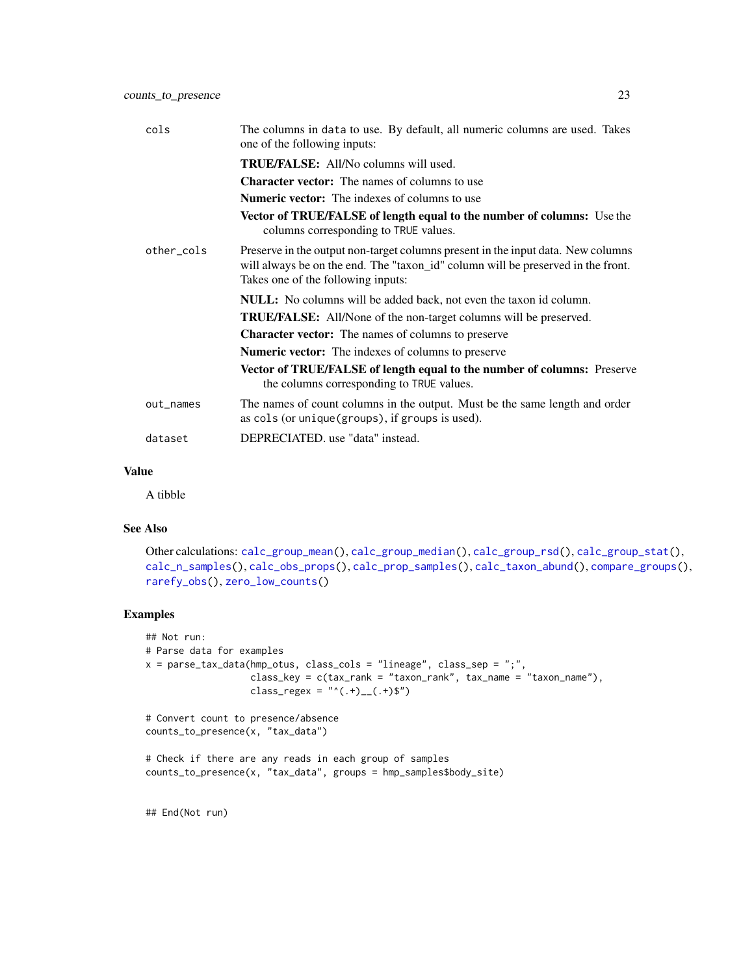| cols       | The columns in data to use. By default, all numeric columns are used. Takes<br>one of the following inputs:                                                                                                |
|------------|------------------------------------------------------------------------------------------------------------------------------------------------------------------------------------------------------------|
|            | <b>TRUE/FALSE:</b> All/No columns will used.                                                                                                                                                               |
|            | <b>Character vector:</b> The names of columns to use                                                                                                                                                       |
|            | <b>Numeric vector:</b> The indexes of columns to use                                                                                                                                                       |
|            | Vector of TRUE/FALSE of length equal to the number of columns: Use the<br>columns corresponding to TRUE values.                                                                                            |
| other_cols | Preserve in the output non-target columns present in the input data. New columns<br>will always be on the end. The "taxon_id" column will be preserved in the front.<br>Takes one of the following inputs: |
|            | <b>NULL:</b> No columns will be added back, not even the taxon id column.                                                                                                                                  |
|            | TRUE/FALSE: All/None of the non-target columns will be preserved.                                                                                                                                          |
|            | <b>Character vector:</b> The names of columns to preserve                                                                                                                                                  |
|            | <b>Numeric vector:</b> The indexes of columns to preserve                                                                                                                                                  |
|            | <b>Vector of TRUE/FALSE of length equal to the number of columns:</b> Preserve<br>the columns corresponding to TRUE values.                                                                                |
| out_names  | The names of count columns in the output. Must be the same length and order<br>as cols (or unique (groups), if groups is used).                                                                            |
| dataset    | DEPRECIATED, use "data" instead.                                                                                                                                                                           |

A tibble

### See Also

Other calculations: [calc\\_group\\_mean\(](#page-4-1)), [calc\\_group\\_median\(](#page-6-1)), [calc\\_group\\_rsd\(](#page-8-1)), [calc\\_group\\_stat\(](#page-10-1)), [calc\\_n\\_samples\(](#page-12-1)), [calc\\_obs\\_props\(](#page-14-1)), [calc\\_prop\\_samples\(](#page-16-1)), [calc\\_taxon\\_abund\(](#page-0-0)), [compare\\_groups\(](#page-18-1)), [rarefy\\_obs\(](#page-63-1)), [zero\\_low\\_counts\(](#page-72-1))

#### Examples

```
## Not run:
# Parse data for examples
x = parse_tax_data(hmp_otus, class_cols = "lineage", class_sep = ";",
                   class_key = c(tax_rank = "taxon_rank", tax_name = "taxon_name"),
                   class_regex = "^(.+)__(.+)$")
# Convert count to presence/absence
counts_to_presence(x, "tax_data")
# Check if there are any reads in each group of samples
counts_to_presence(x, "tax_data", groups = hmp_samples$body_site)
```
## End(Not run)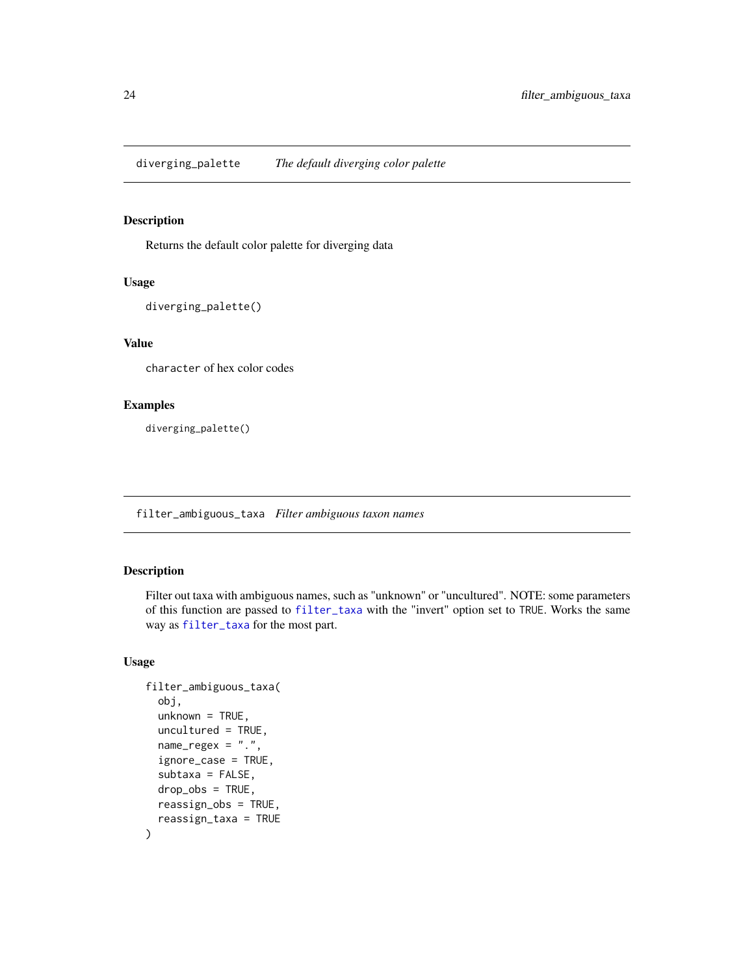<span id="page-23-0"></span>diverging\_palette *The default diverging color palette*

### Description

Returns the default color palette for diverging data

#### Usage

diverging\_palette()

### Value

character of hex color codes

### Examples

diverging\_palette()

filter\_ambiguous\_taxa *Filter ambiguous taxon names*

#### Description

Filter out taxa with ambiguous names, such as "unknown" or "uncultured". NOTE: some parameters of this function are passed to [filter\\_taxa](#page-0-0) with the "invert" option set to TRUE. Works the same way as [filter\\_taxa](#page-0-0) for the most part.

#### Usage

```
filter_ambiguous_taxa(
  obj,
  unknown = TRUE,uncultured = TRUE,
  name_{regex} = "."ignore_case = TRUE,
  subtaxa = FALSE,drop_obs = TRUE,
  reassign_obs = TRUE,
  reassign_taxa = TRUE
\mathcal{E}
```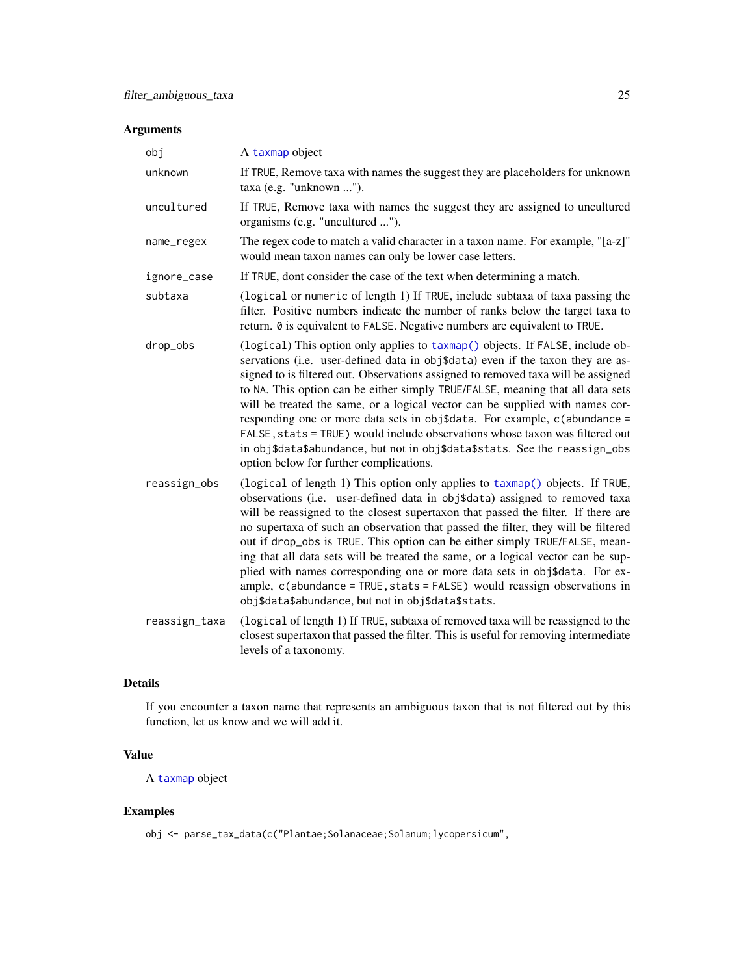### Arguments

| obj           | A taxmap object                                                                                                                                                                                                                                                                                                                                                                                                                                                                                                                                                                                                                                                                                                          |
|---------------|--------------------------------------------------------------------------------------------------------------------------------------------------------------------------------------------------------------------------------------------------------------------------------------------------------------------------------------------------------------------------------------------------------------------------------------------------------------------------------------------------------------------------------------------------------------------------------------------------------------------------------------------------------------------------------------------------------------------------|
| unknown       | If TRUE, Remove taxa with names the suggest they are placeholders for unknown<br>taxa (e.g. "unknown ").                                                                                                                                                                                                                                                                                                                                                                                                                                                                                                                                                                                                                 |
| uncultured    | If TRUE, Remove taxa with names the suggest they are assigned to uncultured<br>organisms (e.g. "uncultured ").                                                                                                                                                                                                                                                                                                                                                                                                                                                                                                                                                                                                           |
| name_regex    | The regex code to match a valid character in a taxon name. For example, "[a-z]"<br>would mean taxon names can only be lower case letters.                                                                                                                                                                                                                                                                                                                                                                                                                                                                                                                                                                                |
| ignore_case   | If TRUE, dont consider the case of the text when determining a match.                                                                                                                                                                                                                                                                                                                                                                                                                                                                                                                                                                                                                                                    |
| subtaxa       | (logical or numeric of length 1) If TRUE, include subtaxa of taxa passing the<br>filter. Positive numbers indicate the number of ranks below the target taxa to<br>return. 0 is equivalent to FALSE. Negative numbers are equivalent to TRUE.                                                                                                                                                                                                                                                                                                                                                                                                                                                                            |
| drop_obs      | (logical) This option only applies to taxmap() objects. If FALSE, include ob-<br>servations (i.e. user-defined data in obj\$data) even if the taxon they are as-<br>signed to is filtered out. Observations assigned to removed taxa will be assigned<br>to NA. This option can be either simply TRUE/FALSE, meaning that all data sets<br>will be treated the same, or a logical vector can be supplied with names cor-<br>responding one or more data sets in obj\$data. For example, c(abundance =<br>FALSE, stats = TRUE) would include observations whose taxon was filtered out<br>in obj\$data\$abundance, but not in obj\$data\$stats. See the reassign_obs<br>option below for further complications.           |
| reassign_obs  | (logical of length 1) This option only applies to taxmap() objects. If TRUE,<br>observations (i.e. user-defined data in obj\$data) assigned to removed taxa<br>will be reassigned to the closest supertaxon that passed the filter. If there are<br>no supertaxa of such an observation that passed the filter, they will be filtered<br>out if drop_obs is TRUE. This option can be either simply TRUE/FALSE, mean-<br>ing that all data sets will be treated the same, or a logical vector can be sup-<br>plied with names corresponding one or more data sets in obj\$data. For ex-<br>ample, c(abundance = TRUE, stats = FALSE) would reassign observations in<br>obj\$data\$abundance, but not in obj\$data\$stats. |
| reassign_taxa | (logical of length 1) If TRUE, subtaxa of removed taxa will be reassigned to the<br>closest supertaxon that passed the filter. This is useful for removing intermediate<br>levels of a taxonomy.                                                                                                                                                                                                                                                                                                                                                                                                                                                                                                                         |

### Details

If you encounter a taxon name that represents an ambiguous taxon that is not filtered out by this function, let us know and we will add it.

### Value

A [taxmap](#page-0-0) object

### Examples

obj <- parse\_tax\_data(c("Plantae;Solanaceae;Solanum;lycopersicum",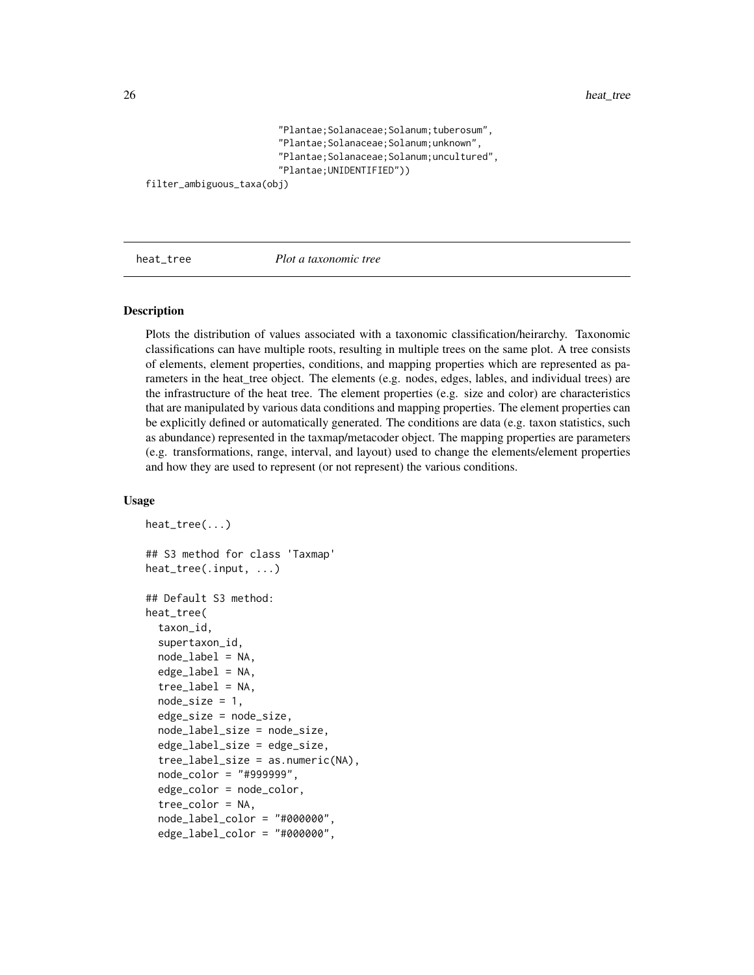```
"Plantae;Solanaceae;Solanum;tuberosum",
"Plantae;Solanaceae;Solanum;unknown",
"Plantae;Solanaceae;Solanum;uncultured",
"Plantae;UNIDENTIFIED"))
```

```
filter_ambiguous_taxa(obj)
```
<span id="page-25-1"></span>

heat\_tree *Plot a taxonomic tree*

#### Description

Plots the distribution of values associated with a taxonomic classification/heirarchy. Taxonomic classifications can have multiple roots, resulting in multiple trees on the same plot. A tree consists of elements, element properties, conditions, and mapping properties which are represented as parameters in the heat\_tree object. The elements (e.g. nodes, edges, lables, and individual trees) are the infrastructure of the heat tree. The element properties (e.g. size and color) are characteristics that are manipulated by various data conditions and mapping properties. The element properties can be explicitly defined or automatically generated. The conditions are data (e.g. taxon statistics, such as abundance) represented in the taxmap/metacoder object. The mapping properties are parameters (e.g. transformations, range, interval, and layout) used to change the elements/element properties and how they are used to represent (or not represent) the various conditions.

#### Usage

```
heat_tree(...)
## S3 method for class 'Taxmap'
heat_tree(.input, ...)
## Default S3 method:
heat_tree(
  taxon_id,
  supertaxon_id,
  node_labels = NA,
  edge\_label = NA,
  tree_label = NA,
  node_size = 1,
  edge_size = node_size,
  node_label_size = node_size,
  edge_label_size = edge_size,
  tree\_label\_size = as.numeric(NA),
  node_color = "#999999",
  edge_color = node_color,
  tree_color = NA,
  node_label_color = "#000000",
  edge_label_color = "#000000",
```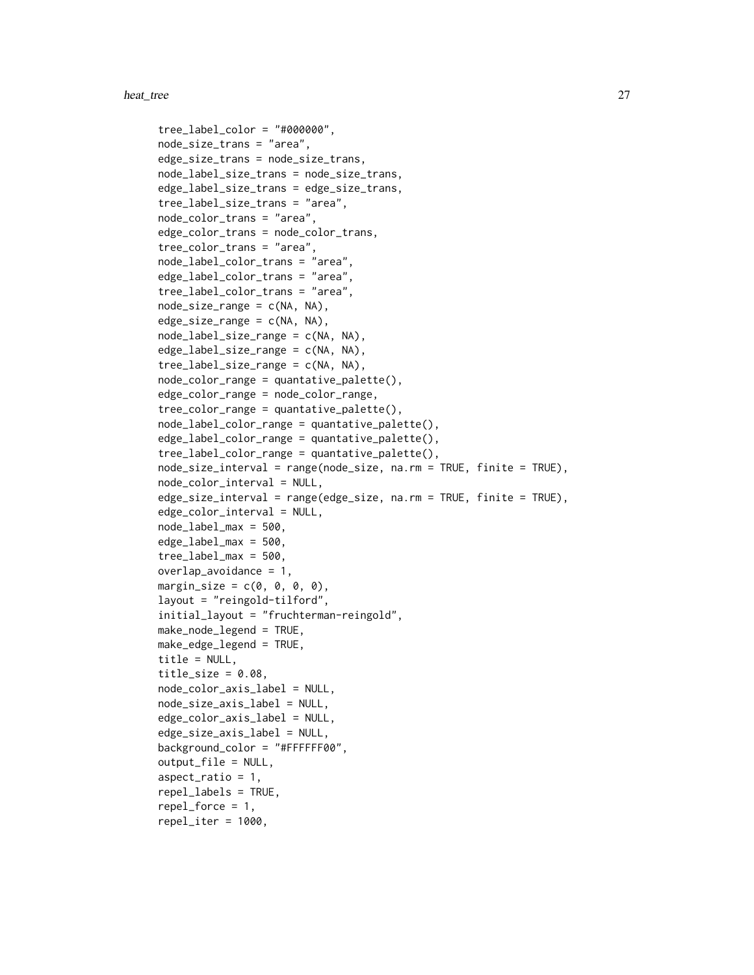```
tree_label_color = "#000000",
node_size_trans = "area",
edge_size_trans = node_size_trans,
node_label_size_trans = node_size_trans,
edge_label_size_trans = edge_size_trans,
tree_label_size_trans = "area",
node_color_trans = "area",
edge_color_trans = node_color_trans,
tree_color_trans = "area",
node_label_color_trans = "area",
edge_label_color_trans = "area",
tree_label_color_trans = "area",
node\_size\_range = c(NA, NA),
edge_size_range = c(NA, NA),
node_label_size_range = c(NA, NA),
edge_label_size_range = c(NA, NA),
tree_label_size_range = c(NA, NA),
node\_color\_range = quantative\_palette(),edge_color_range = node_color_range,
tree_color_range = quantative_palette(),
node_label_color_range = quantative_palette(),
edge_label_color_range = quantative_palette(),
tree_label_color_range = quantative_palette(),
node_size_interval = range(node_size, na.rm = TRUE, finite = TRUE),
node_color_interval = NULL,
edge_size_interval = range(edge_size, na.rm = TRUE, finite = TRUE),
edge_color_interval = NULL,
node_label_max = 500,
edge_label_max = 500,
tree\_label\_max = 500,overlap_avoidance = 1,
margin_size = c(0, 0, 0, 0),
layout = "reingold-tilford",
initial_layout = "fruchterman-reingold",
make_node_legend = TRUE,
make_edge_legend = TRUE,
title = NULL,
title\_size = 0.08,node_color_axis_label = NULL,
node_size_axis_label = NULL,
edge_color_axis_label = NULL,
edge_size_axis_label = NULL,
background_color = "#FFFFFF00",
output_file = NULL,
aspect\_ratio = 1,
repel_labels = TRUE,
repel_force = 1,
repel\_iter = 1000,
```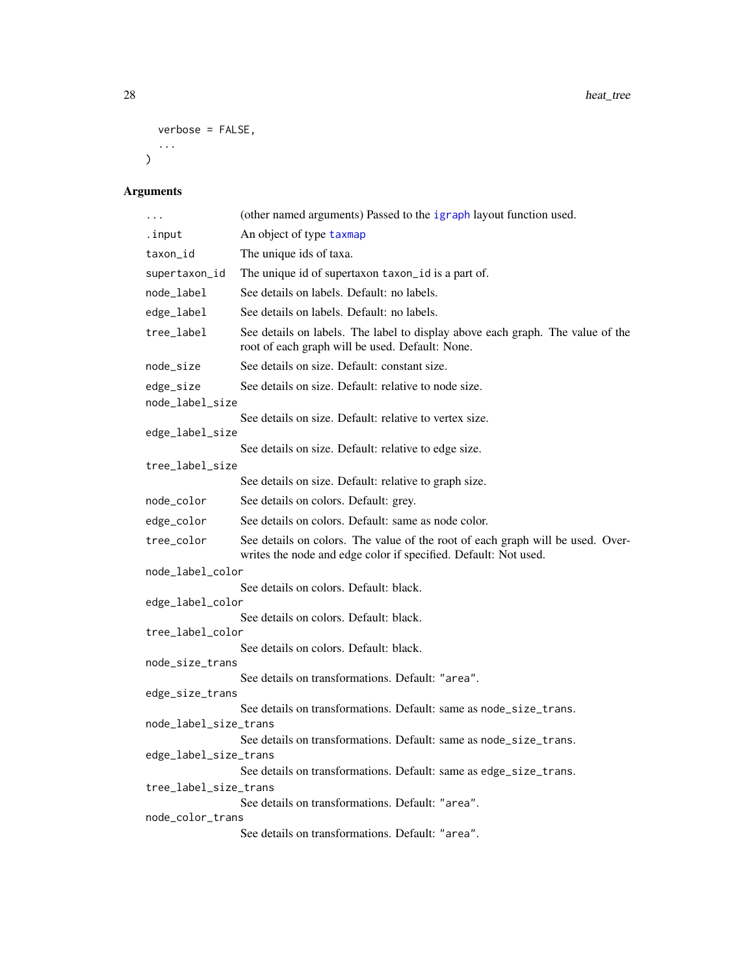```
28 heat_tree
```

```
verbose = FALSE,
 ...
)
```

| .                     | (other named arguments) Passed to the igraph layout function used.                                                                                |  |
|-----------------------|---------------------------------------------------------------------------------------------------------------------------------------------------|--|
| .input                | An object of type taxmap                                                                                                                          |  |
| taxon_id              | The unique ids of taxa.                                                                                                                           |  |
| supertaxon_id         | The unique id of supertaxon taxon_id is a part of.                                                                                                |  |
| node_label            | See details on labels. Default: no labels.                                                                                                        |  |
| edge_label            | See details on labels. Default: no labels.                                                                                                        |  |
| tree_label            | See details on labels. The label to display above each graph. The value of the<br>root of each graph will be used. Default: None.                 |  |
| node_size             | See details on size. Default: constant size.                                                                                                      |  |
| edge_size             | See details on size. Default: relative to node size.                                                                                              |  |
| node_label_size       |                                                                                                                                                   |  |
| edge_label_size       | See details on size. Default: relative to vertex size.                                                                                            |  |
|                       | See details on size. Default: relative to edge size.                                                                                              |  |
| tree_label_size       |                                                                                                                                                   |  |
|                       | See details on size. Default: relative to graph size.                                                                                             |  |
| node_color            | See details on colors. Default: grey.                                                                                                             |  |
| edge_color            | See details on colors. Default: same as node color.                                                                                               |  |
| tree_color            | See details on colors. The value of the root of each graph will be used. Over-<br>writes the node and edge color if specified. Default: Not used. |  |
| node_label_color      |                                                                                                                                                   |  |
| edge_label_color      | See details on colors. Default: black.                                                                                                            |  |
|                       | See details on colors. Default: black.                                                                                                            |  |
| tree_label_color      |                                                                                                                                                   |  |
|                       | See details on colors. Default: black.                                                                                                            |  |
| node_size_trans       | See details on transformations. Default: "area".                                                                                                  |  |
| edge_size_trans       |                                                                                                                                                   |  |
|                       | See details on transformations. Default: same as node_size_trans.                                                                                 |  |
| node_label_size_trans |                                                                                                                                                   |  |
| edge_label_size_trans | See details on transformations. Default: same as node_size_trans.                                                                                 |  |
|                       | See details on transformations. Default: same as edge_size_trans.                                                                                 |  |
| tree_label_size_trans |                                                                                                                                                   |  |
|                       | See details on transformations. Default: "area".                                                                                                  |  |
| node_color_trans      |                                                                                                                                                   |  |
|                       | See details on transformations. Default: "area".                                                                                                  |  |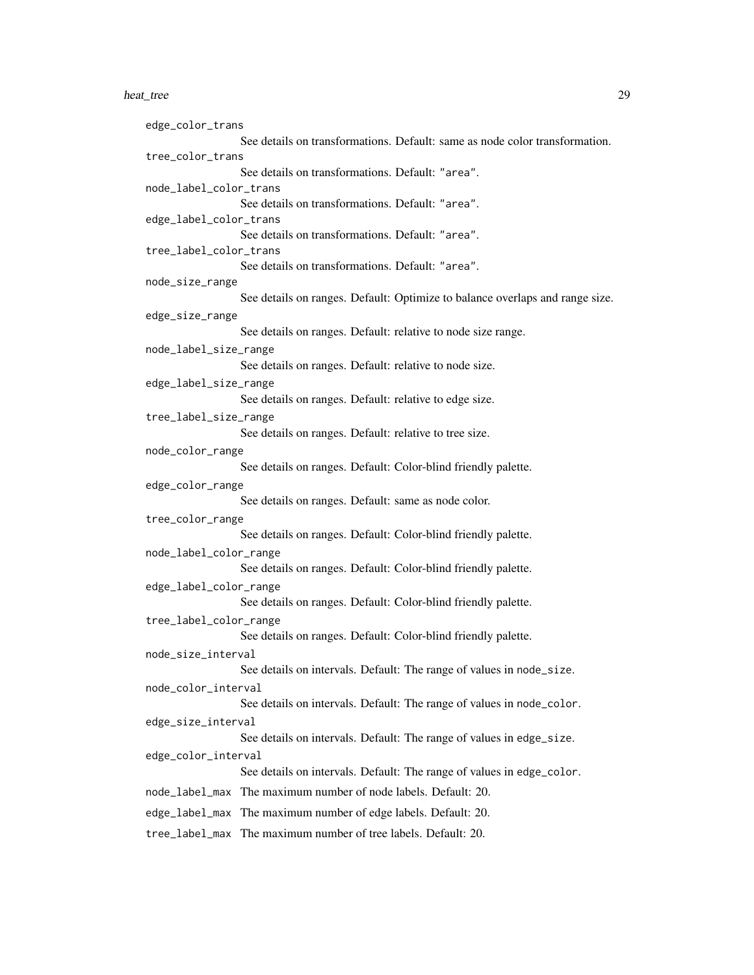#### heat\_tree 29

```
edge_color_trans
                  See details on transformations. Default: same as node color transformation.
tree_color_trans
                  See details on transformations. Default: "area".
node_label_color_trans
                  See details on transformations. Default: "area".
edge_label_color_trans
                  See details on transformations. Default: "area".
tree_label_color_trans
                  See details on transformations. Default: "area".
node_size_range
                  See details on ranges. Default: Optimize to balance overlaps and range size.
edge_size_range
                  See details on ranges. Default: relative to node size range.
node_label_size_range
                  See details on ranges. Default: relative to node size.
edge_label_size_range
                  See details on ranges. Default: relative to edge size.
tree_label_size_range
                  See details on ranges. Default: relative to tree size.
node_color_range
                  See details on ranges. Default: Color-blind friendly palette.
edge_color_range
                  See details on ranges. Default: same as node color.
tree_color_range
                  See details on ranges. Default: Color-blind friendly palette.
node_label_color_range
                  See details on ranges. Default: Color-blind friendly palette.
edge_label_color_range
                  See details on ranges. Default: Color-blind friendly palette.
tree_label_color_range
                  See details on ranges. Default: Color-blind friendly palette.
node_size_interval
                  See details on intervals. Default: The range of values in node_size.
node_color_interval
                  See details on intervals. Default: The range of values in node_color.
edge_size_interval
                  See details on intervals. Default: The range of values in edge_size.
edge_color_interval
                  See details on intervals. Default: The range of values in edge_color.
node_label_max The maximum number of node labels. Default: 20.
edge_label_max The maximum number of edge labels. Default: 20.
tree_label_max The maximum number of tree labels. Default: 20.
```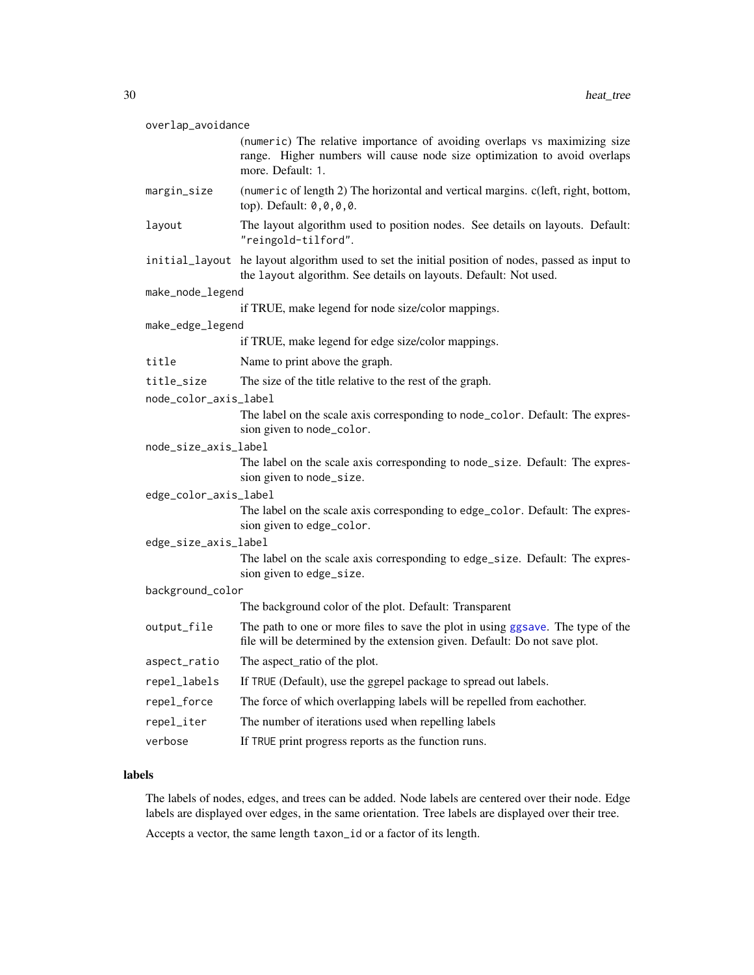| overlap_avoidance     |              |                                                                                                                                                                             |  |
|-----------------------|--------------|-----------------------------------------------------------------------------------------------------------------------------------------------------------------------------|--|
|                       |              | (numeric) The relative importance of avoiding overlaps vs maximizing size<br>range. Higher numbers will cause node size optimization to avoid overlaps<br>more. Default: 1. |  |
|                       | margin_size  | (numeric of length 2) The horizontal and vertical margins. c(left, right, bottom,<br>top). Default: 0,0,0,0.                                                                |  |
|                       | layout       | The layout algorithm used to position nodes. See details on layouts. Default:<br>"reingold-tilford".                                                                        |  |
|                       |              | initial_layout he layout algorithm used to set the initial position of nodes, passed as input to<br>the layout algorithm. See details on layouts. Default: Not used.        |  |
| make_node_legend      |              |                                                                                                                                                                             |  |
|                       |              | if TRUE, make legend for node size/color mappings.                                                                                                                          |  |
| make_edge_legend      |              |                                                                                                                                                                             |  |
|                       |              | if TRUE, make legend for edge size/color mappings.                                                                                                                          |  |
|                       | title        | Name to print above the graph.                                                                                                                                              |  |
|                       | title_size   | The size of the title relative to the rest of the graph.                                                                                                                    |  |
| node_color_axis_label |              |                                                                                                                                                                             |  |
|                       |              | The label on the scale axis corresponding to node_color. Default: The expres-<br>sion given to node_color.                                                                  |  |
| node_size_axis_label  |              |                                                                                                                                                                             |  |
|                       |              | The label on the scale axis corresponding to node_size. Default: The expres-<br>sion given to node_size.                                                                    |  |
| edge_color_axis_label |              |                                                                                                                                                                             |  |
|                       |              | The label on the scale axis corresponding to edge_color. Default: The expres-<br>sion given to edge_color.                                                                  |  |
| edge_size_axis_label  |              |                                                                                                                                                                             |  |
|                       |              | The label on the scale axis corresponding to edge_size. Default: The expres-<br>sion given to edge_size.                                                                    |  |
| background_color      |              |                                                                                                                                                                             |  |
|                       |              | The background color of the plot. Default: Transparent                                                                                                                      |  |
|                       | output_file  | The path to one or more files to save the plot in using ggsave. The type of the<br>file will be determined by the extension given. Default: Do not save plot.               |  |
|                       | aspect_ratio | The aspect_ratio of the plot.                                                                                                                                               |  |
|                       | repel_labels | If TRUE (Default), use the ggrepel package to spread out labels.                                                                                                            |  |
|                       | repel_force  | The force of which overlapping labels will be repelled from eachother.                                                                                                      |  |
|                       | repel_iter   | The number of iterations used when repelling labels                                                                                                                         |  |
|                       | verbose      | If TRUE print progress reports as the function runs.                                                                                                                        |  |

#### labels

The labels of nodes, edges, and trees can be added. Node labels are centered over their node. Edge labels are displayed over edges, in the same orientation. Tree labels are displayed over their tree.

Accepts a vector, the same length taxon\_id or a factor of its length.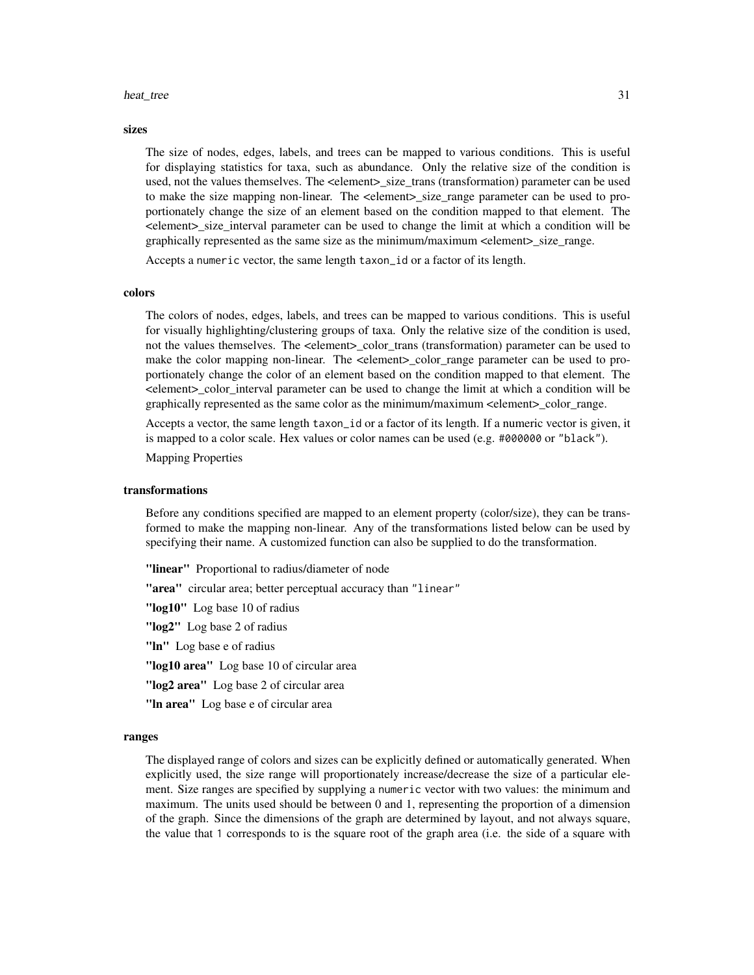#### heat\_tree 31

#### sizes

The size of nodes, edges, labels, and trees can be mapped to various conditions. This is useful for displaying statistics for taxa, such as abundance. Only the relative size of the condition is used, not the values themselves. The <element>\_size\_trans (transformation) parameter can be used to make the size mapping non-linear. The <element>\_size\_range parameter can be used to proportionately change the size of an element based on the condition mapped to that element. The <element>\_size\_interval parameter can be used to change the limit at which a condition will be graphically represented as the same size as the minimum/maximum <element>\_size\_range.

Accepts a numeric vector, the same length taxon\_id or a factor of its length.

#### colors

The colors of nodes, edges, labels, and trees can be mapped to various conditions. This is useful for visually highlighting/clustering groups of taxa. Only the relative size of the condition is used, not the values themselves. The <element>\_color\_trans (transformation) parameter can be used to make the color mapping non-linear. The <element>\_color\_range parameter can be used to proportionately change the color of an element based on the condition mapped to that element. The <element>\_color\_interval parameter can be used to change the limit at which a condition will be graphically represented as the same color as the minimum/maximum <element>\_color\_range.

Accepts a vector, the same length taxon\_id or a factor of its length. If a numeric vector is given, it is mapped to a color scale. Hex values or color names can be used (e.g.  $\#\emptyset\emptyset\emptyset\emptyset\emptyset$  or "black").

Mapping Properties

#### transformations

Before any conditions specified are mapped to an element property (color/size), they can be transformed to make the mapping non-linear. Any of the transformations listed below can be used by specifying their name. A customized function can also be supplied to do the transformation.

"linear" Proportional to radius/diameter of node

"area" circular area; better perceptual accuracy than "linear"

"log10" Log base 10 of radius

"log2" Log base 2 of radius

"In" Log base e of radius

"log10 area" Log base 10 of circular area

"log2 area" Log base 2 of circular area

"In area" Log base e of circular area

#### ranges

The displayed range of colors and sizes can be explicitly defined or automatically generated. When explicitly used, the size range will proportionately increase/decrease the size of a particular element. Size ranges are specified by supplying a numeric vector with two values: the minimum and maximum. The units used should be between 0 and 1, representing the proportion of a dimension of the graph. Since the dimensions of the graph are determined by layout, and not always square, the value that 1 corresponds to is the square root of the graph area (i.e. the side of a square with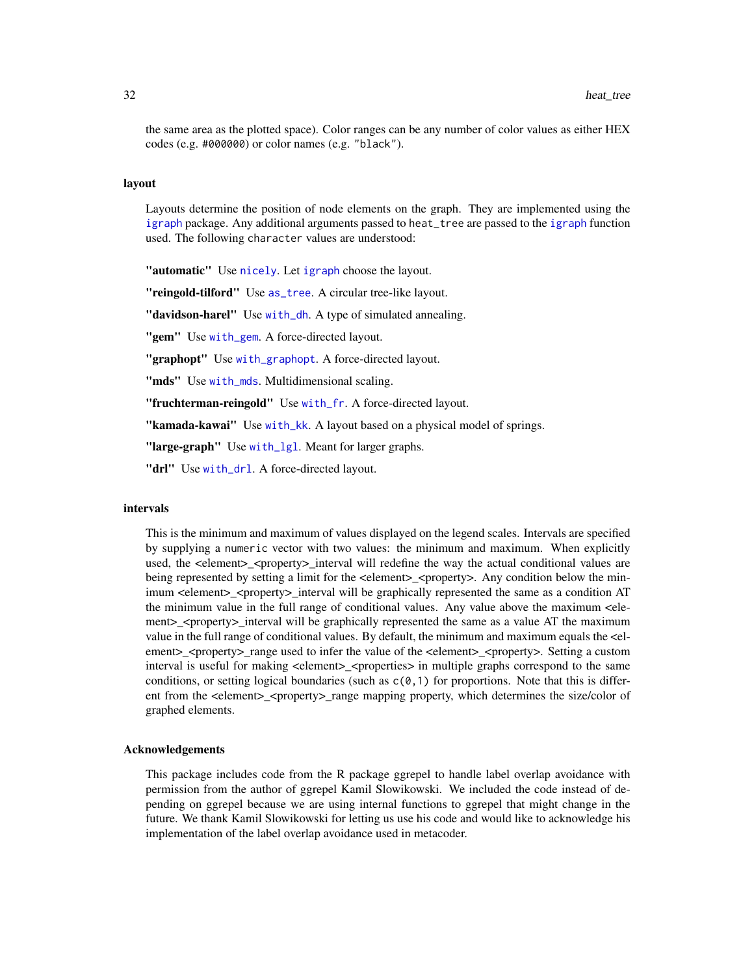the same area as the plotted space). Color ranges can be any number of color values as either HEX codes (e.g. #000000) or color names (e.g. "black").

#### layout

Layouts determine the position of node elements on the graph. They are implemented using the [igraph](#page-0-0) package. Any additional arguments passed to heat\_tree are passed to the [igraph](#page-0-0) function used. The following character values are understood:

"automatic" Use [nicely](#page-0-0). Let [igraph](#page-0-0) choose the layout.

"reingold-tilford" Use [as\\_tree](#page-0-0). A circular tree-like layout.

"davidson-harel" Use [with\\_dh](#page-0-0). A type of simulated annealing.

"gem" Use [with\\_gem](#page-0-0). A force-directed layout.

"graphopt" Use [with\\_graphopt](#page-0-0). A force-directed layout.

"mds" Use [with\\_mds](#page-0-0). Multidimensional scaling.

"fruchterman-reingold" Use [with\\_fr](#page-0-0). A force-directed layout.

"kamada-kawai" Use [with\\_kk](#page-0-0). A layout based on a physical model of springs.

"large-graph" Use [with\\_lgl](#page-0-0). Meant for larger graphs.

"drl" Use [with\\_drl](#page-0-0). A force-directed lavout.

#### intervals

This is the minimum and maximum of values displayed on the legend scales. Intervals are specified by supplying a numeric vector with two values: the minimum and maximum. When explicitly used, the <element> <property> interval will redefine the way the actual conditional values are being represented by setting a limit for the  $\leq$ element $\geq$   $\leq$ property $\geq$ . Any condition below the minimum <element>\_<property>\_interval will be graphically represented the same as a condition AT the minimum value in the full range of conditional values. Any value above the maximum <element>\_<property>\_interval will be graphically represented the same as a value AT the maximum value in the full range of conditional values. By default, the minimum and maximum equals the <element>\_<property>\_range used to infer the value of the <element>\_<property>. Setting a custom interval is useful for making <element>\_<properties> in multiple graphs correspond to the same conditions, or setting logical boundaries (such as  $c(0,1)$  for proportions. Note that this is different from the <element>\_<property>\_range mapping property, which determines the size/color of graphed elements.

#### Acknowledgements

This package includes code from the R package ggrepel to handle label overlap avoidance with permission from the author of ggrepel Kamil Slowikowski. We included the code instead of depending on ggrepel because we are using internal functions to ggrepel that might change in the future. We thank Kamil Slowikowski for letting us use his code and would like to acknowledge his implementation of the label overlap avoidance used in metacoder.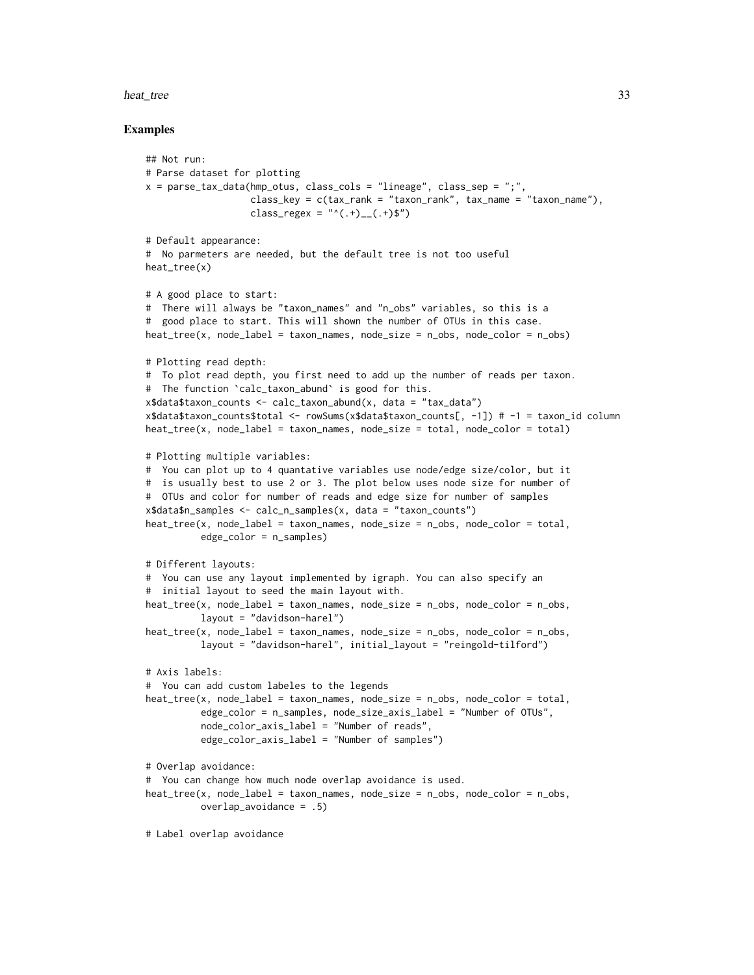#### heat\_tree 33

```
## Not run:
# Parse dataset for plotting
x = parse_tax_data(hmp_otus, class_cols = "lineage", class_sep = ";",
                   class_key = c(tax\_rank = "taxon\_rank", tax\_name = "taxon\_name"),class_regex = "^(.+)__(.+)$")
# Default appearance:
# No parmeters are needed, but the default tree is not too useful
heat_tree(x)
# A good place to start:
# There will always be "taxon_names" and "n_obs" variables, so this is a
# good place to start. This will shown the number of OTUs in this case.
heat\_tree(x, node\_label = taxon\_names, node\_size = n\_obs, node\_color = n\_obs)# Plotting read depth:
# To plot read depth, you first need to add up the number of reads per taxon.
# The function `calc_taxon_abund` is good for this.
x$data$taxon_counts <- calc_taxon_abund(x, data = "tax_data")
x$data$taxon_counts$total <- rowSums(x$data$taxon_counts[, -1]) # -1 = taxon_id column
heat_tree(x, node_label = taxon_names, node_size = total, node_color = total)
# Plotting multiple variables:
# You can plot up to 4 quantative variables use node/edge size/color, but it
# is usually best to use 2 or 3. The plot below uses node size for number of
# OTUs and color for number of reads and edge size for number of samples
x$data$n_samples <- calc_n_samples(x, data = "taxon_counts")
heat\_tree(x, node\_label = taxon\_names, node\_size = n\_obs, node\_color = total,edge_color = n_samples)
# Different layouts:
# You can use any layout implemented by igraph. You can also specify an
# initial layout to seed the main layout with.
heat\_tree(x, node\_label = taxon\_names, node\_size = n\_obs, node\_color = n\_obs,layout = "davidson-harel")
heat_tree(x, node_label = taxon_names, node_size = n_obs, node_color = n_obs,
          layout = "davidson-harel", initial_layout = "reingold-tilford")
# Axis labels:
# You can add custom labeles to the legends
heat\_tree(x, node\_label = taxon\_names, node\_size = n\_obs, node\_color = total,edge_color = n_samples, node_size_axis_label = "Number of OTUs",
          node_color_axis_label = "Number of reads",
          edge_color_axis_label = "Number of samples")
# Overlap avoidance:
# You can change how much node overlap avoidance is used.
heat_tree(x, node_label = taxon_names, node_size = n_obs, node_color = n_obs,
          overlap_avoidance = .5)
# Label overlap avoidance
```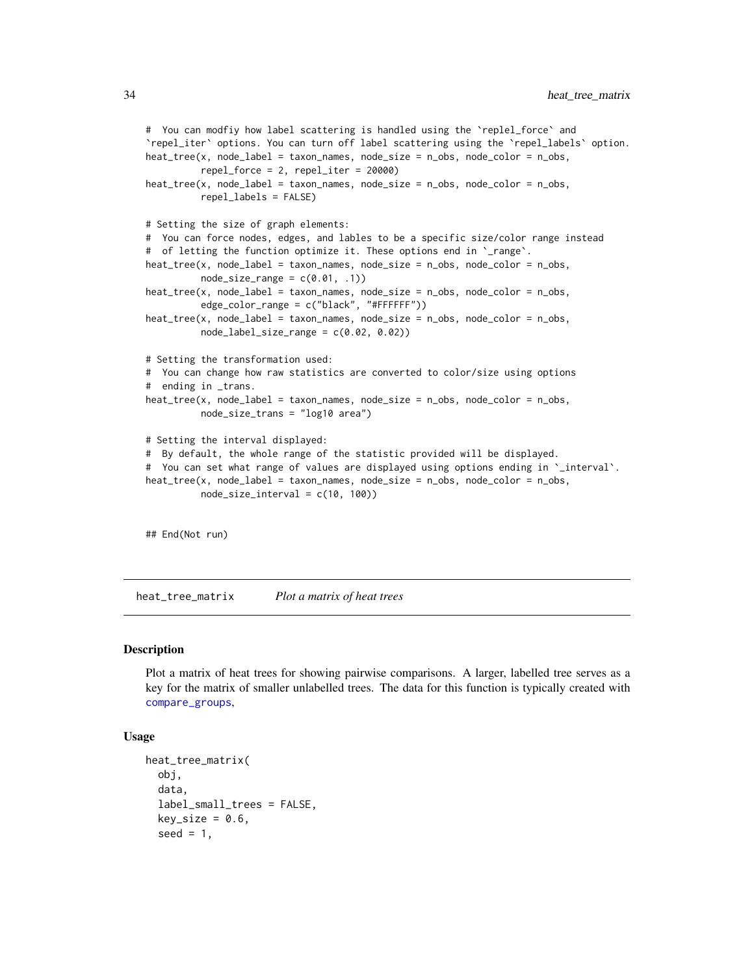```
# You can modfiy how label scattering is handled using the `replel_force` and
`repel_iter` options. You can turn off label scattering using the `repel_labels` option.
heat_tree(x, node_label = taxon_names, node_size = n_obs, node_color = n_obs,
          repel_force = 2, repel_iter = 20000)
heat_tree(x, node_label = taxon_names, node_size = n_obs, node_color = n_obs,
          repel_labels = FALSE)
# Setting the size of graph elements:
# You can force nodes, edges, and lables to be a specific size/color range instead
# of letting the function optimize it. These options end in `_range`.
heat_tree(x, node_label = taxon_names, node_size = n_obs, node_color = n_obs,
          node_size_range = c(0.01, .1))heat_tree(x, node_label = taxon_names, node_size = n_obs, node_color = n_obs,
          edge_color_range = c("black", "#FFFFFF"))
heat_tree(x, node_label = taxon_names, node_size = n_obs, node_color = n_obs,
          node_labelsListe_range = c(0.02, 0.02)# Setting the transformation used:
# You can change how raw statistics are converted to color/size using options
# ending in _trans.
heat_tree(x, node_label = taxon_names, node_size = n_obs, node_color = n_obs,
          node_size_trans = "log10 area")
# Setting the interval displayed:
# By default, the whole range of the statistic provided will be displayed.
# You can set what range of values are displayed using options ending in `_interval`.
heat_tree(x, node_label = taxon_names, node_size = n_obs, node_color = n_obs,
          node_size_interval = c(10, 100))
## End(Not run)
```
<span id="page-33-1"></span>heat\_tree\_matrix *Plot a matrix of heat trees*

#### Description

Plot a matrix of heat trees for showing pairwise comparisons. A larger, labelled tree serves as a key for the matrix of smaller unlabelled trees. The data for this function is typically created with [compare\\_groups](#page-18-1),

#### Usage

```
heat_tree_matrix(
  obj,
  data,
  label_small_trees = FALSE,
  key\_size = 0.6,
  seed = 1,
```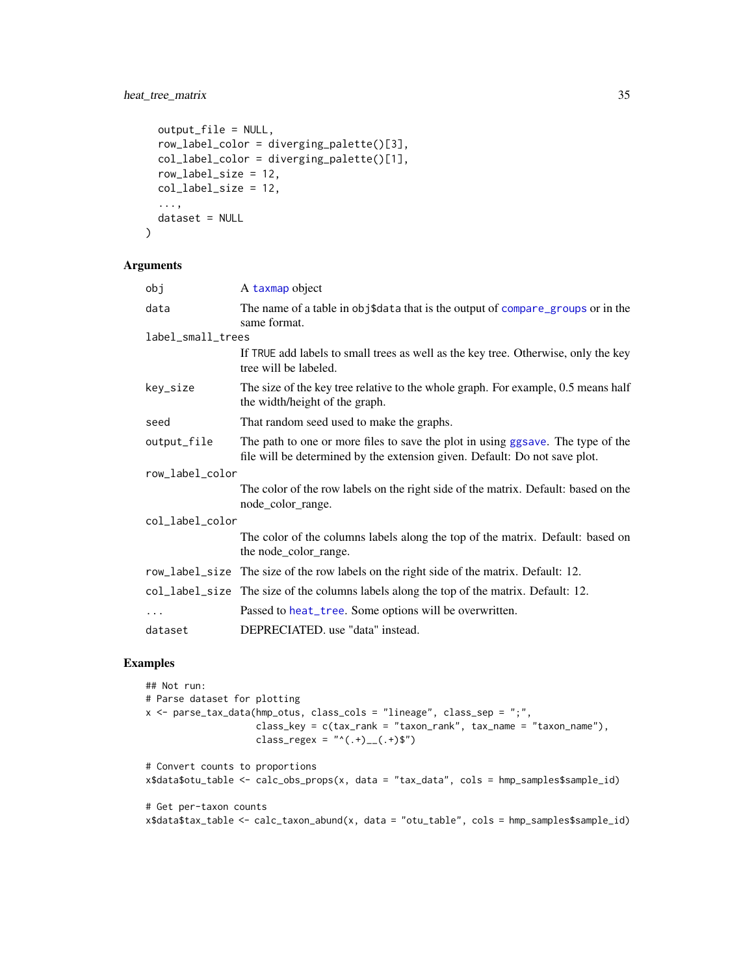### heat\_tree\_matrix 35

```
output_file = NULL,
 row_label_color = diverging_palette()[3],
 col_label_color = diverging_palette()[1],
 row_label_size = 12,
 col_label_size = 12,
  ...,
 dataset = NULL
)
```
#### Arguments

| A taxmap object                                                                                                                                               |  |  |
|---------------------------------------------------------------------------------------------------------------------------------------------------------------|--|--|
| The name of a table in obj\$data that is the output of compare_groups or in the<br>same format.                                                               |  |  |
| label_small_trees                                                                                                                                             |  |  |
| If TRUE add labels to small trees as well as the key tree. Otherwise, only the key<br>tree will be labeled.                                                   |  |  |
| The size of the key tree relative to the whole graph. For example, 0.5 means half<br>the width/height of the graph.                                           |  |  |
| That random seed used to make the graphs.                                                                                                                     |  |  |
| The path to one or more files to save the plot in using ggsave. The type of the<br>file will be determined by the extension given. Default: Do not save plot. |  |  |
| row_label_color                                                                                                                                               |  |  |
| The color of the row labels on the right side of the matrix. Default: based on the<br>node_color_range.                                                       |  |  |
| col_label_color                                                                                                                                               |  |  |
| The color of the columns labels along the top of the matrix. Default: based on<br>the node_color_range.                                                       |  |  |
| row_label_size The size of the row labels on the right side of the matrix. Default: 12.                                                                       |  |  |
| col_label_size The size of the columns labels along the top of the matrix. Default: 12.                                                                       |  |  |
| Passed to heat_tree. Some options will be overwritten.                                                                                                        |  |  |
| DEPRECIATED. use "data" instead.                                                                                                                              |  |  |
|                                                                                                                                                               |  |  |

```
## Not run:
# Parse dataset for plotting
x <- parse_tax_data(hmp_otus, class_cols = "lineage", class_sep = ";",
                    class_key = c(tax_rank = "taxon_rank", tax_name = "taxon_name"),
                    class_regex = "^(.+)__(.+)$")
# Convert counts to proportions
x$data$otu_table <- calc_obs_props(x, data = "tax_data", cols = hmp_samples$sample_id)
# Get per-taxon counts
x$data$tax_table <- calc_taxon_abund(x, data = "otu_table", cols = hmp_samples$sample_id)
```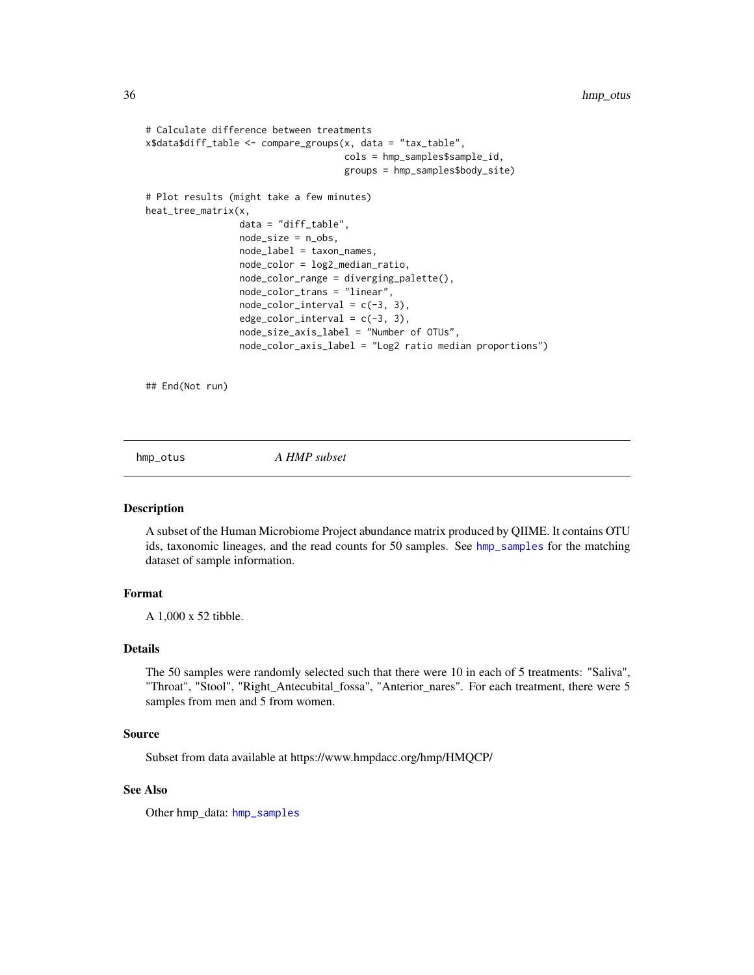```
# Calculate difference between treatments
x$data$diff_table <- compare_groups(x, data = "tax_table",
                                    cols = hmp_samples$sample_id,
                                    groups = hmp_samples$body_site)
# Plot results (might take a few minutes)
heat_tree_matrix(x,
                 data = "diff_table",
                 node_size = n_obs,
                 node_label = taxon_names,
                 node_color = log2_median_ratio,
                 node_color_range = diverging_palette(),
                 node_color_trans = "linear",
                 node\_color\_interval = c(-3, 3),
                 edge\_color\_interval = c(-3, 3),
                 node_size_axis_label = "Number of OTUs",
                 node_color_axis_label = "Log2 ratio median proportions")
```
## End(Not run)

hmp\_otus *A HMP subset*

#### Description

A subset of the Human Microbiome Project abundance matrix produced by QIIME. It contains OTU ids, taxonomic lineages, and the read counts for 50 samples. See [hmp\\_samples](#page-36-1) for the matching dataset of sample information.

#### Format

A 1,000 x 52 tibble.

### Details

The 50 samples were randomly selected such that there were 10 in each of 5 treatments: "Saliva", "Throat", "Stool", "Right\_Antecubital\_fossa", "Anterior\_nares". For each treatment, there were 5 samples from men and 5 from women.

#### Source

Subset from data available at https://www.hmpdacc.org/hmp/HMQCP/

### See Also

Other hmp\_data: [hmp\\_samples](#page-36-1)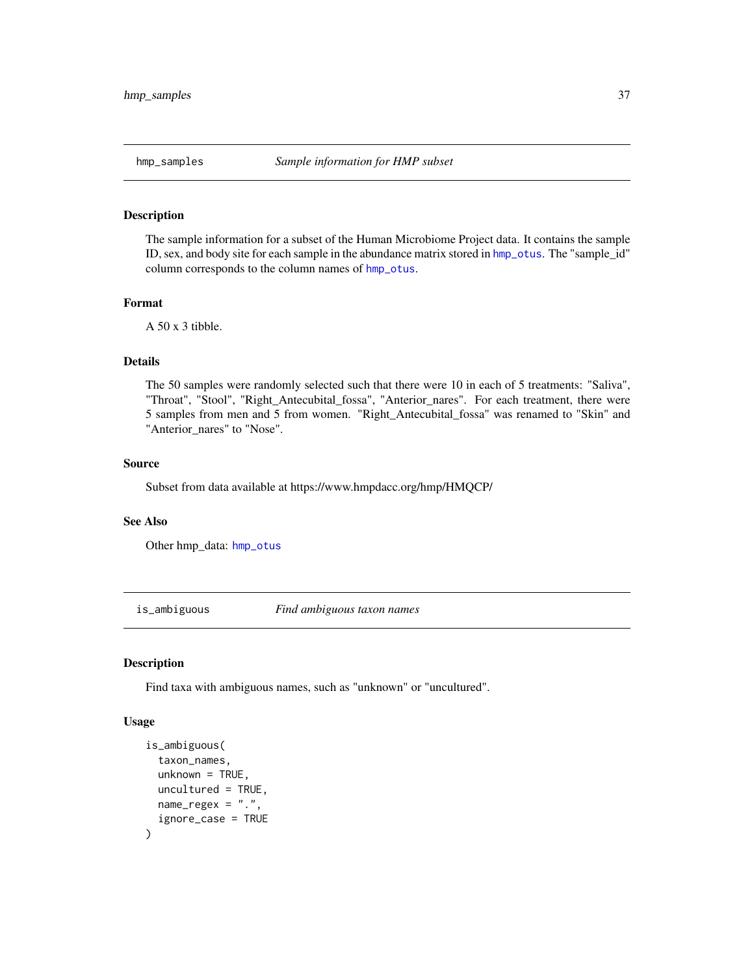## Description

The sample information for a subset of the Human Microbiome Project data. It contains the sample ID, sex, and body site for each sample in the abundance matrix stored in [hmp\\_otus](#page-35-0). The "sample\_id" column corresponds to the column names of [hmp\\_otus](#page-35-0).

### Format

 $A$  50 x 3 tibble.

## Details

The 50 samples were randomly selected such that there were 10 in each of 5 treatments: "Saliva", "Throat", "Stool", "Right\_Antecubital\_fossa", "Anterior\_nares". For each treatment, there were 5 samples from men and 5 from women. "Right\_Antecubital\_fossa" was renamed to "Skin" and "Anterior\_nares" to "Nose".

### Source

Subset from data available at https://www.hmpdacc.org/hmp/HMQCP/

### See Also

Other hmp\_data: [hmp\\_otus](#page-35-0)

is\_ambiguous *Find ambiguous taxon names*

# Description

Find taxa with ambiguous names, such as "unknown" or "uncultured".

```
is_ambiguous(
  taxon_names,
  unknown = TRUE,
  uncultured = TRUE,
 name_{regex} = "."ignore_case = TRUE
)
```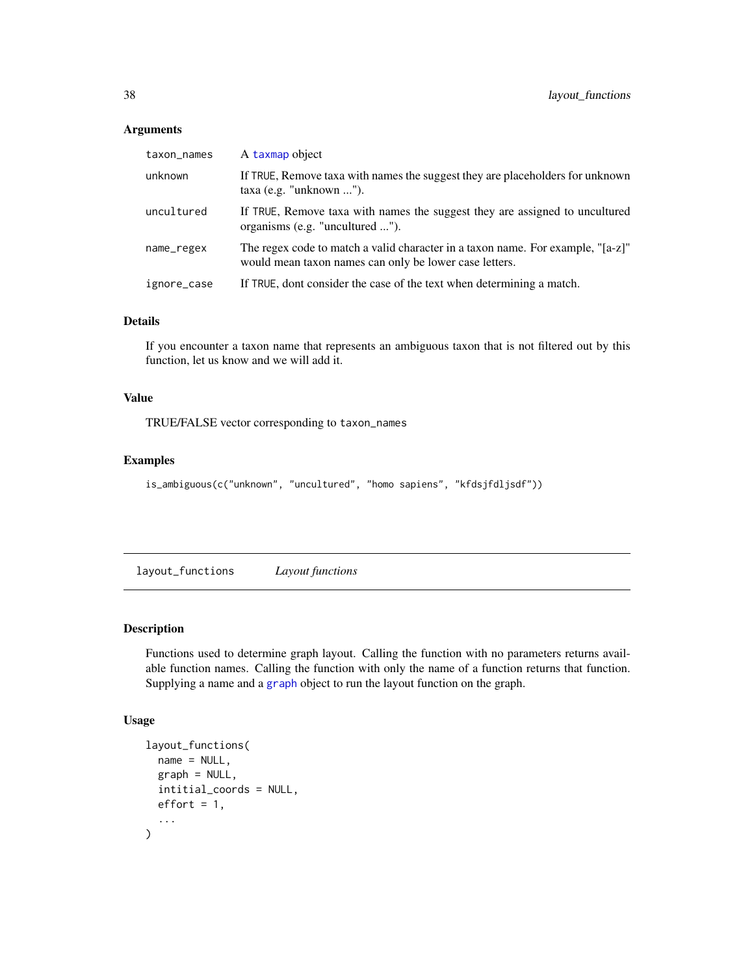| taxon_names | A taxmap object                                                                                                                           |
|-------------|-------------------------------------------------------------------------------------------------------------------------------------------|
| unknown     | If TRUE, Remove taxa with names the suggest they are placeholders for unknown<br>$taxa$ (e.g. "unknown ").                                |
| uncultured  | If TRUE, Remove taxa with names the suggest they are assigned to uncultured<br>organisms (e.g. "uncultured ").                            |
| name_regex  | The regex code to match a valid character in a taxon name. For example, "[a-z]"<br>would mean taxon names can only be lower case letters. |
| ignore_case | If TRUE, dont consider the case of the text when determining a match.                                                                     |

# Details

If you encounter a taxon name that represents an ambiguous taxon that is not filtered out by this function, let us know and we will add it.

### Value

TRUE/FALSE vector corresponding to taxon\_names

### Examples

```
is_ambiguous(c("unknown", "uncultured", "homo sapiens", "kfdsjfdljsdf"))
```
layout\_functions *Layout functions*

# Description

Functions used to determine graph layout. Calling the function with no parameters returns available function names. Calling the function with only the name of a function returns that function. Supplying a name and a [graph](#page-0-0) object to run the layout function on the graph.

```
layout_functions(
  name = NULL,graph = NULL,
  intitial_coords = NULL,
  effort = 1,...
\mathcal{E}
```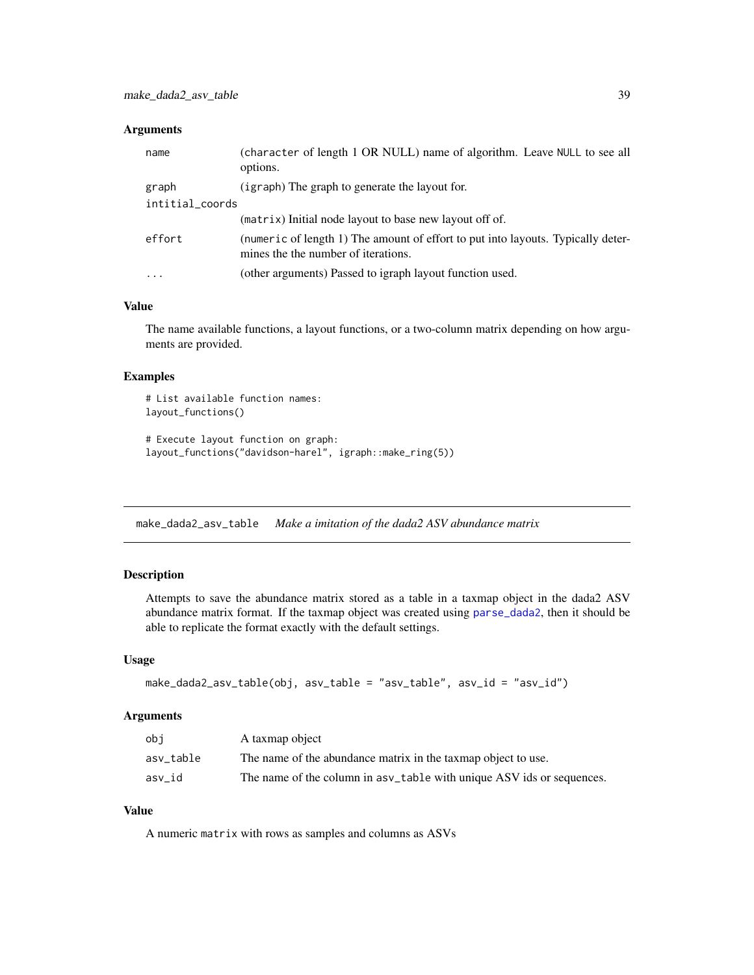| name            | (character of length 1 OR NULL) name of algorithm. Leave NULL to see all<br>options.                                    |
|-----------------|-------------------------------------------------------------------------------------------------------------------------|
| graph           | (igraph) The graph to generate the layout for.                                                                          |
| intitial_coords |                                                                                                                         |
|                 | (matrix) Initial node layout to base new layout off of.                                                                 |
| effort          | (numeric of length 1) The amount of effort to put into layouts. Typically deter-<br>mines the the number of iterations. |
| $\cdots$        | (other arguments) Passed to igraph layout function used.                                                                |

### Value

The name available functions, a layout functions, or a two-column matrix depending on how arguments are provided.

### Examples

```
# List available function names:
layout_functions()
# Execute layout function on graph:
layout_functions("davidson-harel", igraph::make_ring(5))
```
<span id="page-38-0"></span>make\_dada2\_asv\_table *Make a imitation of the dada2 ASV abundance matrix*

# Description

Attempts to save the abundance matrix stored as a table in a taxmap object in the dada2 ASV abundance matrix format. If the taxmap object was created using [parse\\_dada2](#page-43-0), then it should be able to replicate the format exactly with the default settings.

#### Usage

```
make_dada2_asv_table(obj, asv_table = "asv_table", asv_id = "asv_id")
```
#### Arguments

| obi       | A taxmap object                                                        |
|-----------|------------------------------------------------------------------------|
| asv table | The name of the abundance matrix in the taxmap object to use.          |
| asv id    | The name of the column in as v_table with unique ASV ids or sequences. |

# Value

A numeric matrix with rows as samples and columns as ASVs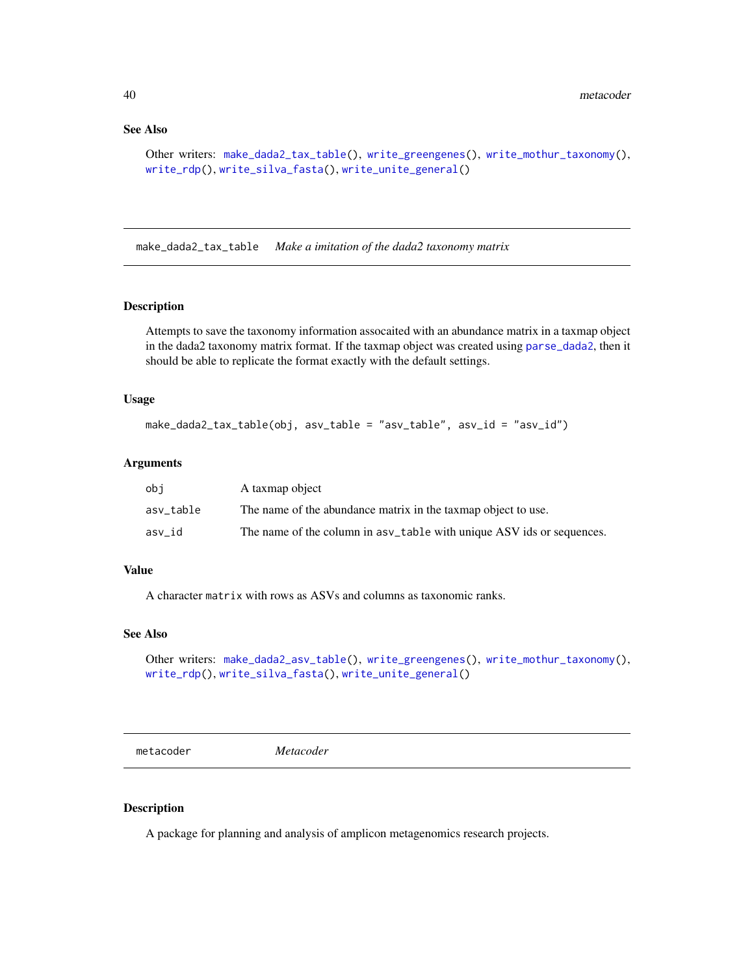### See Also

```
Other writers: make_dada2_tax_table(), write_greengenes(), write_mothur_taxonomy(),
write_rdp(), write_silva_fasta(), write_unite_general()
```
<span id="page-39-0"></span>make\_dada2\_tax\_table *Make a imitation of the dada2 taxonomy matrix*

# Description

Attempts to save the taxonomy information assocaited with an abundance matrix in a taxmap object in the dada2 taxonomy matrix format. If the taxmap object was created using [parse\\_dada2](#page-43-0), then it should be able to replicate the format exactly with the default settings.

#### Usage

```
make_dada2_tax_table(obj, asv_table = "asv_table", asv_id = "asv_id")
```
#### Arguments

| obi       | A taxmap object                                                        |
|-----------|------------------------------------------------------------------------|
| asv_table | The name of the abundance matrix in the taxmap object to use.          |
| asv id    | The name of the column in as v_table with unique ASV ids or sequences. |

### Value

A character matrix with rows as ASVs and columns as taxonomic ranks.

#### See Also

```
Other writers: make_dada2_asv_table(), write_greengenes(), write_mothur_taxonomy(),
write_rdp(), write_silva_fasta(), write_unite_general()
```
metacoder *Metacoder*

#### Description

A package for planning and analysis of amplicon metagenomics research projects.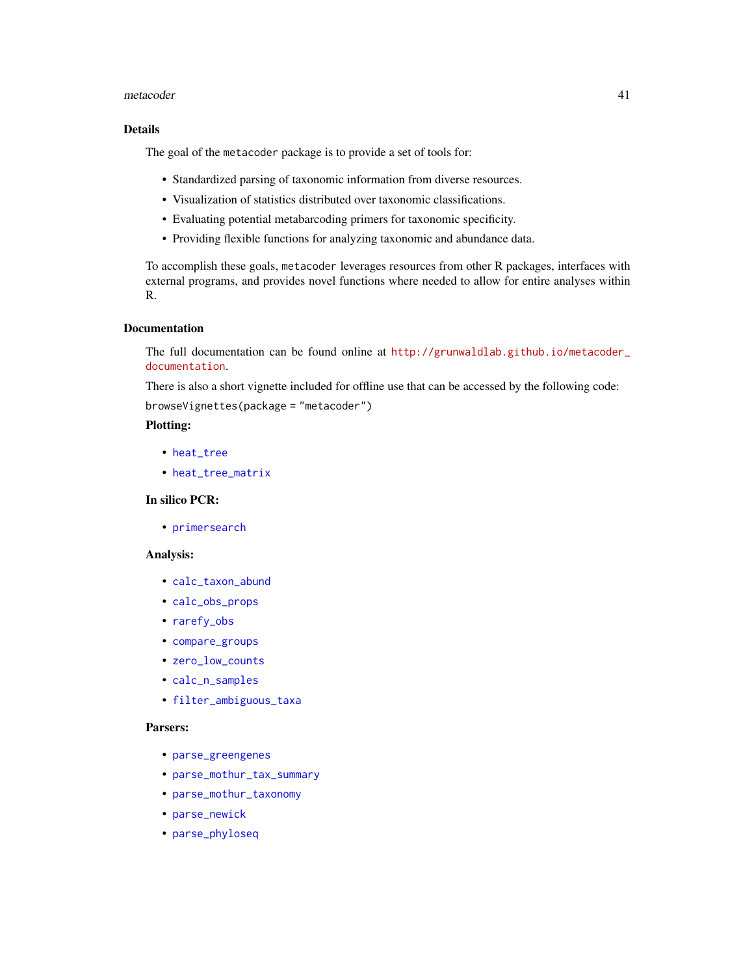#### metacoder and the set of the set of the set of the set of the set of the set of the set of the set of the set of the set of the set of the set of the set of the set of the set of the set of the set of the set of the set of

## Details

The goal of the metacoder package is to provide a set of tools for:

- Standardized parsing of taxonomic information from diverse resources.
- Visualization of statistics distributed over taxonomic classifications.
- Evaluating potential metabarcoding primers for taxonomic specificity.
- Providing flexible functions for analyzing taxonomic and abundance data.

To accomplish these goals, metacoder leverages resources from other R packages, interfaces with external programs, and provides novel functions where needed to allow for entire analyses within R.

### Documentation

The full documentation can be found online at [http://grunwaldlab.github.io/metacoder\\_](http://grunwaldlab.github.io/metacoder_documentation) [documentation](http://grunwaldlab.github.io/metacoder_documentation).

There is also a short vignette included for offline use that can be accessed by the following code:

browseVignettes(package = "metacoder")

# Plotting:

- [heat\\_tree](#page-25-0)
- [heat\\_tree\\_matrix](#page-33-0)

## In silico PCR:

• [primersearch](#page-55-0)

### Analysis:

- [calc\\_taxon\\_abund](#page-0-0)
- [calc\\_obs\\_props](#page-14-0)
- [rarefy\\_obs](#page-63-0)
- [compare\\_groups](#page-18-0)
- [zero\\_low\\_counts](#page-72-0)
- [calc\\_n\\_samples](#page-12-0)
- [filter\\_ambiguous\\_taxa](#page-23-0)

#### Parsers:

- [parse\\_greengenes](#page-44-0)
- [parse\\_mothur\\_tax\\_summary](#page-46-0)
- [parse\\_mothur\\_taxonomy](#page-45-0)
- [parse\\_newick](#page-48-0)
- [parse\\_phyloseq](#page-49-0)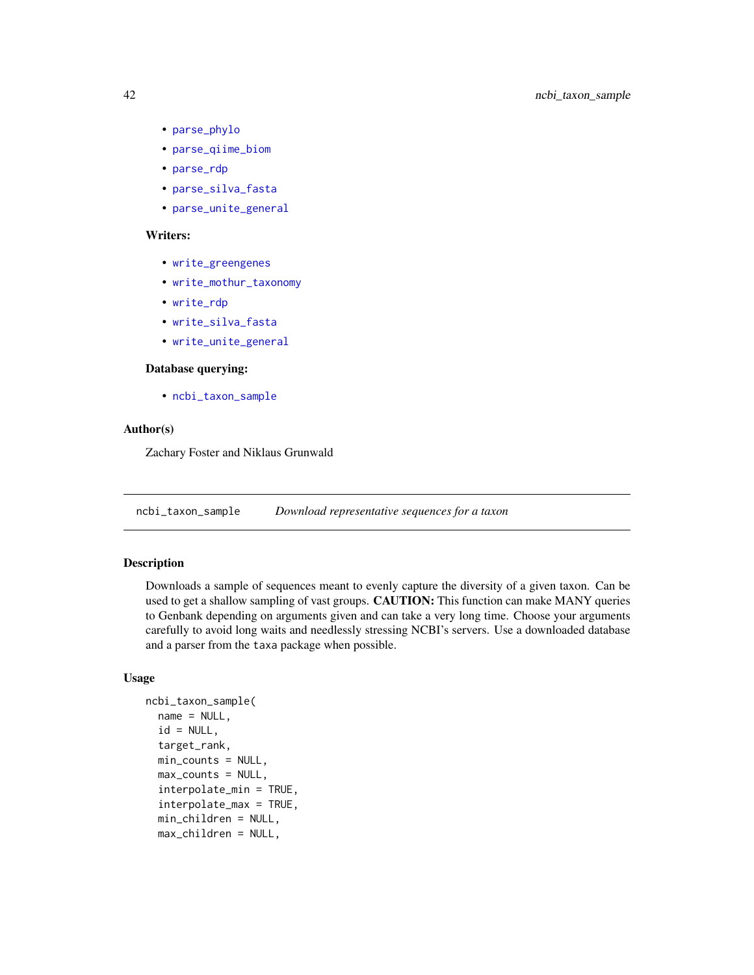- [parse\\_phylo](#page-48-1)
- [parse\\_qiime\\_biom](#page-50-0)
- [parse\\_rdp](#page-51-0)
- [parse\\_silva\\_fasta](#page-52-0)
- [parse\\_unite\\_general](#page-54-0)

# Writers:

- [write\\_greengenes](#page-66-0)
- [write\\_mothur\\_taxonomy](#page-67-0)
- [write\\_rdp](#page-69-0)
- [write\\_silva\\_fasta](#page-70-0)
- [write\\_unite\\_general](#page-71-0)

### Database querying:

• [ncbi\\_taxon\\_sample](#page-41-0)

### Author(s)

Zachary Foster and Niklaus Grunwald

<span id="page-41-0"></span>ncbi\_taxon\_sample *Download representative sequences for a taxon*

# Description

Downloads a sample of sequences meant to evenly capture the diversity of a given taxon. Can be used to get a shallow sampling of vast groups. **CAUTION:** This function can make MANY queries to Genbank depending on arguments given and can take a very long time. Choose your arguments carefully to avoid long waits and needlessly stressing NCBI's servers. Use a downloaded database and a parser from the taxa package when possible.

```
ncbi_taxon_sample(
  name = NULL,id = NULL,target_rank,
  min_counts = NULL,
  max_counts = NULL,
  interpolate_min = TRUE,
  interpolate_max = TRUE,
  min_children = NULL,
  max_children = NULL,
```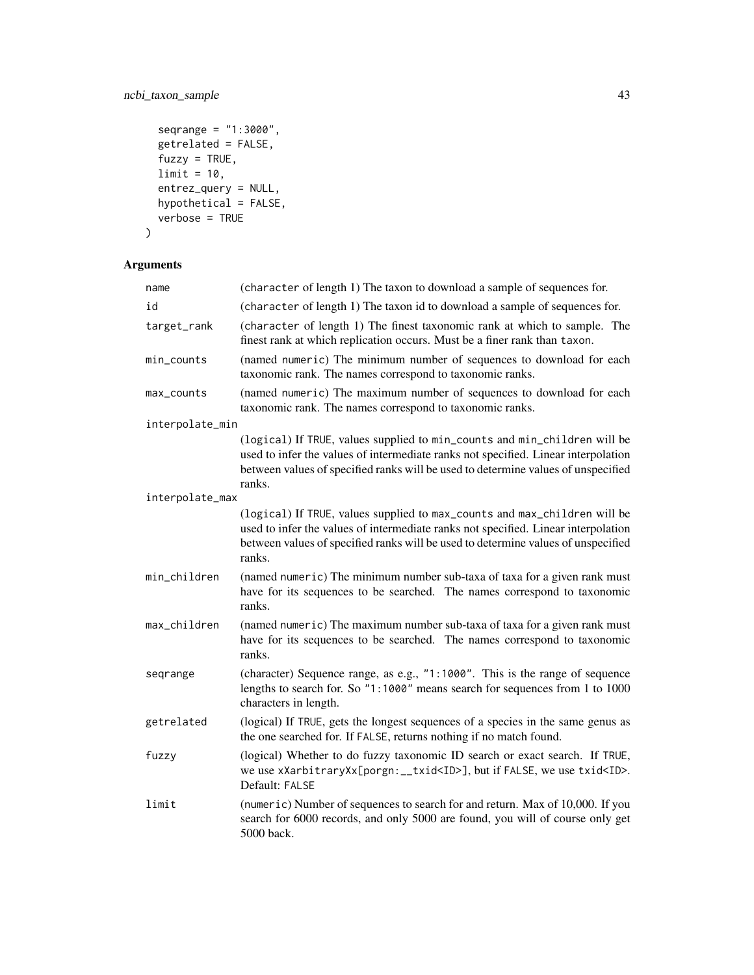# ncbi\_taxon\_sample 43

```
seqrange = "1:3000",
  getrelated = FALSE,
 fuzzy = TRUE,limit = 10,entrez_query = NULL,
  hypothetical = FALSE,
  verbose = TRUE
\mathcal{L}
```

| name            | (character of length 1) The taxon to download a sample of sequences for.                                                                                                                                                                                       |
|-----------------|----------------------------------------------------------------------------------------------------------------------------------------------------------------------------------------------------------------------------------------------------------------|
| id              | (character of length 1) The taxon id to download a sample of sequences for.                                                                                                                                                                                    |
| target_rank     | (character of length 1) The finest taxonomic rank at which to sample. The<br>finest rank at which replication occurs. Must be a finer rank than taxon.                                                                                                         |
| min_counts      | (named numeric) The minimum number of sequences to download for each<br>taxonomic rank. The names correspond to taxonomic ranks.                                                                                                                               |
| max_counts      | (named numeric) The maximum number of sequences to download for each<br>taxonomic rank. The names correspond to taxonomic ranks.                                                                                                                               |
| interpolate_min |                                                                                                                                                                                                                                                                |
|                 | (logical) If TRUE, values supplied to min_counts and min_children will be<br>used to infer the values of intermediate ranks not specified. Linear interpolation<br>between values of specified ranks will be used to determine values of unspecified<br>ranks. |
| interpolate_max |                                                                                                                                                                                                                                                                |
|                 | (logical) If TRUE, values supplied to max_counts and max_children will be<br>used to infer the values of intermediate ranks not specified. Linear interpolation<br>between values of specified ranks will be used to determine values of unspecified<br>ranks. |
| min_children    | (named numeric) The minimum number sub-taxa of taxa for a given rank must<br>have for its sequences to be searched. The names correspond to taxonomic<br>ranks.                                                                                                |
| max_children    | (named numeric) The maximum number sub-taxa of taxa for a given rank must<br>have for its sequences to be searched. The names correspond to taxonomic<br>ranks.                                                                                                |
| seqrange        | (character) Sequence range, as e.g., "1:1000". This is the range of sequence<br>lengths to search for. So "1:1000" means search for sequences from 1 to 1000<br>characters in length.                                                                          |
| getrelated      | (logical) If TRUE, gets the longest sequences of a species in the same genus as<br>the one searched for. If FALSE, returns nothing if no match found.                                                                                                          |
| fuzzy           | (logical) Whether to do fuzzy taxonomic ID search or exact search. If TRUE,<br>we use xXarbitraryXx[porgn:__txid <id>], but if FALSE, we use txid<id>.<br/>Default: FALSE</id></id>                                                                            |
| limit           | (numeric) Number of sequences to search for and return. Max of 10,000. If you<br>search for 6000 records, and only 5000 are found, you will of course only get<br>5000 back.                                                                                   |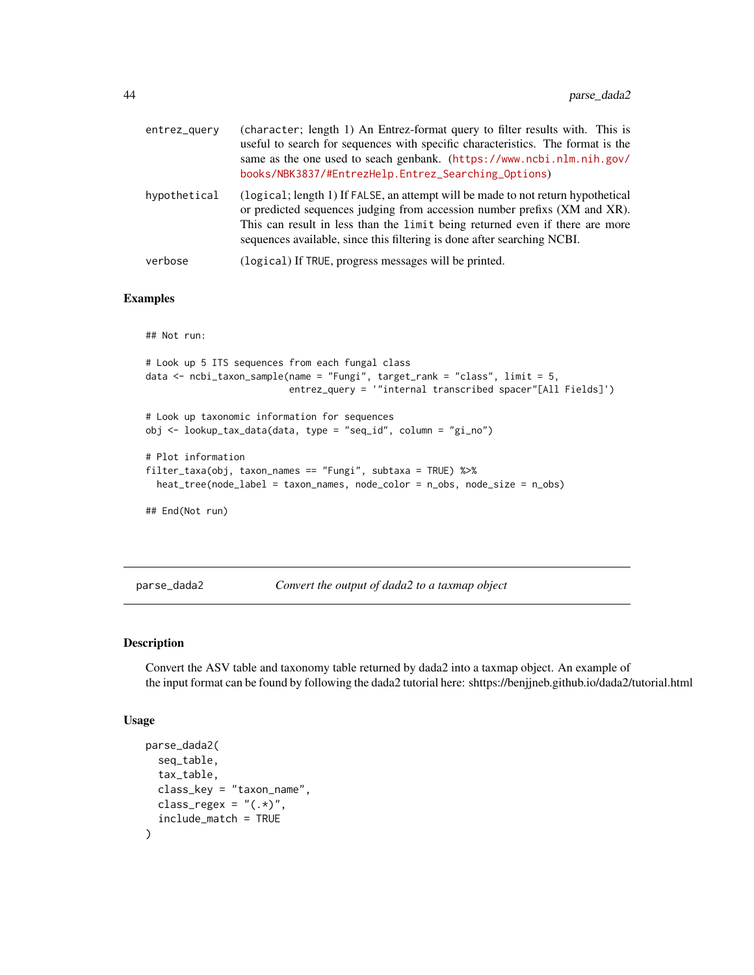| entrez_query | (character; length 1) An Entrez-format query to filter results with. This is<br>useful to search for sequences with specific characteristics. The format is the<br>same as the one used to seach genbank. (https://www.ncbi.nlm.nih.gov/<br>books/NBK3837/#EntrezHelp.Entrez_Searching_Options)                          |
|--------------|--------------------------------------------------------------------------------------------------------------------------------------------------------------------------------------------------------------------------------------------------------------------------------------------------------------------------|
| hypothetical | (logical; length 1) If FALSE, an attempt will be made to not return hypothetical<br>or predicted sequences judging from accession number prefixs (XM and XR).<br>This can result in less than the limit being returned even if there are more<br>sequences available, since this filtering is done after searching NCBI. |
| verbose      | (logical) If TRUE, progress messages will be printed.                                                                                                                                                                                                                                                                    |

# Examples

## Not run:

```
# Look up 5 ITS sequences from each fungal class
data <- ncbi_taxon_sample(name = "Fungi", target_rank = "class", limit = 5,
                          entrez_query = '"internal transcribed spacer"[All Fields]')
# Look up taxonomic information for sequences
obj <- lookup_tax_data(data, type = "seq_id", column = "gi_no")
```

```
# Plot information
filter_taxa(obj, taxon_names == "Fungi", subtaxa = TRUE) %>%
 heat_tree(node_label = taxon_names, node_color = n_obs, node_size = n_obs)
```
## End(Not run)

<span id="page-43-0"></span>parse\_dada2 *Convert the output of dada2 to a taxmap object*

### Description

Convert the ASV table and taxonomy table returned by dada2 into a taxmap object. An example of the input format can be found by following the dada2 tutorial here: shttps://benjjneb.github.io/dada2/tutorial.html

```
parse_dada2(
  seq_table,
  tax_table,
  class_key = "taxon_name",
 class_regex = "(.*)",
  include_match = TRUE
)
```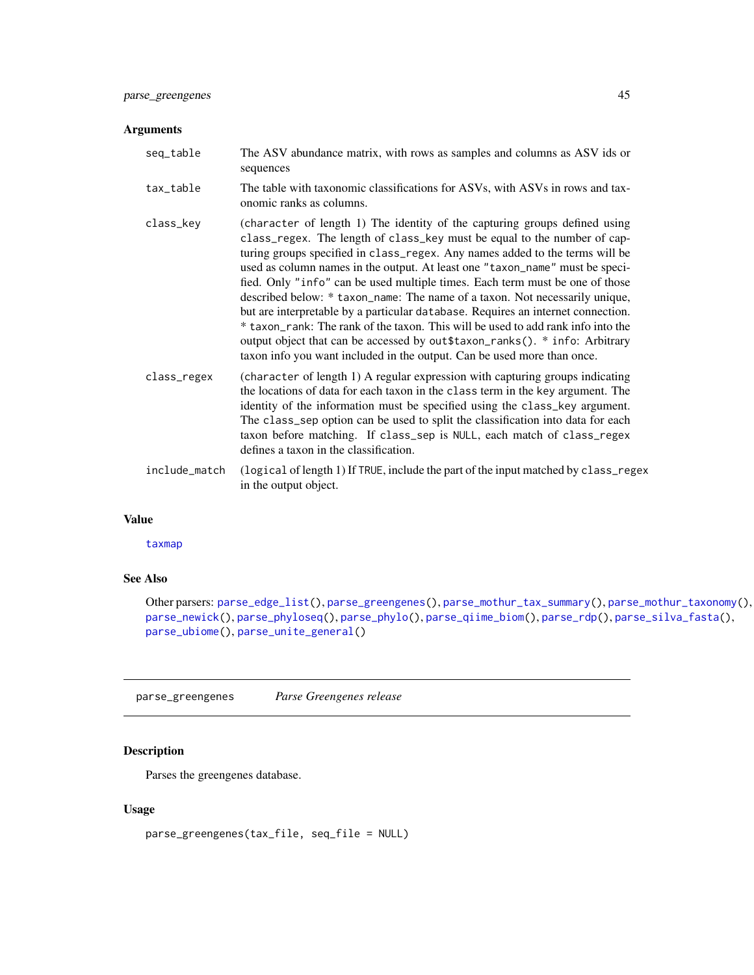| seq_table     | The ASV abundance matrix, with rows as samples and columns as ASV ids or<br>sequences                                                                                                                                                                                                                                                                                                                                                                                                                                                                                                                                                                                                                                                                                                                                    |
|---------------|--------------------------------------------------------------------------------------------------------------------------------------------------------------------------------------------------------------------------------------------------------------------------------------------------------------------------------------------------------------------------------------------------------------------------------------------------------------------------------------------------------------------------------------------------------------------------------------------------------------------------------------------------------------------------------------------------------------------------------------------------------------------------------------------------------------------------|
| tax_table     | The table with taxonomic classifications for ASVs, with ASVs in rows and tax-<br>onomic ranks as columns.                                                                                                                                                                                                                                                                                                                                                                                                                                                                                                                                                                                                                                                                                                                |
| class_key     | (character of length 1) The identity of the capturing groups defined using<br>class_regex. The length of class_key must be equal to the number of cap-<br>turing groups specified in class_regex. Any names added to the terms will be<br>used as column names in the output. At least one "taxon_name" must be speci-<br>fied. Only "info" can be used multiple times. Each term must be one of those<br>described below: * taxon_name: The name of a taxon. Not necessarily unique,<br>but are interpretable by a particular database. Requires an internet connection.<br>* taxon_rank: The rank of the taxon. This will be used to add rank info into the<br>output object that can be accessed by out \$taxon_ranks(). * info: Arbitrary<br>taxon info you want included in the output. Can be used more than once. |
| class_regex   | (character of length 1) A regular expression with capturing groups indicating<br>the locations of data for each taxon in the class term in the key argument. The<br>identity of the information must be specified using the class_key argument.<br>The class_sep option can be used to split the classification into data for each<br>taxon before matching. If class_sep is NULL, each match of class_regex<br>defines a taxon in the classification.                                                                                                                                                                                                                                                                                                                                                                   |
| include_match | (logical of length 1) If TRUE, include the part of the input matched by class_regex<br>in the output object.                                                                                                                                                                                                                                                                                                                                                                                                                                                                                                                                                                                                                                                                                                             |
|               |                                                                                                                                                                                                                                                                                                                                                                                                                                                                                                                                                                                                                                                                                                                                                                                                                          |

### Value

[taxmap](#page-0-0)

# See Also

```
Other parsers: parse_edge_list(), parse_greengenes(), parse_mothur_tax_summary(), parse_mothur_taxonomy(),
parse_newick(), parse_phyloseq(), parse_phylo(), parse_qiime_biom(), parse_rdp(), parse_silva_fasta(),
parse_ubiome(), parse_unite_general()
```
<span id="page-44-0"></span>parse\_greengenes *Parse Greengenes release*

# Description

Parses the greengenes database.

```
parse_greengenes(tax_file, seq_file = NULL)
```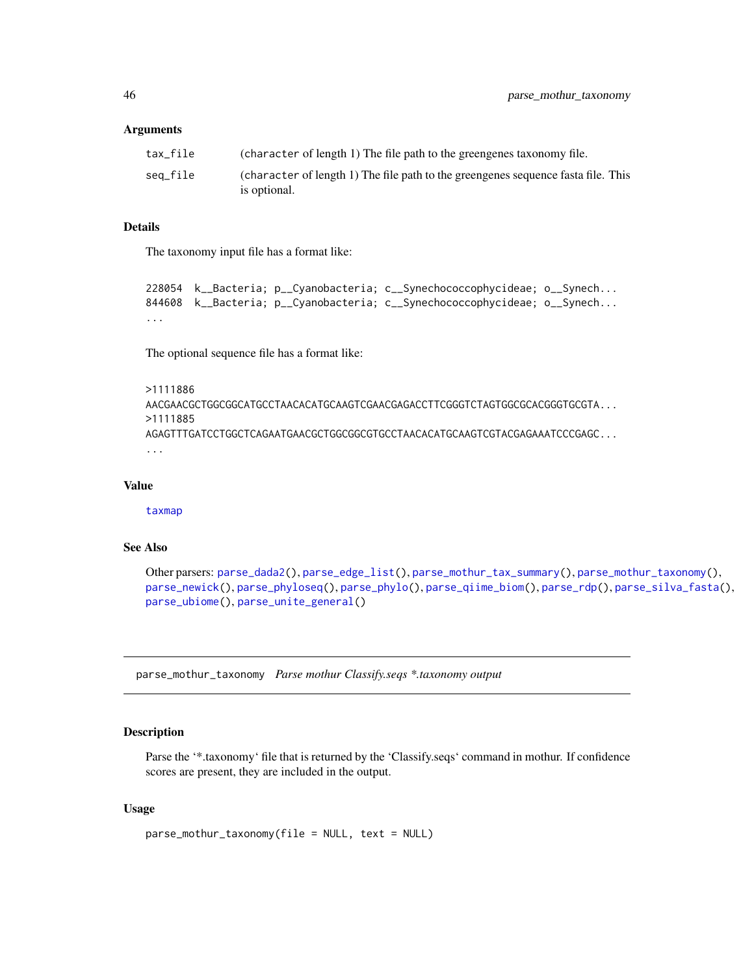| tax file                 | (character of length 1) The file path to the greengenes taxonomy file.            |
|--------------------------|-----------------------------------------------------------------------------------|
| sea file<br>is optional. | (character of length 1) The file path to the greengenes sequence fasta file. This |

#### Details

The taxonomy input file has a format like:

```
228054 k__Bacteria; p__Cyanobacteria; c__Synechococcophycideae; o__Synech...
844608 k__Bacteria; p__Cyanobacteria; c__Synechococcophycideae; o__Synech...
...
```
The optional sequence file has a format like:

```
>1111886
AACGAACGCTGGCGGCATGCCTAACACATGCAAGTCGAACGAGACCTTCGGGTCTAGTGGCGCACGGGTGCGTA...
>1111885
AGAGTTTGATCCTGGCTCAGAATGAACGCTGGCGGCGTGCCTAACACATGCAAGTCGTACGAGAAATCCCGAGC...
...
```
### Value

[taxmap](#page-0-0)

## See Also

```
Other parsers: parse_dada2(), parse_edge_list(), parse_mothur_tax_summary(), parse_mothur_taxonomy(),
parse_newick(), parse_phyloseq(), parse_phylo(), parse_qiime_biom(), parse_rdp(), parse_silva_fasta(),
parse_ubiome(), parse_unite_general()
```
<span id="page-45-0"></span>parse\_mothur\_taxonomy *Parse mothur Classify.seqs \*.taxonomy output*

# Description

Parse the '\*.taxonomy' file that is returned by the 'Classify.seqs' command in mothur. If confidence scores are present, they are included in the output.

```
parse_mothur_taxonomy(file = NULL, text = NULL)
```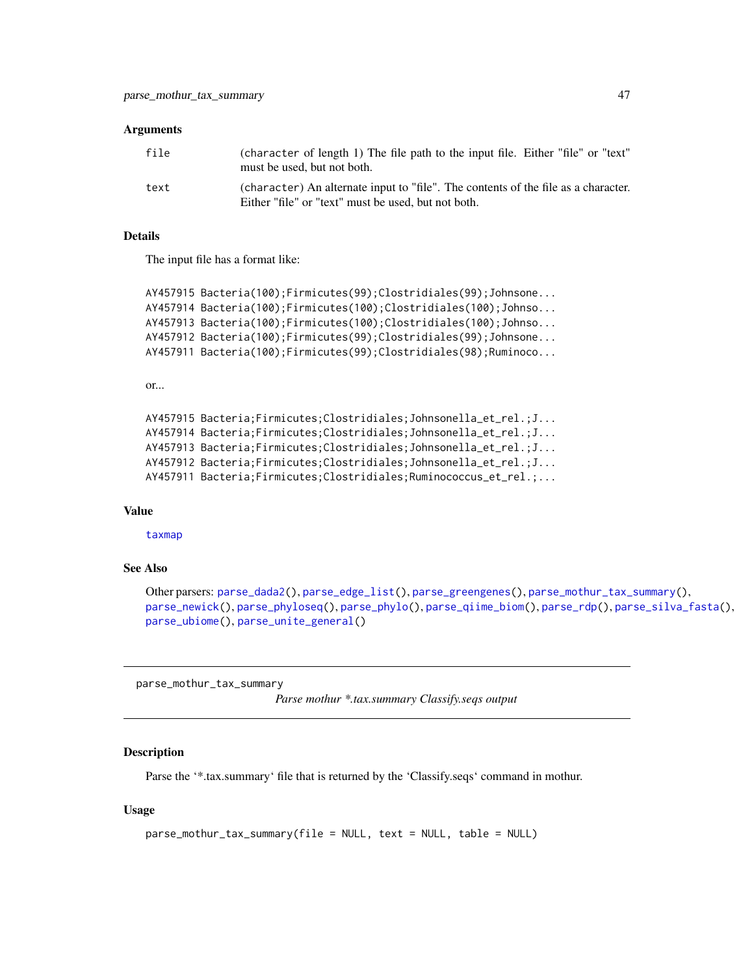| file | (character of length 1) The file path to the input file. Either "file" or "text"<br>must be used, but not both.                           |
|------|-------------------------------------------------------------------------------------------------------------------------------------------|
| text | (character) An alternate input to "file". The contents of the file as a character.<br>Either "file" or "text" must be used, but not both. |

#### Details

The input file has a format like:

```
AY457915 Bacteria(100);Firmicutes(99);Clostridiales(99);Johnsone...
AY457914 Bacteria(100);Firmicutes(100);Clostridiales(100);Johnso...
AY457913 Bacteria(100);Firmicutes(100);Clostridiales(100);Johnso...
AY457912 Bacteria(100);Firmicutes(99);Clostridiales(99);Johnsone...
AY457911 Bacteria(100);Firmicutes(99);Clostridiales(98);Ruminoco...
```

```
or...
```

```
AY457915 Bacteria;Firmicutes;Clostridiales;Johnsonella_et_rel.;J...
AY457914 Bacteria;Firmicutes;Clostridiales;Johnsonella_et_rel.;J...
AY457913 Bacteria;Firmicutes;Clostridiales;Johnsonella_et_rel.;J...
AY457912 Bacteria;Firmicutes;Clostridiales;Johnsonella_et_rel.;J...
AY457911 Bacteria;Firmicutes;Clostridiales;Ruminococcus_et_rel.;...
```
### Value

[taxmap](#page-0-0)

#### See Also

```
Other parsers: parse_dada2(), parse_edge_list(), parse_greengenes(), parse_mothur_tax_summary(),
parse_newick(), parse_phyloseq(), parse_phylo(), parse_qiime_biom(), parse_rdp(), parse_silva_fasta(),
parse_ubiome(), parse_unite_general()
```
<span id="page-46-0"></span>parse\_mothur\_tax\_summary

*Parse mothur \*.tax.summary Classify.seqs output*

#### Description

Parse the '\*.tax.summary' file that is returned by the 'Classify.seqs' command in mothur.

```
parse_mothur_tax_summary(file = NULL, text = NULL, table = NULL)
```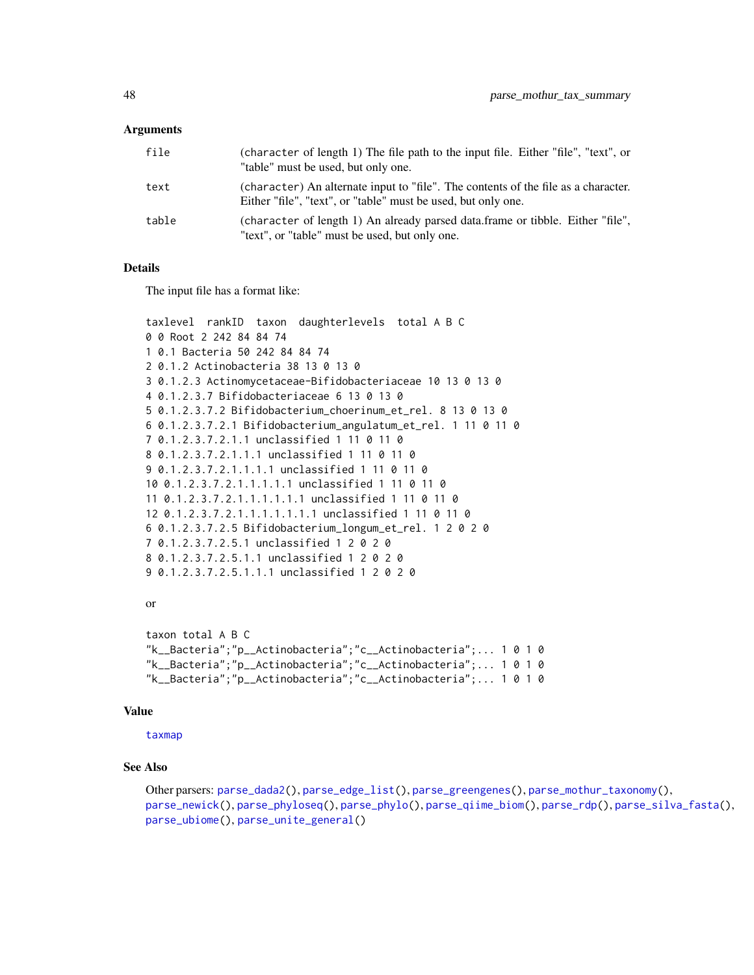| file  | (character of length 1) The file path to the input file. Either "file", "text", or<br>"table" must be used, but only one.                           |
|-------|-----------------------------------------------------------------------------------------------------------------------------------------------------|
| text  | (character) An alternate input to "file". The contents of the file as a character.<br>Either "file", "text", or "table" must be used, but only one. |
| table | (character of length 1) An already parsed data.frame or tibble. Either "file",<br>"text", or "table" must be used, but only one.                    |

# **Details**

The input file has a format like:

```
taxlevel rankID taxon daughterlevels total A B C
0 0 Root 2 242 84 84 74
1 0.1 Bacteria 50 242 84 84 74
2 0.1.2 Actinobacteria 38 13 0 13 0
3 0.1.2.3 Actinomycetaceae-Bifidobacteriaceae 10 13 0 13 0
4 0.1.2.3.7 Bifidobacteriaceae 6 13 0 13 0
5 0.1.2.3.7.2 Bifidobacterium_choerinum_et_rel. 8 13 0 13 0
6 0.1.2.3.7.2.1 Bifidobacterium_angulatum_et_rel. 1 11 0 11 0
7 0.1.2.3.7.2.1.1 unclassified 1 11 0 11 0
8 0.1.2.3.7.2.1.1.1 unclassified 1 11 0 11 0
9 0.1.2.3.7.2.1.1.1.1 unclassified 1 11 0 11 0
10 0.1.2.3.7.2.1.1.1.1.1 unclassified 1 11 0 11 0
11 0.1.2.3.7.2.1.1.1.1.1.1 unclassified 1 11 0 11 0
12 0.1.2.3.7.2.1.1.1.1.1.1.1 unclassified 1 11 0 11 0
6 0.1.2.3.7.2.5 Bifidobacterium_longum_et_rel. 1 2 0 2 0
7 0.1.2.3.7.2.5.1 unclassified 1 2 0 2 0
8 0.1.2.3.7.2.5.1.1 unclassified 1 2 0 2 0
9 0.1.2.3.7.2.5.1.1.1 unclassified 1 2 0 2 0
```
### or

```
taxon total A B C
"k__Bacteria";"p__Actinobacteria";"c__Actinobacteria";... 1 0 1 0
"k__Bacteria";"p__Actinobacteria";"c__Actinobacteria";... 1 0 1 0
"k__Bacteria";"p__Actinobacteria";"c__Actinobacteria";... 1 0 1 0
```
#### Value

[taxmap](#page-0-0)

### See Also

```
Other parsers: parse_dada2(), parse_edge_list(), parse_greengenes(), parse_mothur_taxonomy(),
parse_newick(), parse_phyloseq(), parse_phylo(), parse_qiime_biom(), parse_rdp(), parse_silva_fasta(),
parse_ubiome(), parse_unite_general()
```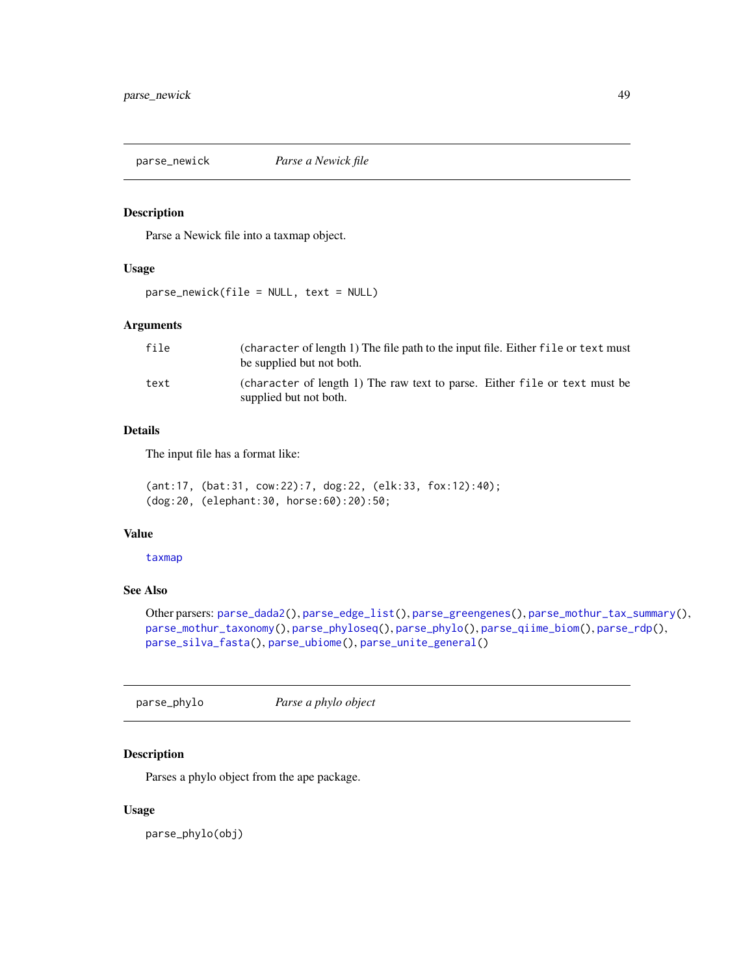<span id="page-48-0"></span>

### Description

Parse a Newick file into a taxmap object.

### Usage

parse\_newick(file = NULL, text = NULL)

# Arguments

| file | (character of length 1) The file path to the input file. Either file or text must<br>be supplied but not both. |
|------|----------------------------------------------------------------------------------------------------------------|
| text | (character of length 1) The raw text to parse. Either file or text must be<br>supplied but not both.           |

# Details

The input file has a format like:

(ant:17, (bat:31, cow:22):7, dog:22, (elk:33, fox:12):40); (dog:20, (elephant:30, horse:60):20):50;

## Value

[taxmap](#page-0-0)

# See Also

Other parsers: [parse\\_dada2\(](#page-43-0)), [parse\\_edge\\_list\(](#page-0-0)), [parse\\_greengenes\(](#page-44-0)), [parse\\_mothur\\_tax\\_summary\(](#page-46-0)), [parse\\_mothur\\_taxonomy\(](#page-45-0)), [parse\\_phyloseq\(](#page-49-0)), [parse\\_phylo\(](#page-48-1)), [parse\\_qiime\\_biom\(](#page-50-0)), [parse\\_rdp\(](#page-51-0)), [parse\\_silva\\_fasta\(](#page-52-0)), [parse\\_ubiome\(](#page-53-0)), [parse\\_unite\\_general\(](#page-54-0))

<span id="page-48-1"></span>parse\_phylo *Parse a phylo object*

# Description

Parses a phylo object from the ape package.

#### Usage

parse\_phylo(obj)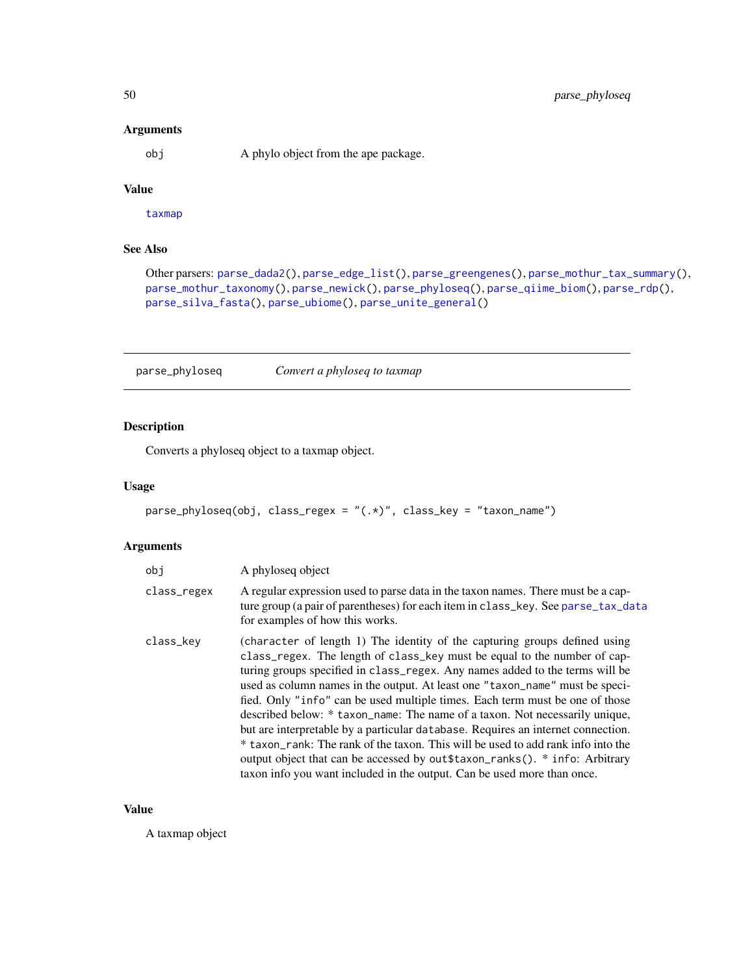obj A phylo object from the ape package.

# Value

[taxmap](#page-0-0)

# See Also

Other parsers: [parse\\_dada2\(](#page-43-0)), [parse\\_edge\\_list\(](#page-0-0)), [parse\\_greengenes\(](#page-44-0)), [parse\\_mothur\\_tax\\_summary\(](#page-46-0)), [parse\\_mothur\\_taxonomy\(](#page-45-0)), [parse\\_newick\(](#page-48-0)), [parse\\_phyloseq\(](#page-49-0)), [parse\\_qiime\\_biom\(](#page-50-0)), [parse\\_rdp\(](#page-51-0)), [parse\\_silva\\_fasta\(](#page-52-0)), [parse\\_ubiome\(](#page-53-0)), [parse\\_unite\\_general\(](#page-54-0))

<span id="page-49-0"></span>parse\_phyloseq *Convert a phyloseq to taxmap*

# Description

Converts a phyloseq object to a taxmap object.

## Usage

```
parse_phyloseq(obj, class_regex = "(.*)", class_key = "taxon_name")
```
# Arguments

| obi         | A phyloseq object                                                                                                                                                                                                                                                                                                                                                                                                                                                                                                                                                                                                                                                                                                                                                                                                        |
|-------------|--------------------------------------------------------------------------------------------------------------------------------------------------------------------------------------------------------------------------------------------------------------------------------------------------------------------------------------------------------------------------------------------------------------------------------------------------------------------------------------------------------------------------------------------------------------------------------------------------------------------------------------------------------------------------------------------------------------------------------------------------------------------------------------------------------------------------|
| class_regex | A regular expression used to parse data in the taxon names. There must be a cap-<br>ture group (a pair of parentheses) for each item in class_key. See parse_tax_data<br>for examples of how this works.                                                                                                                                                                                                                                                                                                                                                                                                                                                                                                                                                                                                                 |
| class_key   | (character of length 1) The identity of the capturing groups defined using<br>class_regex. The length of class_key must be equal to the number of cap-<br>turing groups specified in class_regex. Any names added to the terms will be<br>used as column names in the output. At least one "taxon_name" must be speci-<br>fied. Only "info" can be used multiple times. Each term must be one of those<br>described below: * taxon_name: The name of a taxon. Not necessarily unique,<br>but are interpretable by a particular database. Requires an internet connection.<br>* taxon_rank: The rank of the taxon. This will be used to add rank info into the<br>output object that can be accessed by out \$taxon_ranks(). * info: Arbitrary<br>taxon info you want included in the output. Can be used more than once. |

#### Value

A taxmap object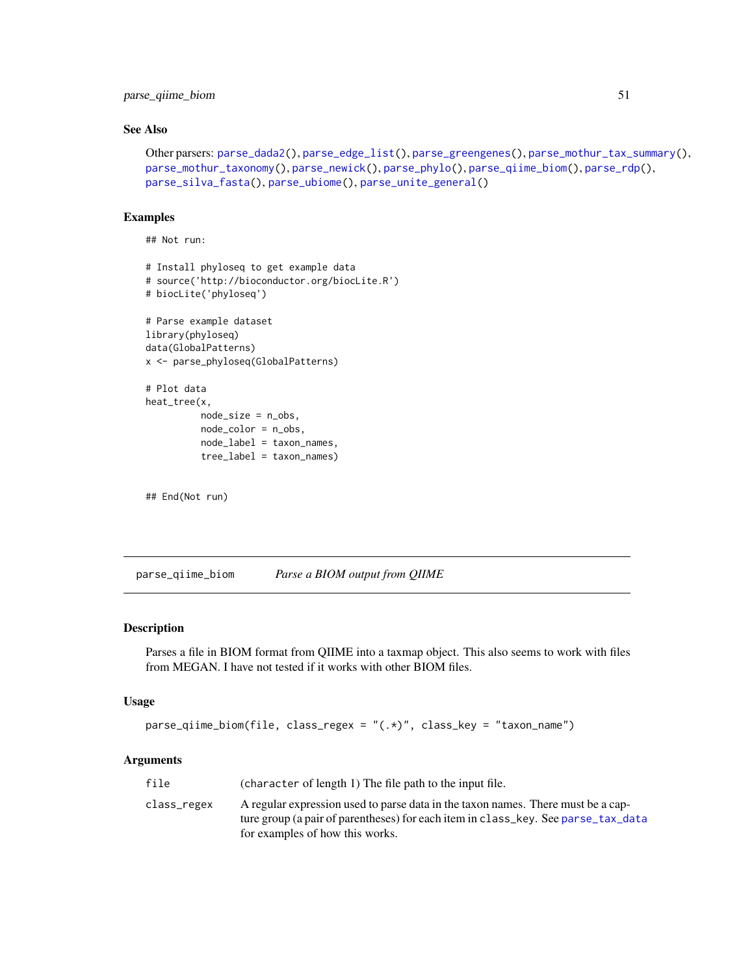# parse\_qiime\_biom 51

# See Also

```
Other parsers: parse_dada2(), parse_edge_list(), parse_greengenes(), parse_mothur_tax_summary(),
parse_mothur_taxonomy(), parse_newick(), parse_phylo(), parse_qiime_biom(), parse_rdp(),
parse_silva_fasta(), parse_ubiome(), parse_unite_general()
```
## Examples

## Not run:

```
# Install phyloseq to get example data
# source('http://bioconductor.org/biocLite.R')
# biocLite('phyloseq')
```

```
# Parse example dataset
library(phyloseq)
data(GlobalPatterns)
x <- parse_phyloseq(GlobalPatterns)
```

```
# Plot data
heat_tree(x,
         node_size = n_obs,
         node_color = n_obs,
         node_label = taxon_names,
         tree_label = taxon_names)
```

```
## End(Not run)
```
<span id="page-50-0"></span>parse\_qiime\_biom *Parse a BIOM output from QIIME*

# Description

Parses a file in BIOM format from QIIME into a taxmap object. This also seems to work with files from MEGAN. I have not tested if it works with other BIOM files.

#### Usage

```
parse_qiime_biom(file, class_regex = "(.*)", class_key = "taxon_name")
```

| file        | (character of length 1) The file path to the input file.                          |
|-------------|-----------------------------------------------------------------------------------|
| class_regex | A regular expression used to parse data in the taxon names. There must be a cap-  |
|             | ture group (a pair of parentheses) for each item in class_key. See parse_tax_data |
|             | for examples of how this works.                                                   |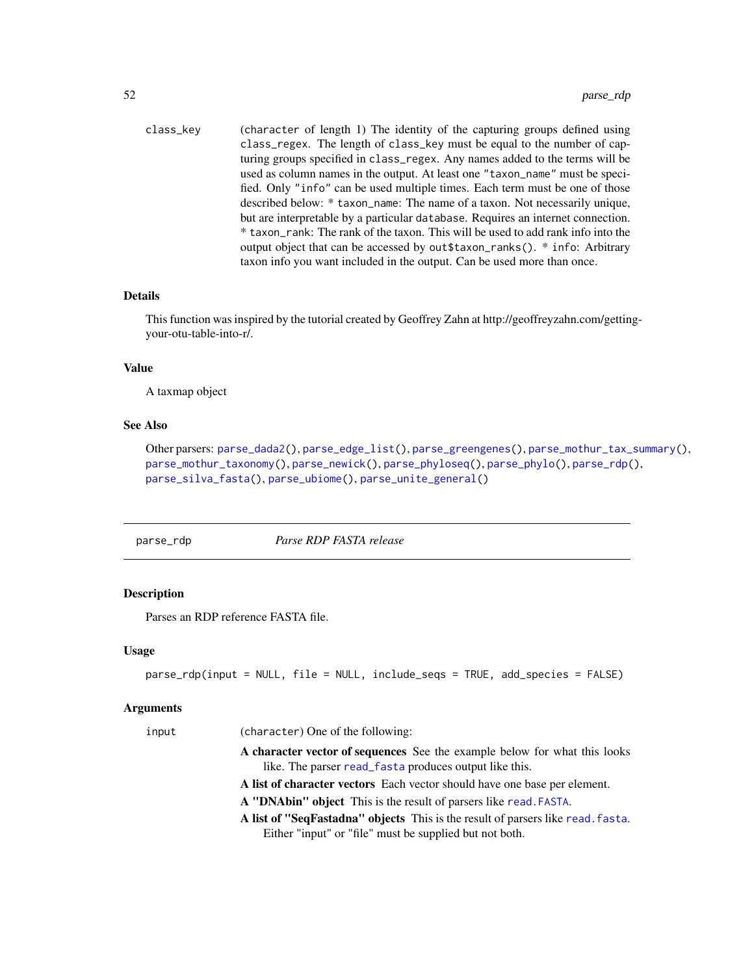class\_key (character of length 1) The identity of the capturing groups defined using class\_regex. The length of class\_key must be equal to the number of capturing groups specified in class\_regex. Any names added to the terms will be used as column names in the output. At least one "taxon\_name" must be specified. Only "info" can be used multiple times. Each term must be one of those described below: \* taxon\_name: The name of a taxon. Not necessarily unique, but are interpretable by a particular database. Requires an internet connection. \* taxon\_rank: The rank of the taxon. This will be used to add rank info into the output object that can be accessed by out\$taxon\_ranks(). \* info: Arbitrary taxon info you want included in the output. Can be used more than once.

#### Details

This function was inspired by the tutorial created by Geoffrey Zahn at http://geoffreyzahn.com/gettingyour-otu-table-into-r/.

#### Value

A taxmap object

## See Also

Other parsers: [parse\\_dada2\(](#page-43-0)), [parse\\_edge\\_list\(](#page-0-0)), [parse\\_greengenes\(](#page-44-0)), [parse\\_mothur\\_tax\\_summary\(](#page-46-0)), [parse\\_mothur\\_taxonomy\(](#page-45-0)), [parse\\_newick\(](#page-48-0)), [parse\\_phyloseq\(](#page-49-0)), [parse\\_phylo\(](#page-48-1)), [parse\\_rdp\(](#page-51-0)), [parse\\_silva\\_fasta\(](#page-52-0)), [parse\\_ubiome\(](#page-53-0)), [parse\\_unite\\_general\(](#page-54-0))

<span id="page-51-0"></span>parse\_rdp *Parse RDP FASTA release*

### Description

Parses an RDP reference FASTA file.

#### Usage

```
parse_rdp(input = NULL, file = NULL, include_seqs = TRUE, add_species = FALSE)
```

| input | (character) One of the following:                                               |
|-------|---------------------------------------------------------------------------------|
|       | A character vector of sequences See the example below for what this looks       |
|       | like. The parser read_fasta produces output like this.                          |
|       | A list of character vectors Each vector should have one base per element.       |
|       | A "DNAbin" object This is the result of parsers like read. FASTA.               |
|       | A list of "SeqFastadna" objects This is the result of parsers like read. fasta. |
|       | Either "input" or "file" must be supplied but not both.                         |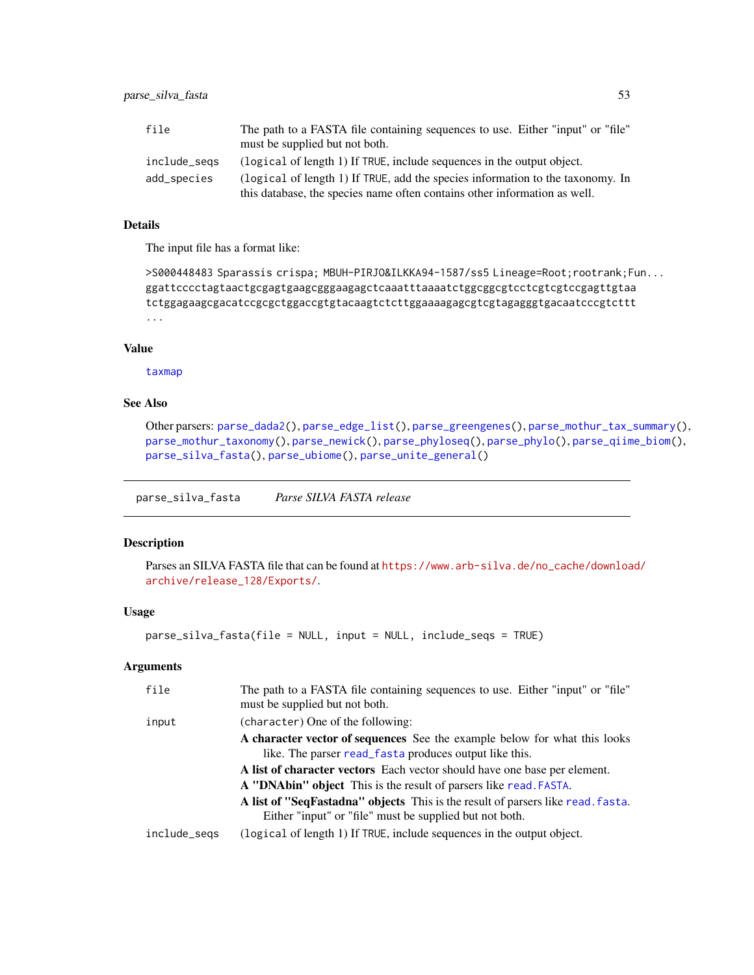| file         | The path to a FASTA file containing sequences to use. Either "input" or "file" |
|--------------|--------------------------------------------------------------------------------|
|              | must be supplied but not both.                                                 |
| include_segs | (logical of length 1) If TRUE, include sequences in the output object.         |
| add_species  | (logical of length 1) If TRUE, add the species information to the taxonomy. In |
|              | this database, the species name often contains other information as well.      |

# Details

The input file has a format like:

```
>S000448483 Sparassis crispa; MBUH-PIRJO&ILKKA94-1587/ss5 Lineage=Root;rootrank;Fun...
ggattcccctagtaactgcgagtgaagcgggaagagctcaaatttaaaatctggcggcgtcctcgtcgtccgagttgtaa
tctggagaagcgacatccgcgctggaccgtgtacaagtctcttggaaaagagcgtcgtagagggtgacaatcccgtcttt
...
```
## Value

[taxmap](#page-0-0)

### See Also

Other parsers: [parse\\_dada2\(](#page-43-0)), [parse\\_edge\\_list\(](#page-0-0)), [parse\\_greengenes\(](#page-44-0)), [parse\\_mothur\\_tax\\_summary\(](#page-46-0)), [parse\\_mothur\\_taxonomy\(](#page-45-0)), [parse\\_newick\(](#page-48-0)), [parse\\_phyloseq\(](#page-49-0)), [parse\\_phylo\(](#page-48-1)), [parse\\_qiime\\_biom\(](#page-50-0)), [parse\\_silva\\_fasta\(](#page-52-0)), [parse\\_ubiome\(](#page-53-0)), [parse\\_unite\\_general\(](#page-54-0))

<span id="page-52-0"></span>parse\_silva\_fasta *Parse SILVA FASTA release*

### Description

Parses an SILVA FASTA file that can be found at [https://www.arb-silva.de/no\\_cache/downloa](https://www.arb-silva.de/no_cache/download/archive/release_128/Exports/)d/ [archive/release\\_128/Exports/](https://www.arb-silva.de/no_cache/download/archive/release_128/Exports/).

# Usage

parse\_silva\_fasta(file = NULL, input = NULL, include\_seqs = TRUE)

| file         | The path to a FASTA file containing sequences to use. Either "input" or "file"<br>must be supplied but not both.                           |
|--------------|--------------------------------------------------------------------------------------------------------------------------------------------|
| input        | (character) One of the following:                                                                                                          |
|              | A character vector of sequences See the example below for what this looks<br>like. The parser read_fasta produces output like this.        |
|              | A list of character vectors Each vector should have one base per element.                                                                  |
|              | A "DNAbin" object This is the result of parsers like read. FASTA.                                                                          |
|              | A list of "SeqFastadna" objects This is the result of parsers like read. fasta.<br>Either "input" or "file" must be supplied but not both. |
| include_segs | (logical of length 1) If TRUE, include sequences in the output object.                                                                     |
|              |                                                                                                                                            |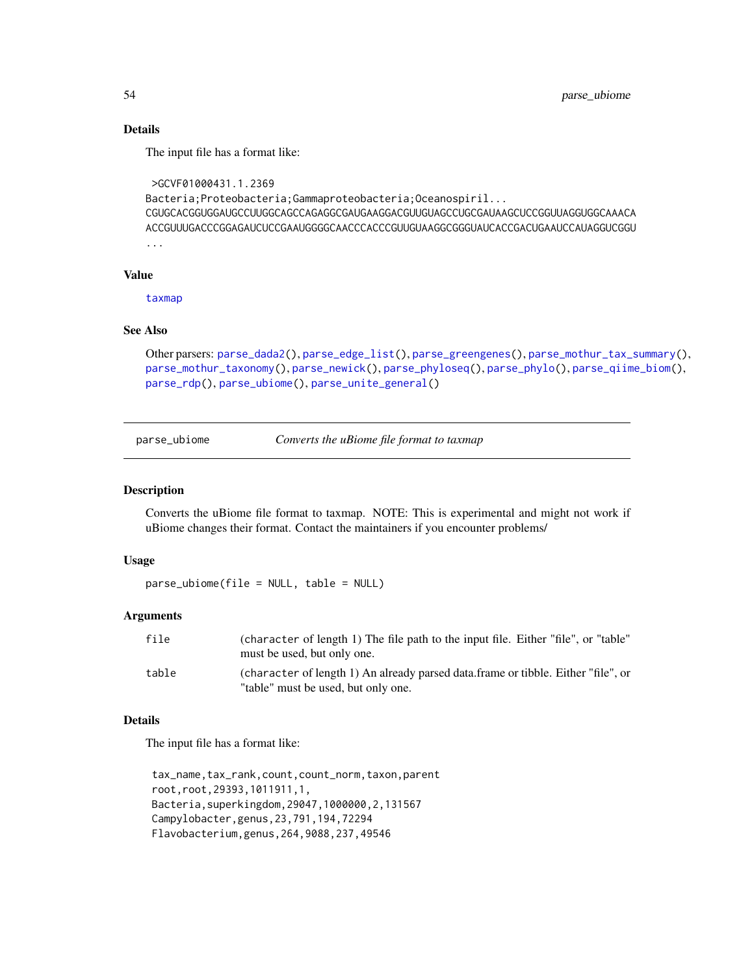# Details

The input file has a format like:

```
>GCVF01000431.1.2369
Bacteria;Proteobacteria;Gammaproteobacteria;Oceanospiril...
CGUGCACGGUGGAUGCCUUGGCAGCCAGAGGCGAUGAAGGACGUUGUAGCCUGCGAUAAGCUCCGGUUAGGUGGCAAACA
ACCGUUUGACCCGGAGAUCUCCGAAUGGGGCAACCCACCCGUUGUAAGGCGGGUAUCACCGACUGAAUCCAUAGGUCGGU
...
```
### Value

[taxmap](#page-0-0)

### See Also

Other parsers: [parse\\_dada2\(](#page-43-0)), [parse\\_edge\\_list\(](#page-0-0)), [parse\\_greengenes\(](#page-44-0)), [parse\\_mothur\\_tax\\_summary\(](#page-46-0)), [parse\\_mothur\\_taxonomy\(](#page-45-0)), [parse\\_newick\(](#page-48-0)), [parse\\_phyloseq\(](#page-49-0)), [parse\\_phylo\(](#page-48-1)), [parse\\_qiime\\_biom\(](#page-50-0)), [parse\\_rdp\(](#page-51-0)), [parse\\_ubiome\(](#page-53-0)), [parse\\_unite\\_general\(](#page-54-0))

<span id="page-53-0"></span>parse\_ubiome *Converts the uBiome file format to taxmap*

#### Description

Converts the uBiome file format to taxmap. NOTE: This is experimental and might not work if uBiome changes their format. Contact the maintainers if you encounter problems/

#### Usage

parse\_ubiome(file = NULL, table = NULL)

#### Arguments

| file  | (character of length 1) The file path to the input file. Either "file", or "table"<br>must be used, but only one.        |
|-------|--------------------------------------------------------------------------------------------------------------------------|
| table | (character of length 1) An already parsed data.frame or tibble. Either "file", or<br>"table" must be used, but only one. |

#### Details

The input file has a format like:

tax\_name,tax\_rank,count,count\_norm,taxon,parent root,root,29393,1011911,1, Bacteria,superkingdom,29047,1000000,2,131567 Campylobacter,genus,23,791,194,72294 Flavobacterium,genus,264,9088,237,49546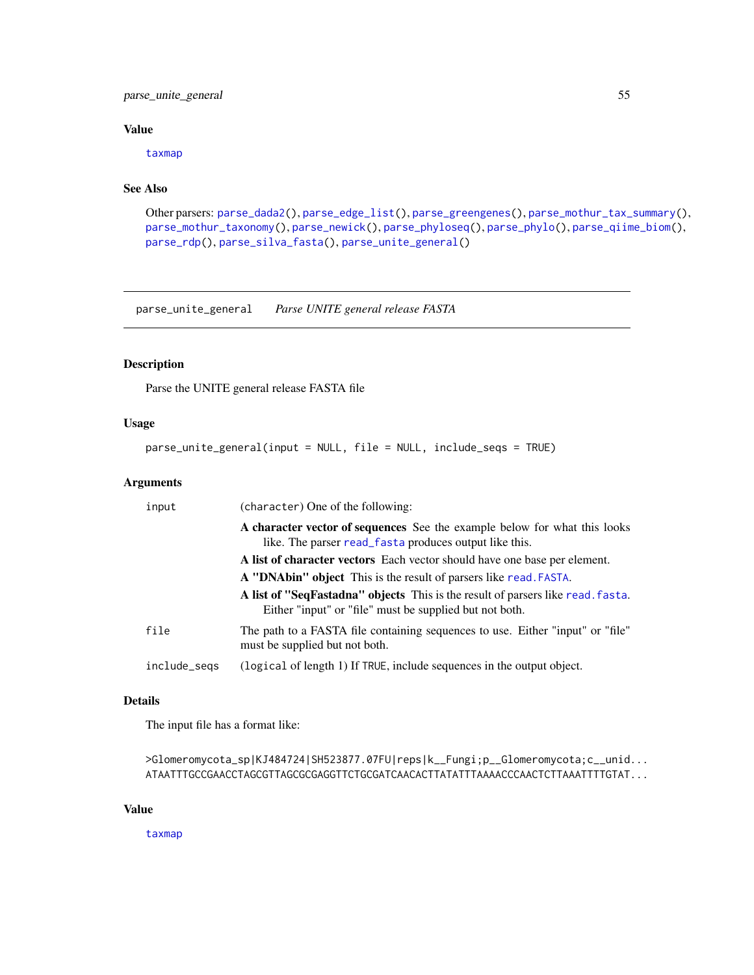# parse\_unite\_general 55

# Value

[taxmap](#page-0-0)

# See Also

```
Other parsers: parse_dada2(), parse_edge_list(), parse_greengenes(), parse_mothur_tax_summary(),
parse_mothur_taxonomy(), parse_newick(), parse_phyloseq(), parse_phylo(), parse_qiime_biom(),
parse_rdp(), parse_silva_fasta(), parse_unite_general()
```
<span id="page-54-0"></span>parse\_unite\_general *Parse UNITE general release FASTA*

# Description

Parse the UNITE general release FASTA file

# Usage

parse\_unite\_general(input = NULL, file = NULL, include\_seqs = TRUE)

## Arguments

| input        | (character) One of the following:                                                                                                          |
|--------------|--------------------------------------------------------------------------------------------------------------------------------------------|
|              | A character vector of sequences See the example below for what this looks<br>like. The parser read_fasta produces output like this.        |
|              | A list of character vectors Each vector should have one base per element.                                                                  |
|              | A "DNAbin" object This is the result of parsers like read. FASTA.                                                                          |
|              | A list of "SeqFastadna" objects This is the result of parsers like read. fasta.<br>Either "input" or "file" must be supplied but not both. |
| file         | The path to a FASTA file containing sequences to use. Either "input" or "file"<br>must be supplied but not both.                           |
| include_segs | (logical of length 1) If TRUE, include sequences in the output object.                                                                     |

### Details

The input file has a format like:

```
>Glomeromycota_sp|KJ484724|SH523877.07FU|reps|k__Fungi;p__Glomeromycota;c__unid...
ATAATTTGCCGAACCTAGCGTTAGCGCGAGGTTCTGCGATCAACACTTATATTTAAAACCCAACTCTTAAATTTTGTAT...
```
#### Value

[taxmap](#page-0-0)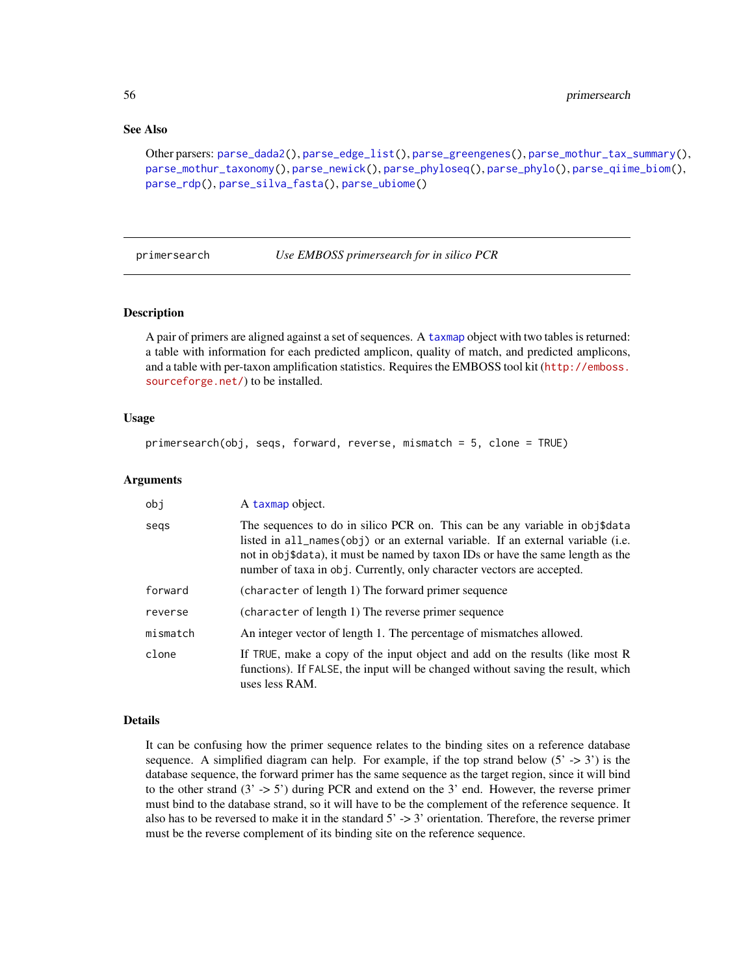# See Also

```
Other parsers: parse_dada2(), parse_edge_list(), parse_greengenes(), parse_mothur_tax_summary(),
parse_mothur_taxonomy(), parse_newick(), parse_phyloseq(), parse_phylo(), parse_qiime_biom(),
parse_rdp(), parse_silva_fasta(), parse_ubiome()
```
<span id="page-55-0"></span>

primersearch *Use EMBOSS primersearch for in silico PCR*

# **Description**

A pair of primers are aligned against a set of sequences. A [taxmap](#page-0-0) object with two tables is returned: a table with information for each predicted amplicon, quality of match, and predicted amplicons, and a table with per-taxon amplification statistics. Requires the EMBOSS tool kit ([http://emboss.](http://emboss.sourceforge.net/) [sourceforge.net/](http://emboss.sourceforge.net/)) to be installed.

### Usage

```
primersearch(obj, seqs, forward, reverse, mismatch = 5, clone = TRUE)
```
#### Arguments

| obi      | A taxmap object.                                                                                                                                                                                                                                                                                                            |
|----------|-----------------------------------------------------------------------------------------------------------------------------------------------------------------------------------------------------------------------------------------------------------------------------------------------------------------------------|
| segs     | The sequences to do in silico PCR on. This can be any variable in obj\$data<br>listed in all_names(obj) or an external variable. If an external variable (i.e.<br>not in obj\$data), it must be named by taxon IDs or have the same length as the<br>number of taxa in obj. Currently, only character vectors are accepted. |
| forward  | (character of length 1) The forward primer sequence                                                                                                                                                                                                                                                                         |
| reverse  | (character of length 1) The reverse primer sequence                                                                                                                                                                                                                                                                         |
| mismatch | An integer vector of length 1. The percentage of mismatches allowed.                                                                                                                                                                                                                                                        |
| clone    | If TRUE, make a copy of the input object and add on the results (like most R<br>functions). If FALSE, the input will be changed without saving the result, which<br>uses less RAM.                                                                                                                                          |

### Details

It can be confusing how the primer sequence relates to the binding sites on a reference database sequence. A simplified diagram can help. For example, if the top strand below  $(5' \rightarrow 3')$  is the database sequence, the forward primer has the same sequence as the target region, since it will bind to the other strand  $(3 \rightarrow 5')$  during PCR and extend on the 3' end. However, the reverse primer must bind to the database strand, so it will have to be the complement of the reference sequence. It also has to be reversed to make it in the standard  $5' \rightarrow 3'$  orientation. Therefore, the reverse primer must be the reverse complement of its binding site on the reference sequence.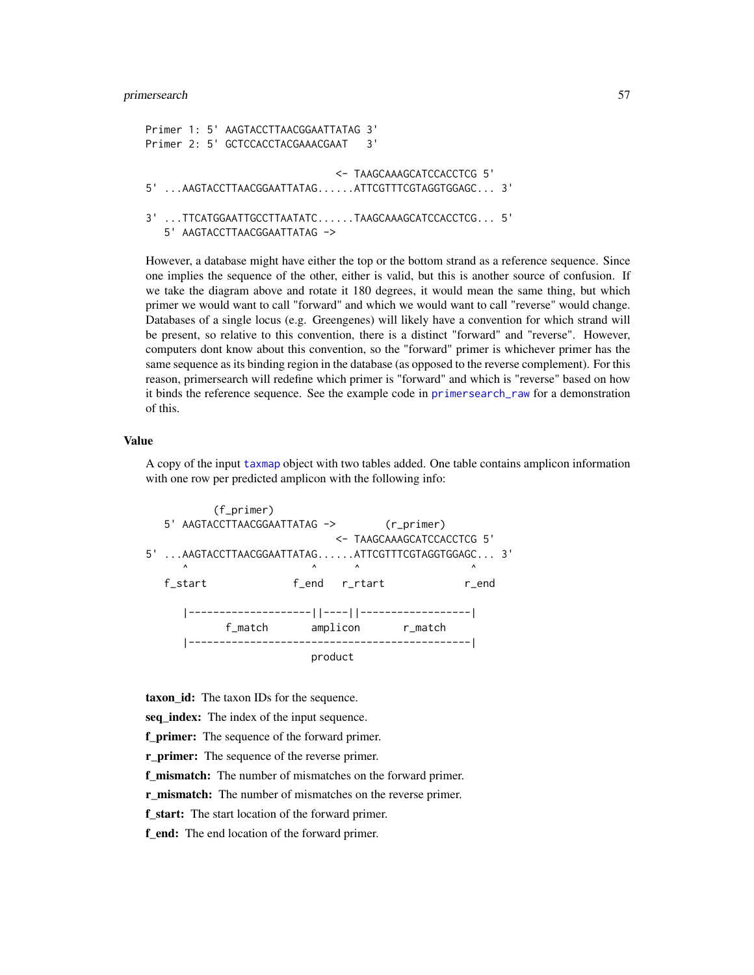primersearch 57

```
Primer 1: 5' AAGTACCTTAACGGAATTATAG 3'
Primer 2: 5' GCTCCACCTACGAAACGAAT 3'
                               <- TAAGCAAAGCATCCACCTCG 5'
5' ...AAGTACCTTAACGGAATTATAG......ATTCGTTTCGTAGGTGGAGC... 3'
3' ...TTCATGGAATTGCCTTAATATC......TAAGCAAAGCATCCACCTCG... 5'
   5' AAGTACCTTAACGGAATTATAG ->
```
However, a database might have either the top or the bottom strand as a reference sequence. Since one implies the sequence of the other, either is valid, but this is another source of confusion. If we take the diagram above and rotate it 180 degrees, it would mean the same thing, but which primer we would want to call "forward" and which we would want to call "reverse" would change. Databases of a single locus (e.g. Greengenes) will likely have a convention for which strand will be present, so relative to this convention, there is a distinct "forward" and "reverse". However, computers dont know about this convention, so the "forward" primer is whichever primer has the same sequence as its binding region in the database (as opposed to the reverse complement). For this reason, primersearch will redefine which primer is "forward" and which is "reverse" based on how it binds the reference sequence. See the example code in [primersearch\\_raw](#page-58-0) for a demonstration of this.

### Value

A copy of the input [taxmap](#page-0-0) object with two tables added. One table contains amplicon information with one row per predicted amplicon with the following info:

```
(f_primer)
  5' AAGTACCTTAACGGAATTATAG -> (r_primer)
                  <- TAAGCAAAGCATCCACCTCG 5'
5' ...AAGTACCTTAACGGAATTATAG......ATTCGTTTCGTAGGTGGAGC... 3'
    \wedge \wedge \wedge \wedge \wedge \wedgef_start f_end r_rtart r_end
     |--------------------||----||------------------|
           f_match amplicon r_match
     |----------------------------------------------|
                      product
```
taxon\_id: The taxon IDs for the sequence.

seq\_index: The index of the input sequence.

f\_primer: The sequence of the forward primer.

**r\_primer:** The sequence of the reverse primer.

f\_mismatch: The number of mismatches on the forward primer.

r mismatch: The number of mismatches on the reverse primer.

f start: The start location of the forward primer.

f\_end: The end location of the forward primer.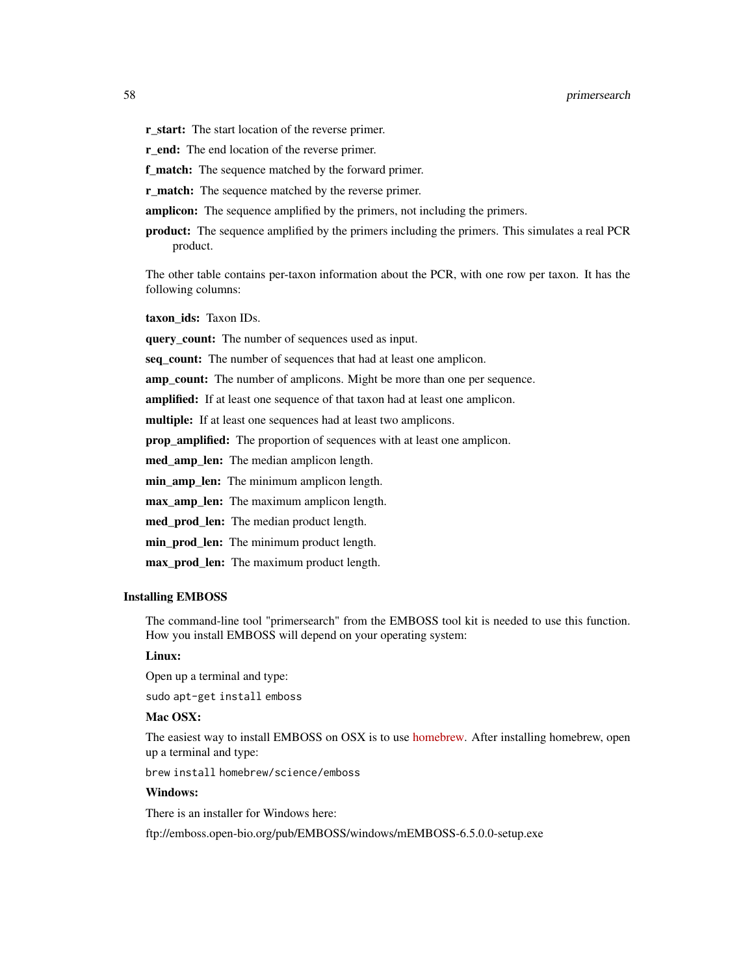- r\_start: The start location of the reverse primer.
- r\_end: The end location of the reverse primer.
- **f\_match:** The sequence matched by the forward primer.
- **r\_match:** The sequence matched by the reverse primer.
- **amplicon:** The sequence amplified by the primers, not including the primers.
- product: The sequence amplified by the primers including the primers. This simulates a real PCR product.

The other table contains per-taxon information about the PCR, with one row per taxon. It has the following columns:

taxon ids: Taxon IDs.

query\_count: The number of sequences used as input.

seq\_count: The number of sequences that had at least one amplicon.

amp\_count: The number of amplicons. Might be more than one per sequence.

amplified: If at least one sequence of that taxon had at least one amplicon.

multiple: If at least one sequences had at least two amplicons.

prop\_amplified: The proportion of sequences with at least one amplicon.

med\_amp\_len: The median amplicon length.

min\_amp\_len: The minimum amplicon length.

max\_amp\_len: The maximum amplicon length.

med\_prod\_len: The median product length.

min\_prod\_len: The minimum product length.

max\_prod\_len: The maximum product length.

#### Installing EMBOSS

The command-line tool "primersearch" from the EMBOSS tool kit is needed to use this function. How you install EMBOSS will depend on your operating system:

### Linux:

Open up a terminal and type:

sudo apt-get install emboss

### Mac OSX:

The easiest way to install EMBOSS on OSX is to use [homebrew.](http://brew.sh/) After installing homebrew, open up a terminal and type:

brew install homebrew/science/emboss

#### Windows:

There is an installer for Windows here:

ftp://emboss.open-bio.org/pub/EMBOSS/windows/mEMBOSS-6.5.0.0-setup.exe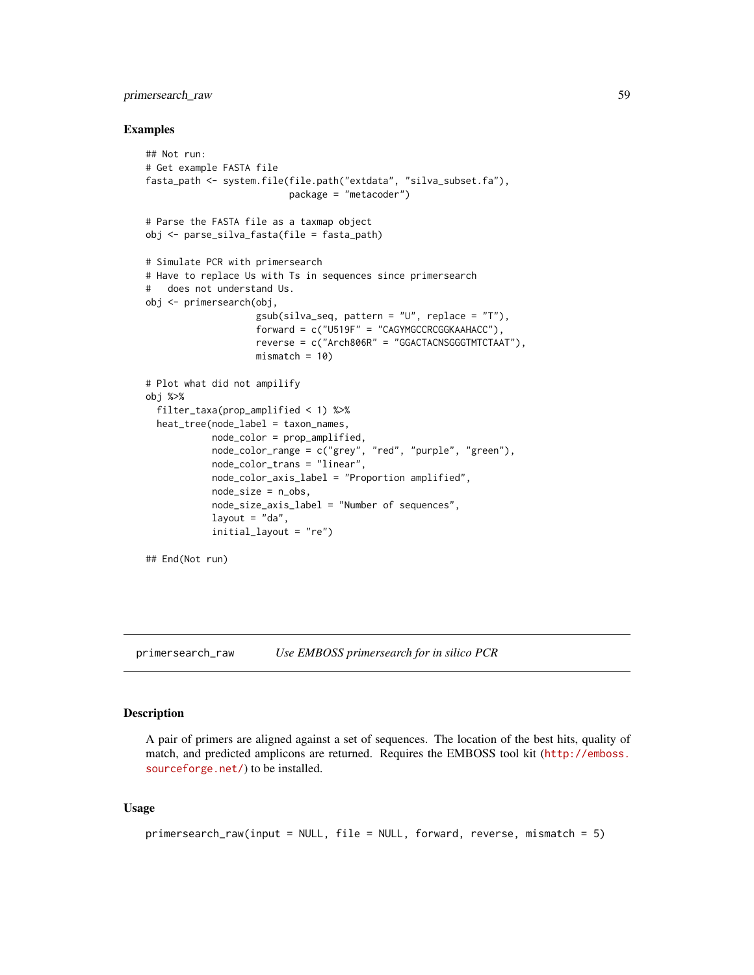## primersearch\_raw 59

### Examples

```
## Not run:
# Get example FASTA file
fasta_path <- system.file(file.path("extdata", "silva_subset.fa"),
                          package = "metacoder")
# Parse the FASTA file as a taxmap object
obj <- parse_silva_fasta(file = fasta_path)
# Simulate PCR with primersearch
# Have to replace Us with Ts in sequences since primersearch
# does not understand Us.
obj <- primersearch(obj,
                    gsub(silva_seq, pattern = "U", replace = "T"),
                    forward = c("U519F" = "CAGYMGCCRCGGKAAHACC"),
                    reverse = c("Arch806R" = "GGACTACNSGGGTMTCTAAT"),
                    mismatch = 10# Plot what did not ampilify
obj %>%
  filter_taxa(prop_amplified < 1) %>%
  heat_tree(node_label = taxon_names,
            node_color = prop_amplified,
            node_color_range = c("grey", "red", "purple", "green"),
            node_color_trans = "linear",
            node_color_axis_label = "Proportion amplified",
            node_size = n_obs,
            node_size_axis_label = "Number of sequences",
            layout = "da",
            initial_layout = "re")
## End(Not run)
```
<span id="page-58-0"></span>primersearch\_raw *Use EMBOSS primersearch for in silico PCR*

#### **Description**

A pair of primers are aligned against a set of sequences. The location of the best hits, quality of match, and predicted amplicons are returned. Requires the EMBOSS tool kit ([http://emboss.](http://emboss.sourceforge.net/) [sourceforge.net/](http://emboss.sourceforge.net/)) to be installed.

```
primersearch_raw(input = NULL, file = NULL, forward, reverse, mismatch = 5)
```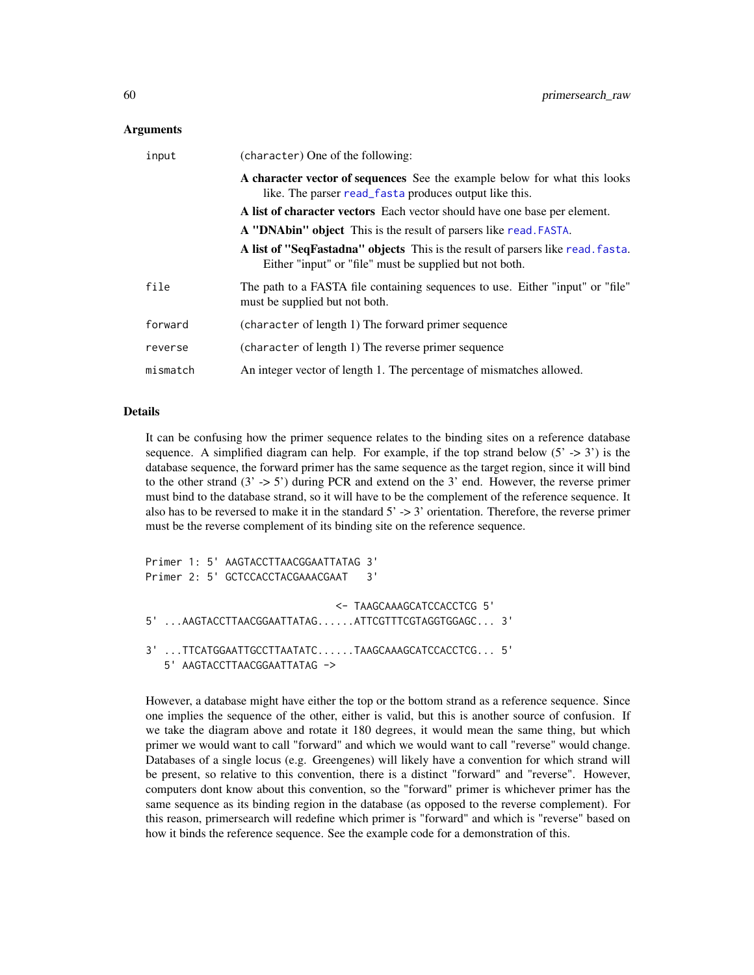| input    | (character) One of the following:                                                                                                          |
|----------|--------------------------------------------------------------------------------------------------------------------------------------------|
|          | A character vector of sequences See the example below for what this looks<br>like. The parser read_fasta produces output like this.        |
|          | A list of character vectors Each vector should have one base per element.                                                                  |
|          | A "DNAbin" object This is the result of parsers like read. FASTA.                                                                          |
|          | A list of "SeqFastadna" objects This is the result of parsers like read. fasta.<br>Either "input" or "file" must be supplied but not both. |
| file     | The path to a FASTA file containing sequences to use. Either "input" or "file"<br>must be supplied but not both.                           |
| forward  | (character of length 1) The forward primer sequence                                                                                        |
| reverse  | (character of length 1) The reverse primer sequence                                                                                        |
| mismatch | An integer vector of length 1. The percentage of mismatches allowed.                                                                       |

### Details

It can be confusing how the primer sequence relates to the binding sites on a reference database sequence. A simplified diagram can help. For example, if the top strand below  $(5 \rightarrow 3')$  is the database sequence, the forward primer has the same sequence as the target region, since it will bind to the other strand  $(3' \rightarrow 5')$  during PCR and extend on the 3' end. However, the reverse primer must bind to the database strand, so it will have to be the complement of the reference sequence. It also has to be reversed to make it in the standard  $5' \rightarrow 3'$  orientation. Therefore, the reverse primer must be the reverse complement of its binding site on the reference sequence.

```
Primer 1: 5' AAGTACCTTAACGGAATTATAG 3'
Primer 2: 5' GCTCCACCTACGAAACGAAT 3'
                               <- TAAGCAAAGCATCCACCTCG 5'
5' ...AAGTACCTTAACGGAATTATAG......ATTCGTTTCGTAGGTGGAGC... 3'
3' ...TTCATGGAATTGCCTTAATATC......TAAGCAAAGCATCCACCTCG... 5'
  5' AAGTACCTTAACGGAATTATAG ->
```
However, a database might have either the top or the bottom strand as a reference sequence. Since one implies the sequence of the other, either is valid, but this is another source of confusion. If we take the diagram above and rotate it 180 degrees, it would mean the same thing, but which primer we would want to call "forward" and which we would want to call "reverse" would change. Databases of a single locus (e.g. Greengenes) will likely have a convention for which strand will be present, so relative to this convention, there is a distinct "forward" and "reverse". However, computers dont know about this convention, so the "forward" primer is whichever primer has the same sequence as its binding region in the database (as opposed to the reverse complement). For this reason, primersearch will redefine which primer is "forward" and which is "reverse" based on how it binds the reference sequence. See the example code for a demonstration of this.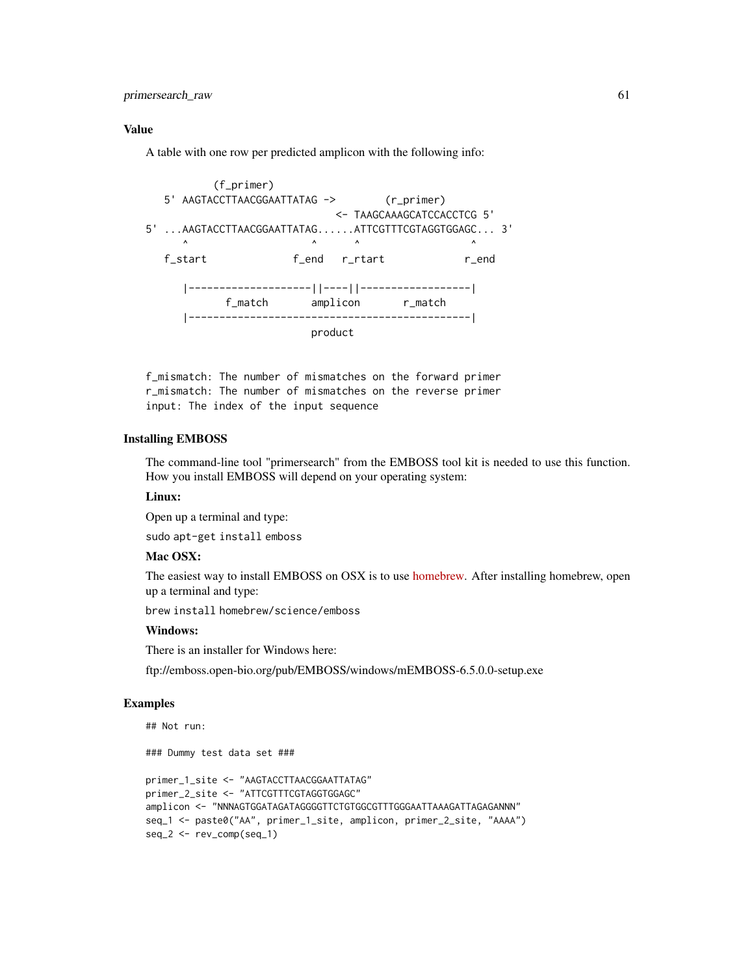primersearch\_raw 61

### Value

A table with one row per predicted amplicon with the following info:

```
(f_primer)
  5' AAGTACCTTAACGGAATTATAG -> (r_primer)
                          <- TAAGCAAAGCATCCACCTCG 5'
5' ...AAGTACCTTAACGGAATTATAG......ATTCGTTTCGTAGGTGGAGC... 3'
               \wedge \wedge \wedge \wedge \wedgef_start f_end r_rtart r_end
     |--------------------||----||------------------|
           f_match amplicon r_match
     |----------------------------------------------|
                       product
```
f\_mismatch: The number of mismatches on the forward primer r\_mismatch: The number of mismatches on the reverse primer input: The index of the input sequence

## Installing EMBOSS

The command-line tool "primersearch" from the EMBOSS tool kit is needed to use this function. How you install EMBOSS will depend on your operating system:

### Linux:

Open up a terminal and type:

sudo apt-get install emboss

# Mac OSX:

The easiest way to install EMBOSS on OSX is to use [homebrew.](http://brew.sh/) After installing homebrew, open up a terminal and type:

brew install homebrew/science/emboss

### Windows:

There is an installer for Windows here:

ftp://emboss.open-bio.org/pub/EMBOSS/windows/mEMBOSS-6.5.0.0-setup.exe

### Examples

```
## Not run:
### Dummy test data set ###
primer_1_site <- "AAGTACCTTAACGGAATTATAG"
primer_2_site <- "ATTCGTTTCGTAGGTGGAGC"
amplicon <- "NNNAGTGGATAGATAGGGGTTCTGTGGCGTTTGGGAATTAAAGATTAGAGANNN"
seq_1 <- paste0("AA", primer_1_site, amplicon, primer_2_site, "AAAA")
seq_2 <- rev_comp(seq_1)
```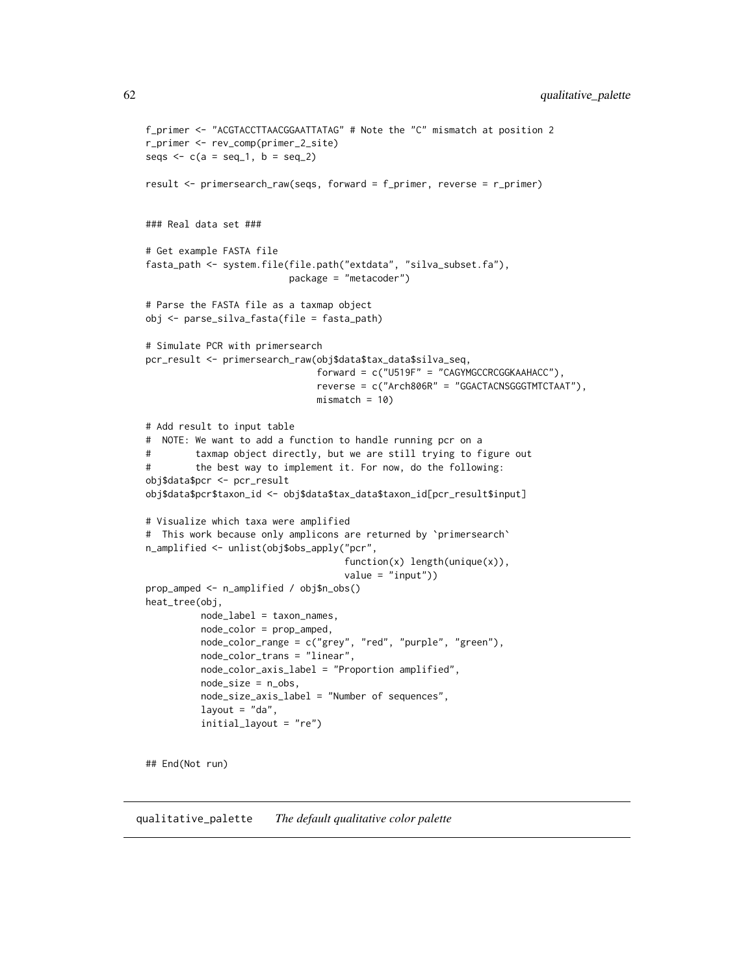```
f_primer <- "ACGTACCTTAACGGAATTATAG" # Note the "C" mismatch at position 2
r_primer <- rev_comp(primer_2_site)
seqs \leq c(a = seq_1, b = seq_2)
result <- primersearch_raw(seqs, forward = f_primer, reverse = r_primer)
### Real data set ###
# Get example FASTA file
fasta_path <- system.file(file.path("extdata", "silva_subset.fa"),
                         package = "metacoder")
# Parse the FASTA file as a taxmap object
obj <- parse_silva_fasta(file = fasta_path)
# Simulate PCR with primersearch
pcr_result <- primersearch_raw(obj$data$tax_data$silva_seq,
                               forward = c("U519F" = "CAGYMGCCRCGGKAAHACC"),
                               reverse = c("Arch806R" = "GGACTACNSGGGTMTCTAAT"),
                               mismatch = 10# Add result to input table
# NOTE: We want to add a function to handle running pcr on a
# taxmap object directly, but we are still trying to figure out
# the best way to implement it. For now, do the following:
obj$data$pcr <- pcr_result
obj$data$pcr$taxon_id <- obj$data$tax_data$taxon_id[pcr_result$input]
# Visualize which taxa were amplified
# This work because only amplicons are returned by `primersearch`
n_amplified <- unlist(obj$obs_apply("pcr",
                                    function(x) length(unique(x)),
                                    value = "input")prop_amped <- n_amplified / obj$n_obs()
heat_tree(obj,
          node_label = taxon_names,
          node_color = prop_amped,
          node_color_range = c("grey", "red", "purple", "green"),
          node_color_trans = "linear",
          node_color_axis_label = "Proportion amplified",
          node_size = n_obs,
          node_size_axis_label = "Number of sequences",
          layout = "da",initial_layout = "re")
## End(Not run)
```
qualitative\_palette *The default qualitative color palette*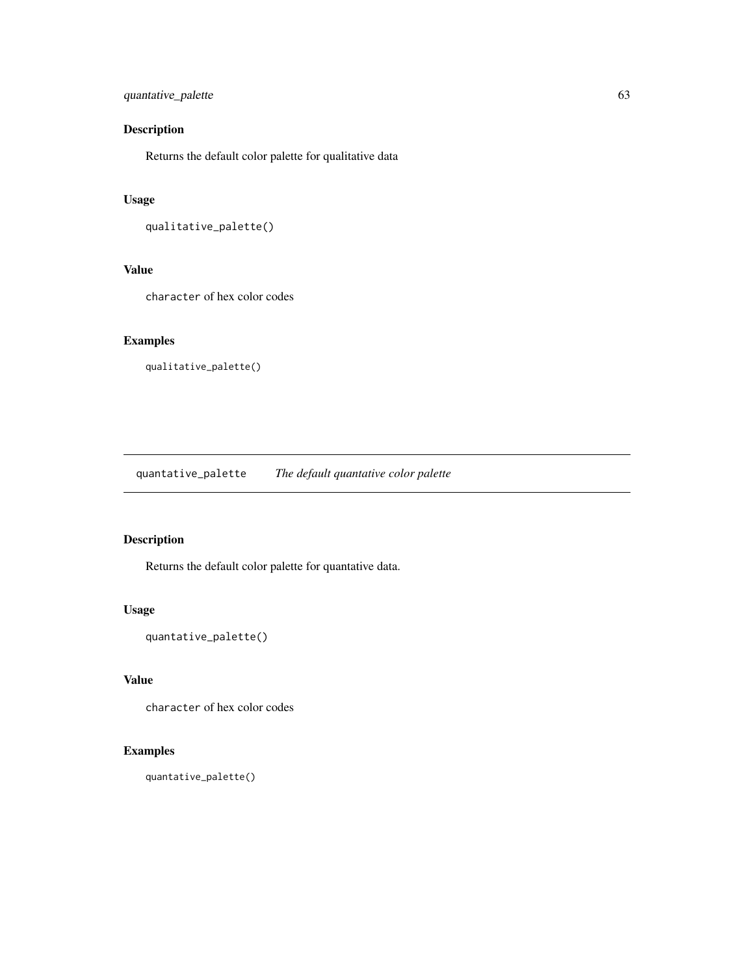# quantative\_palette 63

# Description

Returns the default color palette for qualitative data

# Usage

```
qualitative_palette()
```
## Value

character of hex color codes

# Examples

qualitative\_palette()

quantative\_palette *The default quantative color palette*

# Description

Returns the default color palette for quantative data.

# Usage

```
quantative_palette()
```
# Value

character of hex color codes

# Examples

quantative\_palette()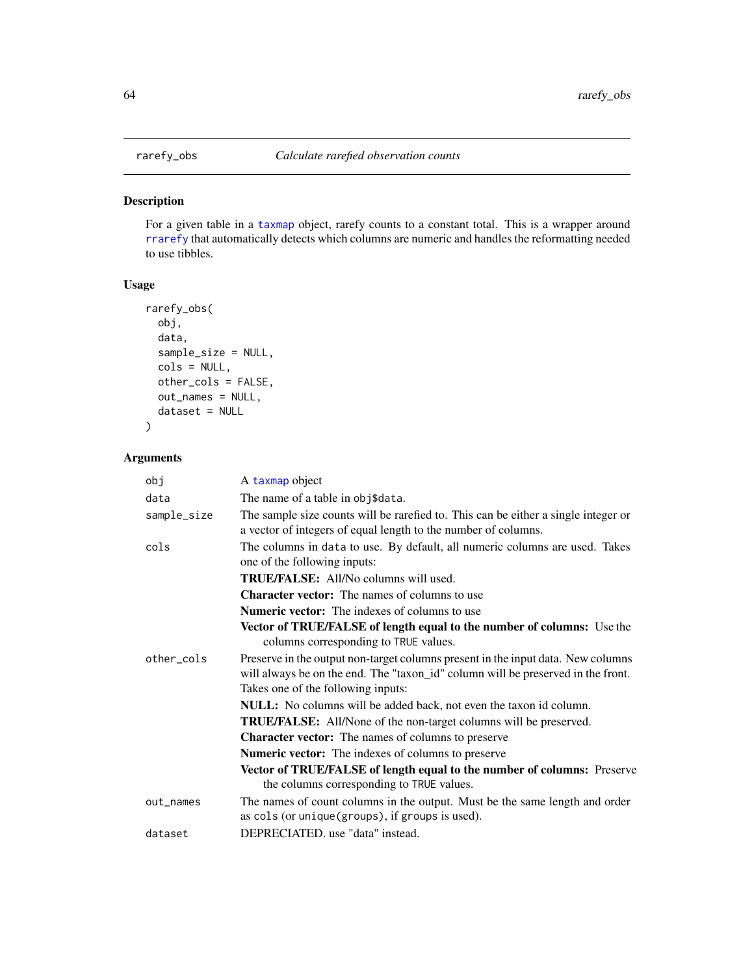### Description

For a given table in a [taxmap](#page-0-0) object, rarefy counts to a constant total. This is a wrapper around [rrarefy](#page-0-0) that automatically detects which columns are numeric and handles the reformatting needed to use tibbles.

# Usage

```
rarefy_obs(
 obj,
  data,
  sample_size = NULL,
  cols = NULL,
 other_cols = FALSE,
 out_names = NULL,
  dataset = NULL)
```

| obj         | A taxmap object                                                                                                                                                                                            |
|-------------|------------------------------------------------------------------------------------------------------------------------------------------------------------------------------------------------------------|
| data        | The name of a table in obj\$data.                                                                                                                                                                          |
| sample_size | The sample size counts will be rarefied to. This can be either a single integer or<br>a vector of integers of equal length to the number of columns.                                                       |
| cols        | The columns in data to use. By default, all numeric columns are used. Takes<br>one of the following inputs:                                                                                                |
|             | <b>TRUE/FALSE:</b> All/No columns will used.                                                                                                                                                               |
|             | <b>Character vector:</b> The names of columns to use                                                                                                                                                       |
|             | <b>Numeric vector:</b> The indexes of columns to use                                                                                                                                                       |
|             | Vector of TRUE/FALSE of length equal to the number of columns: Use the<br>columns corresponding to TRUE values.                                                                                            |
| other cols  | Preserve in the output non-target columns present in the input data. New columns<br>will always be on the end. The "taxon_id" column will be preserved in the front.<br>Takes one of the following inputs: |
|             | <b>NULL:</b> No columns will be added back, not even the taxon id column.                                                                                                                                  |
|             | <b>TRUE/FALSE:</b> All/None of the non-target columns will be preserved.                                                                                                                                   |
|             | <b>Character vector:</b> The names of columns to preserve                                                                                                                                                  |
|             | <b>Numeric vector:</b> The indexes of columns to preserve                                                                                                                                                  |
|             | Vector of TRUE/FALSE of length equal to the number of columns: Preserve<br>the columns corresponding to TRUE values.                                                                                       |
| out_names   | The names of count columns in the output. Must be the same length and order<br>as cols (or unique(groups), if groups is used).                                                                             |
| dataset     | DEPRECIATED. use "data" instead.                                                                                                                                                                           |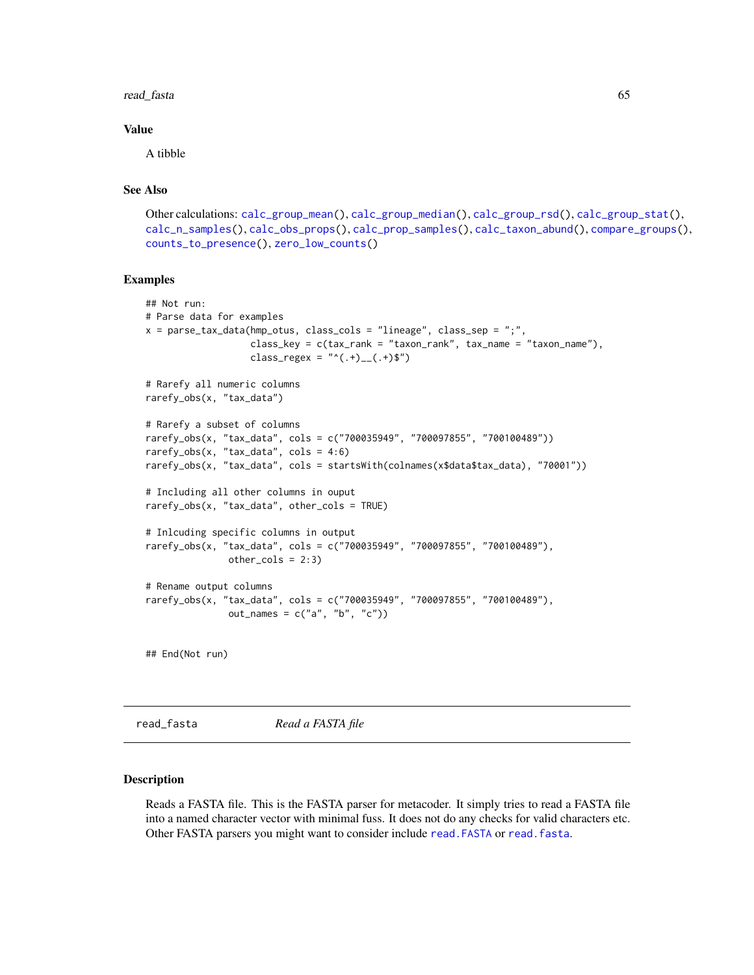#### read\_fasta 65

### Value

A tibble

# See Also

```
Other calculations: calc_group_mean(), calc_group_median(), calc_group_rsd(), calc_group_stat(),
calc_n_samples(), calc_obs_props(), calc_prop_samples(), calc_taxon_abund(), compare_groups(),
counts_to_presence(), zero_low_counts()
```
### Examples

```
## Not run:
# Parse data for examples
x = parse\_tax\_data(hmp\_otus, class\_cols = "lineage", class_sep = ",",class_key = c(tax_rank = "taxon_rank", tax_name = "taxon_name"),
                   class_regex = "^(.+)__(.+)$")
# Rarefy all numeric columns
rarefy_obs(x, "tax_data")
# Rarefy a subset of columns
rarefy_obs(x, "tax_data", cols = c("700035949", "700097855", "700100489"))
rarefy_obs(x, "tax_data", \text{cols} = 4:6)
rarefy_obs(x, "tax_data", cols = startsWith(colnames(x$data$tax_data), "70001"))
# Including all other columns in ouput
rarefy_obs(x, "tax_data", other_cols = TRUE)
# Inlcuding specific columns in output
rarefy_obs(x, "tax_data", cols = c("700035949", "700097855", "700100489"),
               other\_cols = 2:3)# Rename output columns
rarefy_obs(x, "tax_data", cols = c("700035949", "700097855", "700100489"),
               out_names = c("a", "b", "c")## End(Not run)
```
<span id="page-64-0"></span>read\_fasta *Read a FASTA file*

### **Description**

Reads a FASTA file. This is the FASTA parser for metacoder. It simply tries to read a FASTA file into a named character vector with minimal fuss. It does not do any checks for valid characters etc. Other FASTA parsers you might want to consider include [read.FASTA](#page-0-0) or [read.fasta](#page-0-0).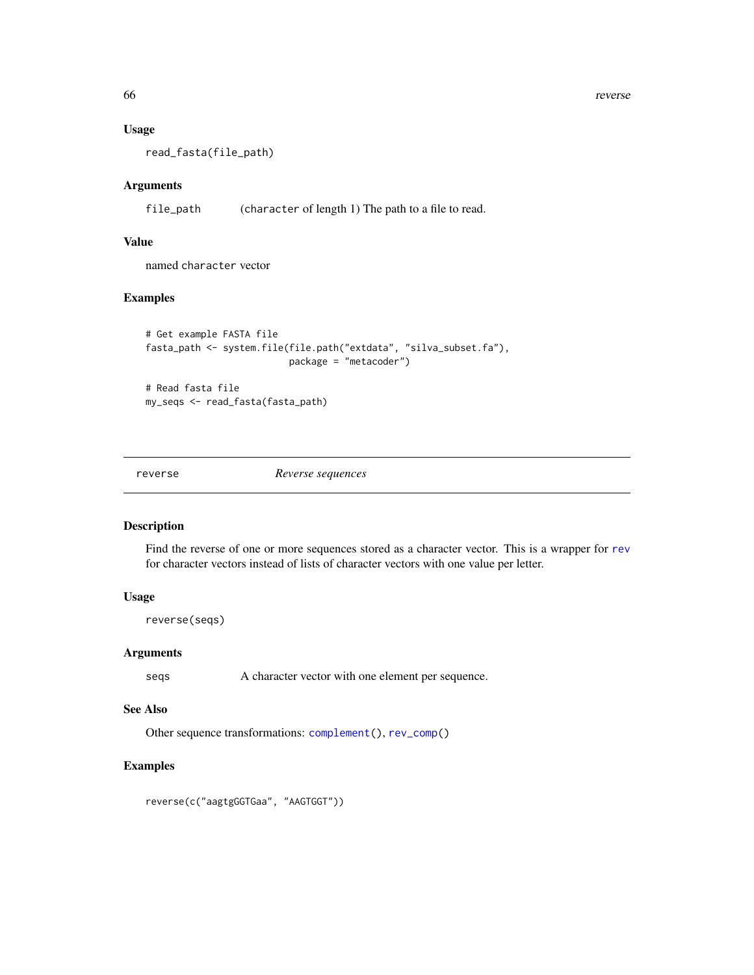66 reverse and the set of the set of the set of the set of the set of the set of the set of the set of the set of the set of the set of the set of the set of the set of the set of the set of the set of the set of the set o

### Usage

read\_fasta(file\_path)

### Arguments

file\_path (character of length 1) The path to a file to read.

# Value

named character vector

# Examples

```
# Get example FASTA file
fasta_path <- system.file(file.path("extdata", "silva_subset.fa"),
                          package = "metacoder")
```
# Read fasta file my\_seqs <- read\_fasta(fasta\_path)

<span id="page-65-0"></span>

reverse *Reverse sequences*

#### Description

Find the reverse of one or more sequences stored as a character vector. This is a wrapper for [rev](#page-0-0) for character vectors instead of lists of character vectors with one value per letter.

# Usage

reverse(seqs)

#### Arguments

seqs A character vector with one element per sequence.

### See Also

Other sequence transformations: [complement\(](#page-20-0)), [rev\\_comp\(](#page-66-1))

# Examples

reverse(c("aagtgGGTGaa", "AAGTGGT"))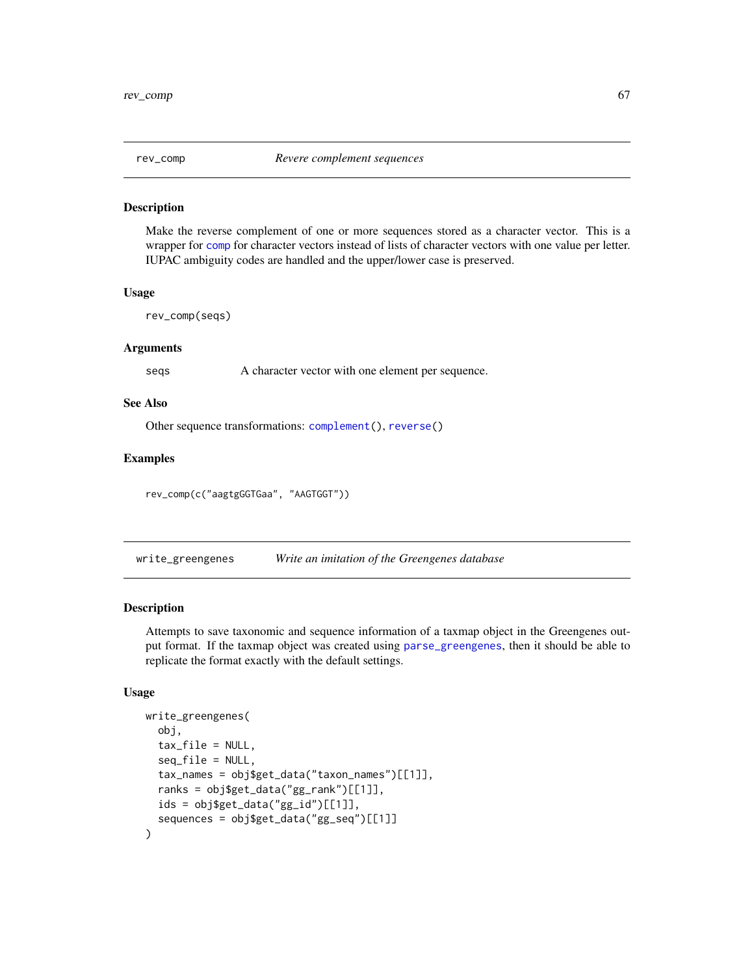<span id="page-66-1"></span>

### Description

Make the reverse complement of one or more sequences stored as a character vector. This is a wrapper for [comp](#page-0-0) for character vectors instead of lists of character vectors with one value per letter. IUPAC ambiguity codes are handled and the upper/lower case is preserved.

#### Usage

rev\_comp(seqs)

#### Arguments

seqs A character vector with one element per sequence.

### See Also

Other sequence transformations: [complement\(](#page-20-0)), [reverse\(](#page-65-0))

### Examples

```
rev_comp(c("aagtgGGTGaa", "AAGTGGT"))
```
<span id="page-66-0"></span>write\_greengenes *Write an imitation of the Greengenes database*

### Description

Attempts to save taxonomic and sequence information of a taxmap object in the Greengenes output format. If the taxmap object was created using [parse\\_greengenes](#page-44-0), then it should be able to replicate the format exactly with the default settings.

```
write_greengenes(
  obj,
  tax_file = NULL,
  seq_file = NULL,
  tax_names = obj$get_data("taxon_names")[[1]],
  ranks = obj$get_data("gg_rank")[[1]],
  ids = obj$get_data("gg_id")[[1]],
  sequences = obj$get_data("gg_seq")[[1]]
)
```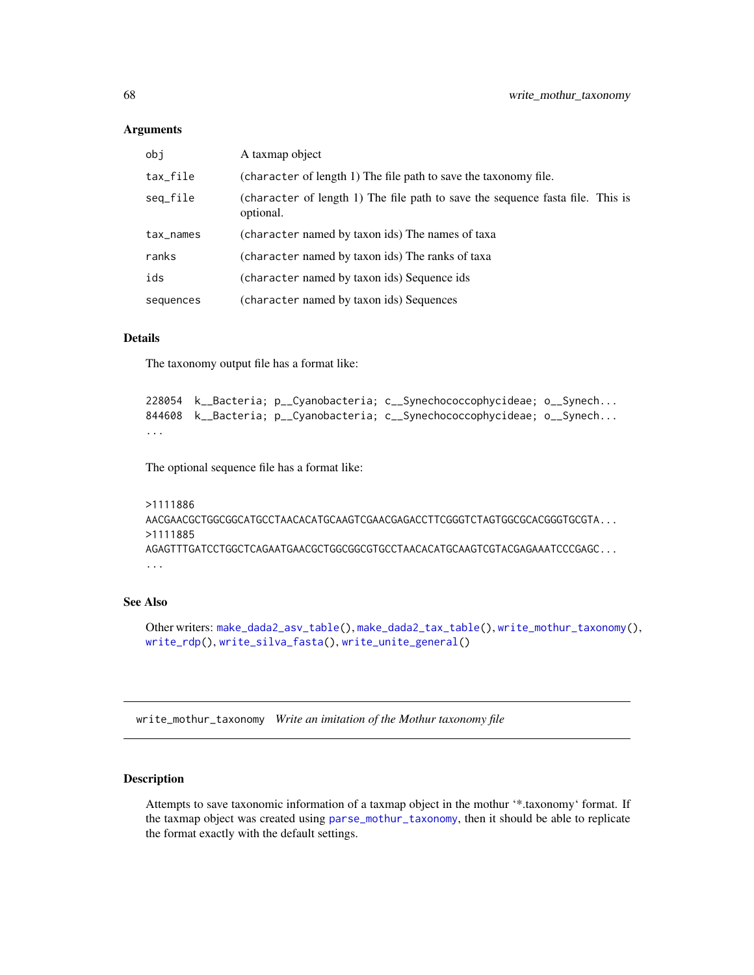| obi       | A taxmap object                                                                             |
|-----------|---------------------------------------------------------------------------------------------|
| tax_file  | (character of length 1) The file path to save the taxonomy file.                            |
| seq_file  | (character of length 1) The file path to save the sequence fasta file. This is<br>optional. |
| tax_names | (character named by taxon ids) The names of taxa                                            |
| ranks     | (character named by taxon ids) The ranks of taxa                                            |
| ids       | (character named by taxon ids) Sequence ids                                                 |
| sequences | (character named by taxon ids) Sequences                                                    |

## Details

The taxonomy output file has a format like:

```
228054 k__Bacteria; p__Cyanobacteria; c__Synechococcophycideae; o__Synech...
844608 k__Bacteria; p__Cyanobacteria; c__Synechococcophycideae; o__Synech...
...
```
The optional sequence file has a format like:

```
>1111886
AACGAACGCTGGCGGCATGCCTAACACATGCAAGTCGAACGAGACCTTCGGGTCTAGTGGCGCACGGGTGCGTA...
>1111885
AGAGTTTGATCCTGGCTCAGAATGAACGCTGGCGGCGTGCCTAACACATGCAAGTCGTACGAGAAATCCCGAGC...
...
```
# See Also

Other writers: [make\\_dada2\\_asv\\_table\(](#page-38-0)), [make\\_dada2\\_tax\\_table\(](#page-39-0)), [write\\_mothur\\_taxonomy\(](#page-67-0)), [write\\_rdp\(](#page-69-0)), [write\\_silva\\_fasta\(](#page-70-0)), [write\\_unite\\_general\(](#page-71-0))

<span id="page-67-0"></span>write\_mothur\_taxonomy *Write an imitation of the Mothur taxonomy file*

# Description

Attempts to save taxonomic information of a taxmap object in the mothur '\*.taxonomy' format. If the taxmap object was created using [parse\\_mothur\\_taxonomy](#page-45-0), then it should be able to replicate the format exactly with the default settings.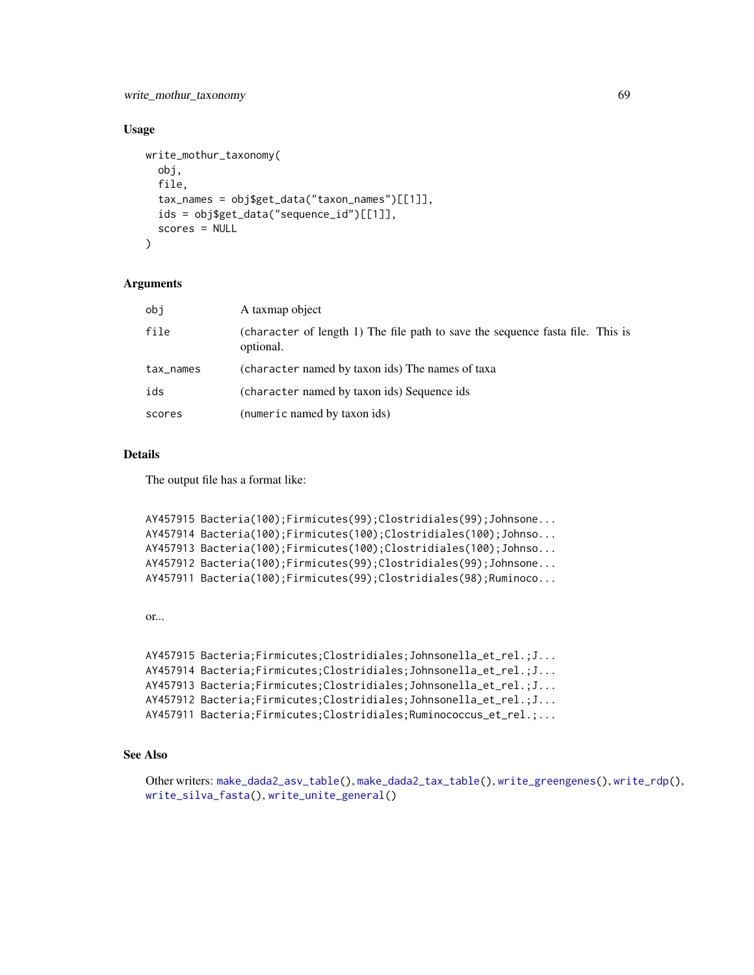write\_mothur\_taxonomy 69

### Usage

```
write_mothur_taxonomy(
  obj,
  file,
  tax_names = obj$get_data("taxon_names")[[1]],
  ids = obj$get_data("sequence_id")[[1]],
  scores = NULL
\lambda
```
### Arguments

| obi       | A taxmap object                                                                             |
|-----------|---------------------------------------------------------------------------------------------|
| file      | (character of length 1) The file path to save the sequence fasta file. This is<br>optional. |
| tax_names | (character named by taxon ids) The names of taxa                                            |
| ids       | (character named by taxon ids) Sequence ids                                                 |
| scores    | (numeric named by taxon ids)                                                                |

# Details

The output file has a format like:

```
AY457915 Bacteria(100);Firmicutes(99);Clostridiales(99);Johnsone...
AY457914 Bacteria(100);Firmicutes(100);Clostridiales(100);Johnso...
AY457913 Bacteria(100);Firmicutes(100);Clostridiales(100);Johnso...
AY457912 Bacteria(100);Firmicutes(99);Clostridiales(99);Johnsone...
AY457911 Bacteria(100);Firmicutes(99);Clostridiales(98);Ruminoco...
```
or...

```
AY457915 Bacteria;Firmicutes;Clostridiales;Johnsonella_et_rel.;J...
AY457914 Bacteria;Firmicutes;Clostridiales;Johnsonella_et_rel.;J...
AY457913 Bacteria;Firmicutes;Clostridiales;Johnsonella_et_rel.;J...
AY457912 Bacteria;Firmicutes;Clostridiales;Johnsonella_et_rel.;J...
AY457911 Bacteria;Firmicutes;Clostridiales;Ruminococcus_et_rel.;...
```
# See Also

```
Other writers: make_dada2_asv_table(), make_dada2_tax_table(), write_greengenes(), write_rdp(),
write_silva_fasta(), write_unite_general()
```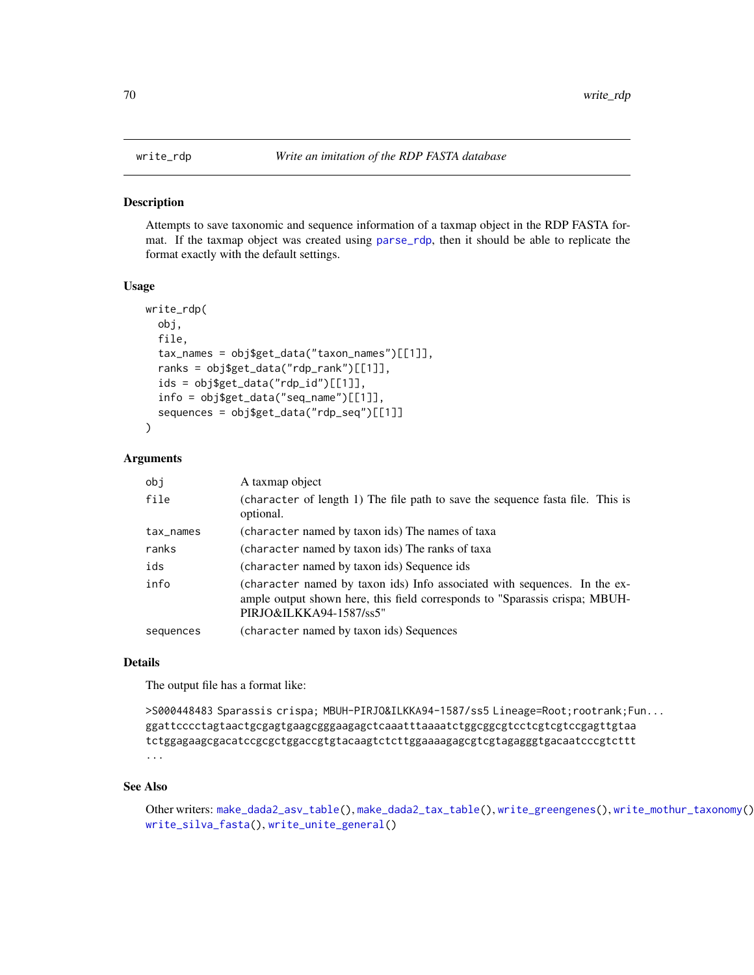### Description

Attempts to save taxonomic and sequence information of a taxmap object in the RDP FASTA format. If the taxmap object was created using [parse\\_rdp](#page-51-0), then it should be able to replicate the format exactly with the default settings.

#### Usage

```
write_rdp(
  obj,
  file,
  tax_names = obj$get_data("taxon_names")[[1]],
  ranks = obj$get_data("rdp_rank")[[1]],
  ids = obj$get_data("rdp_id")[1]],
  info = obj$get_data("seq_name")[[1]],
  sequences = obj$get_data("rdp_seq")[[1]]
)
```
### Arguments

| obi       | A taxmap object                                                                                                                                                                     |
|-----------|-------------------------------------------------------------------------------------------------------------------------------------------------------------------------------------|
| file      | (character of length 1) The file path to save the sequence fasta file. This is<br>optional.                                                                                         |
| tax_names | (character named by taxon ids) The names of taxa                                                                                                                                    |
| ranks     | (character named by taxon ids) The ranks of taxa                                                                                                                                    |
| ids       | (character named by taxon ids) Sequence ids                                                                                                                                         |
| info      | (character named by taxon ids) Info associated with sequences. In the ex-<br>ample output shown here, this field corresponds to "Sparassis crispa; MBUH-<br>PIRJO&ILKKA94-1587/ss5" |
| sequences | (character named by taxon ids) Sequences                                                                                                                                            |

### Details

The output file has a format like:

```
>S000448483 Sparassis crispa; MBUH-PIRJO&ILKKA94-1587/ss5 Lineage=Root;rootrank;Fun...
ggattcccctagtaactgcgagtgaagcgggaagagctcaaatttaaaatctggcggcgtcctcgtcgtccgagttgtaa
tctggagaagcgacatccgcgctggaccgtgtacaagtctcttggaaaagagcgtcgtagagggtgacaatcccgtcttt
...
```
### See Also

Other writers: [make\\_dada2\\_asv\\_table\(](#page-38-0)), [make\\_dada2\\_tax\\_table\(](#page-39-0)), [write\\_greengenes\(](#page-66-0)), [write\\_mothur\\_taxonomy\(](#page-67-0)), [write\\_silva\\_fasta\(](#page-70-0)), [write\\_unite\\_general\(](#page-71-0))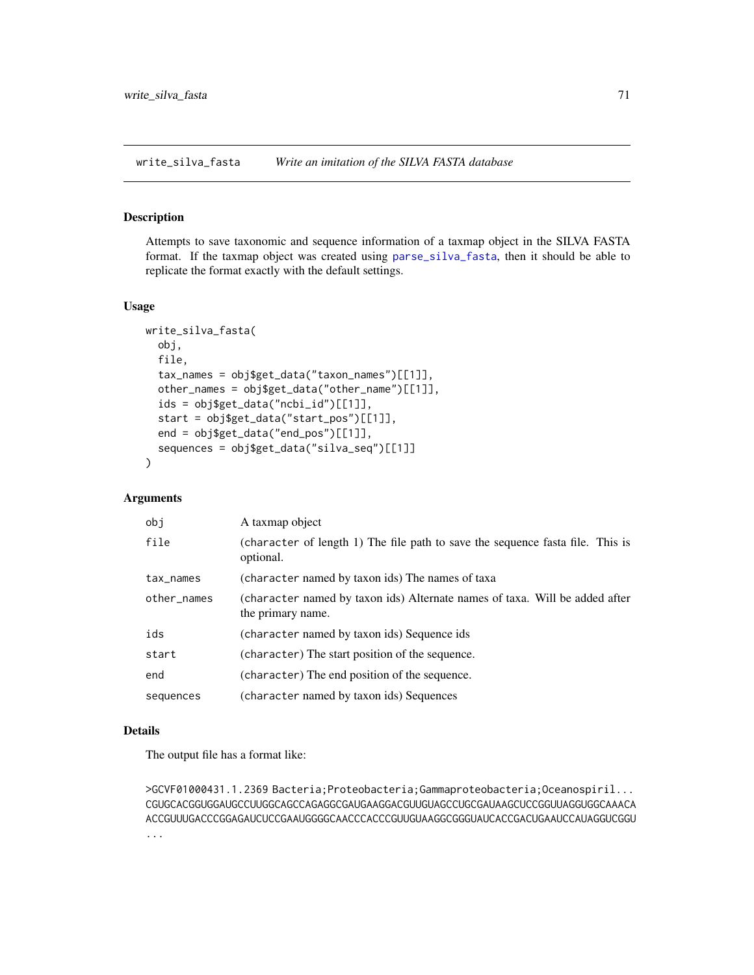<span id="page-70-0"></span>write\_silva\_fasta *Write an imitation of the SILVA FASTA database*

## Description

Attempts to save taxonomic and sequence information of a taxmap object in the SILVA FASTA format. If the taxmap object was created using [parse\\_silva\\_fasta](#page-52-0), then it should be able to replicate the format exactly with the default settings.

#### Usage

```
write_silva_fasta(
  obj,
  file,
  tax_names = obj$get_data("taxon_names")[[1]],
  other_names = obj$get_data("other_name")[[1]],
  ids = obj$get_data("ncbi_id")[[1]],
  start = obj$get_data("start_pos")[[1]],
  end = obj$get_data("end_pos")[[1]],
  sequences = obj$get_data("silva_seq")[[1]]
)
```
## Arguments

| obj         | A taxmap object                                                                                  |
|-------------|--------------------------------------------------------------------------------------------------|
| file        | (character of length 1) The file path to save the sequence fasta file. This is<br>optional.      |
| tax_names   | (character named by taxon ids) The names of taxa                                                 |
| other_names | (character named by taxon ids) Alternate names of taxa. Will be added after<br>the primary name. |
| ids         | (character named by taxon ids) Sequence ids                                                      |
| start       | (character) The start position of the sequence.                                                  |
| end         | (character) The end position of the sequence.                                                    |
| sequences   | (character named by taxon ids) Sequences                                                         |

### Details

The output file has a format like:

>GCVF01000431.1.2369 Bacteria;Proteobacteria;Gammaproteobacteria;Oceanospiril... CGUGCACGGUGGAUGCCUUGGCAGCCAGAGGCGAUGAAGGACGUUGUAGCCUGCGAUAAGCUCCGGUUAGGUGGCAAACA ACCGUUUGACCCGGAGAUCUCCGAAUGGGGCAACCCACCCGUUGUAAGGCGGGUAUCACCGACUGAAUCCAUAGGUCGGU ...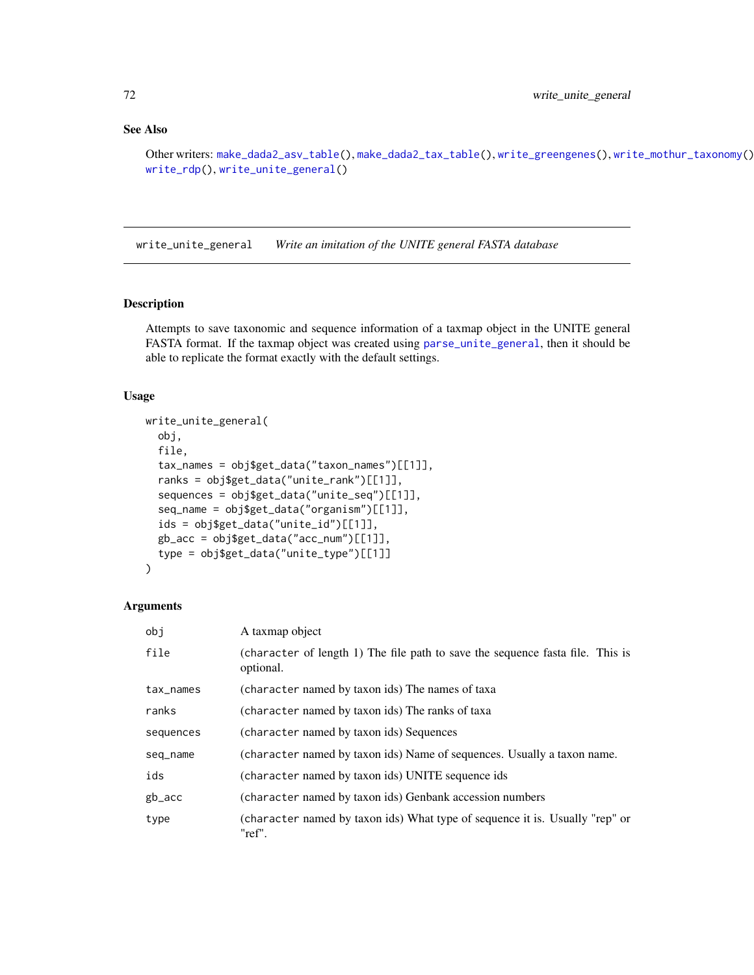# See Also

```
Other writers: make_dada2_asv_table(), make_dada2_tax_table(), write_greengenes(), write_mothur_taxonomy(),
write_rdp(), write_unite_general()
```
<span id="page-71-0"></span>write\_unite\_general *Write an imitation of the UNITE general FASTA database*

# Description

Attempts to save taxonomic and sequence information of a taxmap object in the UNITE general FASTA format. If the taxmap object was created using [parse\\_unite\\_general](#page-54-0), then it should be able to replicate the format exactly with the default settings.

#### Usage

```
write_unite_general(
  obj,
  file,
  tax_names = obj$get_data("taxon_names")[[1]],
  ranks = obj$get_data("unite_rank")[[1]],
  sequences = obj$get_data("unite_seq")[[1]],
  seq_name = obj$get_data("organism")[[1]],
  ids = obj$get_data("unite_id")[[1]],
  gb_acc = obj$get_data("acc_num")[[1]],
  type = obj$get_data("unite_type")[[1]]
)
```

| obi       | A taxmap object                                                                             |
|-----------|---------------------------------------------------------------------------------------------|
| file      | (character of length 1) The file path to save the sequence fasta file. This is<br>optional. |
| tax_names | (character named by taxon ids) The names of taxa                                            |
| ranks     | (character named by taxon ids) The ranks of taxa                                            |
| sequences | (character named by taxon ids) Sequences                                                    |
| seq_name  | (character named by taxon ids) Name of sequences. Usually a taxon name.                     |
| ids       | (character named by taxon ids) UNITE sequence ids                                           |
| gb_acc    | (character named by taxon ids) Genbank accession numbers                                    |
| type      | (character named by taxon ids) What type of sequence it is. Usually "rep" or<br>"ref".      |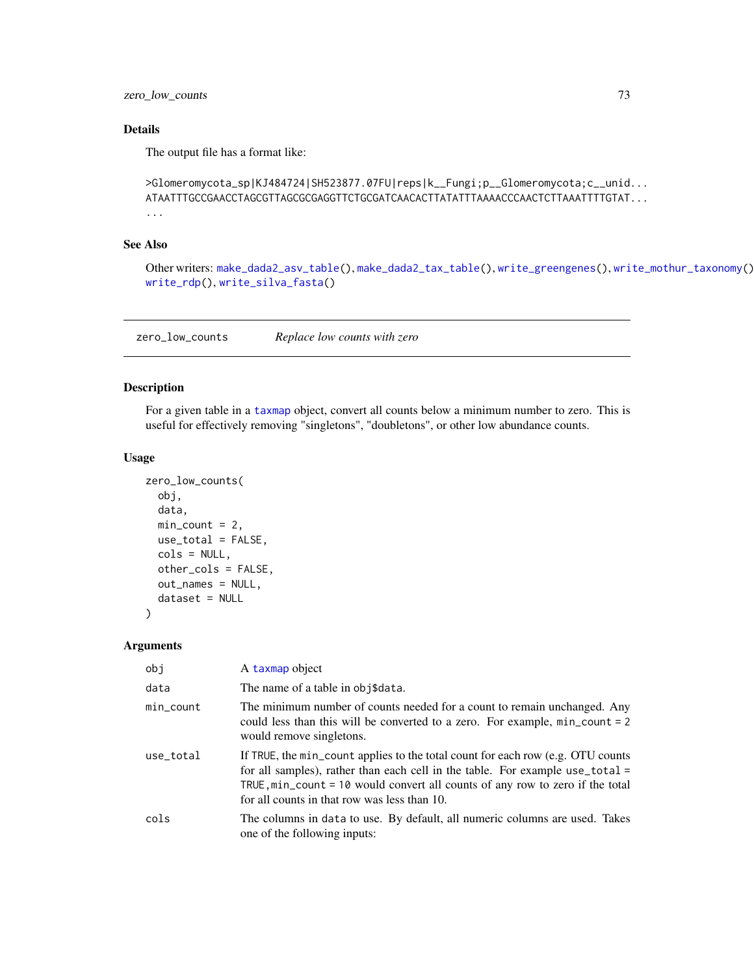<span id="page-72-0"></span>zero\_low\_counts 73

## Details

The output file has a format like:

```
>Glomeromycota_sp|KJ484724|SH523877.07FU|reps|k__Fungi;p__Glomeromycota;c__unid...
ATAATTTGCCGAACCTAGCGTTAGCGCGAGGTTCTGCGATCAACACTTATATTTAAAACCCAACTCTTAAATTTTGTAT...
...
```
## See Also

```
Other writers: make_dada2_asv_table(), make_dada2_tax_table(), write_greengenes(), write_mothur_taxonomy(),
write_rdp(), write_silva_fasta()
```
zero\_low\_counts *Replace low counts with zero*

## Description

For a given table in a [taxmap](#page-0-0) object, convert all counts below a minimum number to zero. This is useful for effectively removing "singletons", "doubletons", or other low abundance counts.

#### Usage

```
zero_low_counts(
  obj,
  data,
 min\_count = 2,
 use_total = FALSE,
  cols = NULL,other_cols = FALSE,
  out_names = NULL,
  dataset = NULL)
```
#### Arguments

| obj       | A taxmap object                                                                                                                                                                                                                                                                                              |
|-----------|--------------------------------------------------------------------------------------------------------------------------------------------------------------------------------------------------------------------------------------------------------------------------------------------------------------|
| data      | The name of a table in obj\$data.                                                                                                                                                                                                                                                                            |
| min_count | The minimum number of counts needed for a count to remain unchanged. Any<br>could less than this will be converted to a zero. For example, min_count = 2<br>would remove singletons.                                                                                                                         |
| use_total | If TRUE, the min_count applies to the total count for each row (e.g. OTU counts<br>for all samples), rather than each cell in the table. For example use_total =<br>TRUE, $min_{\alpha}$ count = 10 would convert all counts of any row to zero if the total<br>for all counts in that row was less than 10. |
| cols      | The columns in data to use. By default, all numeric columns are used. Takes<br>one of the following inputs:                                                                                                                                                                                                  |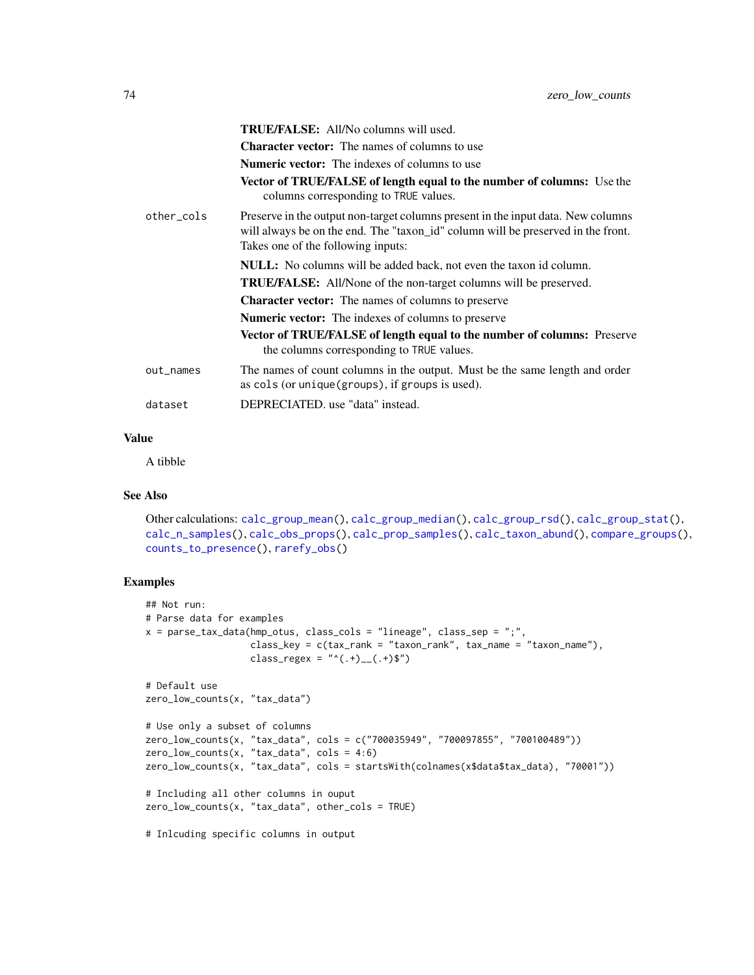<span id="page-73-0"></span>

|            | <b>TRUE/FALSE:</b> All/No columns will used.                                                                                                                                                               |
|------------|------------------------------------------------------------------------------------------------------------------------------------------------------------------------------------------------------------|
|            | <b>Character vector:</b> The names of columns to use                                                                                                                                                       |
|            | <b>Numeric vector:</b> The indexes of columns to use                                                                                                                                                       |
|            | <b>Vector of TRUE/FALSE of length equal to the number of columns:</b> Use the<br>columns corresponding to TRUE values.                                                                                     |
| other_cols | Preserve in the output non-target columns present in the input data. New columns<br>will always be on the end. The "taxon_id" column will be preserved in the front.<br>Takes one of the following inputs: |
|            | <b>NULL:</b> No columns will be added back, not even the taxon id column.                                                                                                                                  |
|            | <b>TRUE/FALSE:</b> All/None of the non-target columns will be preserved.                                                                                                                                   |
|            | <b>Character vector:</b> The names of columns to preserve                                                                                                                                                  |
|            | <b>Numeric vector:</b> The indexes of columns to preserve                                                                                                                                                  |
|            | <b>Vector of TRUE/FALSE of length equal to the number of columns:</b> Preserve<br>the columns corresponding to TRUE values.                                                                                |
| out_names  | The names of count columns in the output. Must be the same length and order<br>as cols (or unique (groups), if groups is used).                                                                            |
| dataset    | DEPRECIATED, use "data" instead.                                                                                                                                                                           |
|            |                                                                                                                                                                                                            |

### Value

A tibble

## See Also

```
Other calculations: calc_group_mean(), calc_group_median(), calc_group_rsd(), calc_group_stat(),
calc_n_samples(), calc_obs_props(), calc_prop_samples(), calc_taxon_abund(), compare_groups(),
counts_to_presence(), rarefy_obs()
```
## Examples

```
## Not run:
# Parse data for examples
x = parse_tax_data(hmp_otus, class_cols = "lineage", class_sep = ";",
                  class_key = c(tax_rank = "taxon_rank", tax_name = "taxon_name"),
                   class_regex = "^(.+)__(.+)$")
# Default use
zero_low_counts(x, "tax_data")
# Use only a subset of columns
zero_low_counts(x, "tax_data", cols = c("700035949", "700097855", "700100489"))
zero_low_counts(x, "tax_data", cols = 4:6)
zero_low_counts(x, "tax_data", cols = startsWith(colnames(x$data$tax_data), "70001"))
# Including all other columns in ouput
zero_low_counts(x, "tax_data", other_cols = TRUE)# Inlcuding specific columns in output
```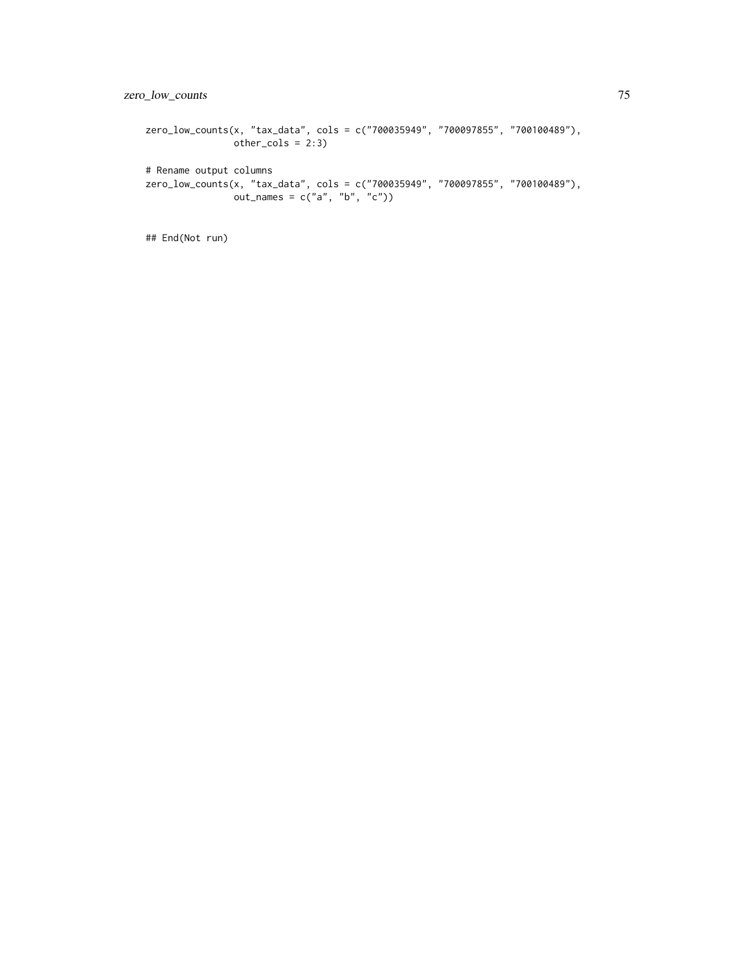```
zero_low_counts(x, "tax_data", cols = c("700035949", "700097855", "700100489"),
               other\_cols = 2:3)# Rename output columns
zero_low_counts(x, "tax_data", cols = c("700035949", "700097855", "700100489"),
               out\_names = c("a", "b", "c")
```

```
## End(Not run)
```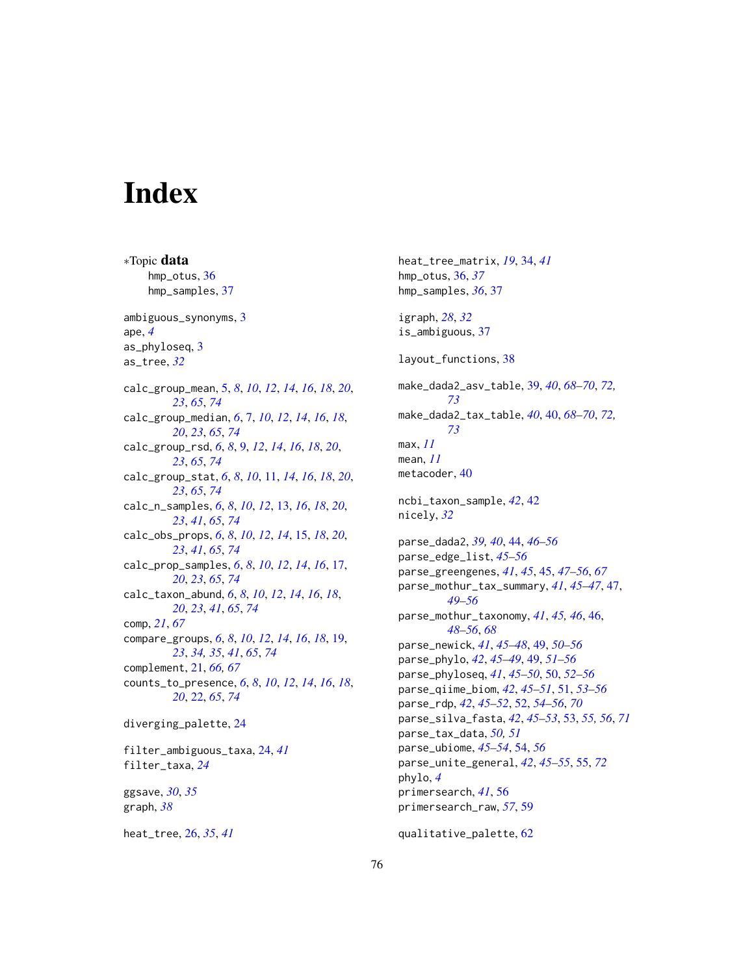# Index

∗Topic data hmp\_otus, [36](#page-35-0) hmp\_samples, [37](#page-36-0) ambiguous\_synonyms, [3](#page-2-0) ape, *[4](#page-3-0)* as\_phyloseq, [3](#page-2-0) as\_tree, *[32](#page-31-0)* calc\_group\_mean, [5,](#page-4-1) *[8](#page-7-0)*, *[10](#page-9-0)*, *[12](#page-11-0)*, *[14](#page-13-0)*, *[16](#page-15-0)*, *[18](#page-17-0)*, *[20](#page-19-0)*, *[23](#page-22-0)*, *[65](#page-64-0)*, *[74](#page-73-0)* calc\_group\_median, *[6](#page-5-0)*, [7,](#page-6-1) *[10](#page-9-0)*, *[12](#page-11-0)*, *[14](#page-13-0)*, *[16](#page-15-0)*, *[18](#page-17-0)*, *[20](#page-19-0)*, *[23](#page-22-0)*, *[65](#page-64-0)*, *[74](#page-73-0)* calc\_group\_rsd, *[6](#page-5-0)*, *[8](#page-7-0)*, [9,](#page-8-1) *[12](#page-11-0)*, *[14](#page-13-0)*, *[16](#page-15-0)*, *[18](#page-17-0)*, *[20](#page-19-0)*, *[23](#page-22-0)*, *[65](#page-64-0)*, *[74](#page-73-0)* calc\_group\_stat, *[6](#page-5-0)*, *[8](#page-7-0)*, *[10](#page-9-0)*, [11,](#page-10-1) *[14](#page-13-0)*, *[16](#page-15-0)*, *[18](#page-17-0)*, *[20](#page-19-0)*, *[23](#page-22-0)*, *[65](#page-64-0)*, *[74](#page-73-0)* calc\_n\_samples, *[6](#page-5-0)*, *[8](#page-7-0)*, *[10](#page-9-0)*, *[12](#page-11-0)*, [13,](#page-12-1) *[16](#page-15-0)*, *[18](#page-17-0)*, *[20](#page-19-0)*, *[23](#page-22-0)*, *[41](#page-40-0)*, *[65](#page-64-0)*, *[74](#page-73-0)* calc\_obs\_props, *[6](#page-5-0)*, *[8](#page-7-0)*, *[10](#page-9-0)*, *[12](#page-11-0)*, *[14](#page-13-0)*, [15,](#page-14-1) *[18](#page-17-0)*, *[20](#page-19-0)*, *[23](#page-22-0)*, *[41](#page-40-0)*, *[65](#page-64-0)*, *[74](#page-73-0)* calc\_prop\_samples, *[6](#page-5-0)*, *[8](#page-7-0)*, *[10](#page-9-0)*, *[12](#page-11-0)*, *[14](#page-13-0)*, *[16](#page-15-0)*, [17,](#page-16-1) *[20](#page-19-0)*, *[23](#page-22-0)*, *[65](#page-64-0)*, *[74](#page-73-0)* calc\_taxon\_abund, *[6](#page-5-0)*, *[8](#page-7-0)*, *[10](#page-9-0)*, *[12](#page-11-0)*, *[14](#page-13-0)*, *[16](#page-15-0)*, *[18](#page-17-0)*, *[20](#page-19-0)*, *[23](#page-22-0)*, *[41](#page-40-0)*, *[65](#page-64-0)*, *[74](#page-73-0)* comp, *[21](#page-20-0)*, *[67](#page-66-1)* compare\_groups, *[6](#page-5-0)*, *[8](#page-7-0)*, *[10](#page-9-0)*, *[12](#page-11-0)*, *[14](#page-13-0)*, *[16](#page-15-0)*, *[18](#page-17-0)*, [19,](#page-18-1) *[23](#page-22-0)*, *[34,](#page-33-0) [35](#page-34-0)*, *[41](#page-40-0)*, *[65](#page-64-0)*, *[74](#page-73-0)* complement, [21,](#page-20-0) *[66,](#page-65-0) [67](#page-66-1)* counts\_to\_presence, *[6](#page-5-0)*, *[8](#page-7-0)*, *[10](#page-9-0)*, *[12](#page-11-0)*, *[14](#page-13-0)*, *[16](#page-15-0)*, *[18](#page-17-0)*, *[20](#page-19-0)*, [22,](#page-21-1) *[65](#page-64-0)*, *[74](#page-73-0)* diverging\_palette, [24](#page-23-0) filter\_ambiguous\_taxa, [24,](#page-23-0) *[41](#page-40-0)* filter\_taxa, *[24](#page-23-0)* ggsave, *[30](#page-29-0)*, *[35](#page-34-0)* graph, *[38](#page-37-0)*

heat\_tree, [26,](#page-25-0) *[35](#page-34-0)*, *[41](#page-40-0)*

heat\_tree\_matrix, *[19](#page-18-1)*, [34,](#page-33-0) *[41](#page-40-0)* hmp\_otus, [36,](#page-35-0) *[37](#page-36-0)* hmp\_samples, *[36](#page-35-0)*, [37](#page-36-0) igraph, *[28](#page-27-0)*, *[32](#page-31-0)* is\_ambiguous, [37](#page-36-0) layout\_functions, [38](#page-37-0) make\_dada2\_asv\_table, [39,](#page-38-1) *[40](#page-39-1)*, *[68](#page-67-1)[–70](#page-69-1)*, *[72,](#page-71-0) [73](#page-72-0)* make\_dada2\_tax\_table, *[40](#page-39-1)*, [40,](#page-39-1) *[68](#page-67-1)[–70](#page-69-1)*, *[72,](#page-71-0) [73](#page-72-0)* max, *[11](#page-10-1)* mean, *[11](#page-10-1)* metacoder, [40](#page-39-1) ncbi\_taxon\_sample, *[42](#page-41-0)*, [42](#page-41-0) nicely, *[32](#page-31-0)* parse\_dada2, *[39,](#page-38-1) [40](#page-39-1)*, [44,](#page-43-0) *[46](#page-45-0)[–56](#page-55-0)* parse\_edge\_list, *[45](#page-44-0)[–56](#page-55-0)* parse\_greengenes, *[41](#page-40-0)*, *[45](#page-44-0)*, [45,](#page-44-0) *[47](#page-46-0)[–56](#page-55-0)*, *[67](#page-66-1)* parse\_mothur\_tax\_summary, *[41](#page-40-0)*, *[45](#page-44-0)[–47](#page-46-0)*, [47,](#page-46-0) *[49](#page-48-0)[–56](#page-55-0)* parse\_mothur\_taxonomy, *[41](#page-40-0)*, *[45,](#page-44-0) [46](#page-45-0)*, [46,](#page-45-0) *[48](#page-47-0)[–56](#page-55-0)*, *[68](#page-67-1)* parse\_newick, *[41](#page-40-0)*, *[45](#page-44-0)[–48](#page-47-0)*, [49,](#page-48-0) *[50](#page-49-0)[–56](#page-55-0)* parse\_phylo, *[42](#page-41-0)*, *[45](#page-44-0)[–49](#page-48-0)*, [49,](#page-48-0) *[51](#page-50-0)[–56](#page-55-0)* parse\_phyloseq, *[41](#page-40-0)*, *[45](#page-44-0)[–50](#page-49-0)*, [50,](#page-49-0) *[52](#page-51-0)[–56](#page-55-0)* parse\_qiime\_biom, *[42](#page-41-0)*, *[45](#page-44-0)[–51](#page-50-0)*, [51,](#page-50-0) *[53](#page-52-0)[–56](#page-55-0)* parse\_rdp, *[42](#page-41-0)*, *[45](#page-44-0)[–52](#page-51-0)*, [52,](#page-51-0) *[54](#page-53-0)[–56](#page-55-0)*, *[70](#page-69-1)* parse\_silva\_fasta, *[42](#page-41-0)*, *[45–](#page-44-0)[53](#page-52-0)*, [53,](#page-52-0) *[55,](#page-54-0) [56](#page-55-0)*, *[71](#page-70-1)* parse\_tax\_data, *[50,](#page-49-0) [51](#page-50-0)* parse\_ubiome, *[45](#page-44-0)[–54](#page-53-0)*, [54,](#page-53-0) *[56](#page-55-0)* parse\_unite\_general, *[42](#page-41-0)*, *[45](#page-44-0)[–55](#page-54-0)*, [55,](#page-54-0) *[72](#page-71-0)* phylo, *[4](#page-3-0)* primersearch, *[41](#page-40-0)*, [56](#page-55-0) primersearch\_raw, *[57](#page-56-0)*, [59](#page-58-0) qualitative\_palette, [62](#page-61-0)